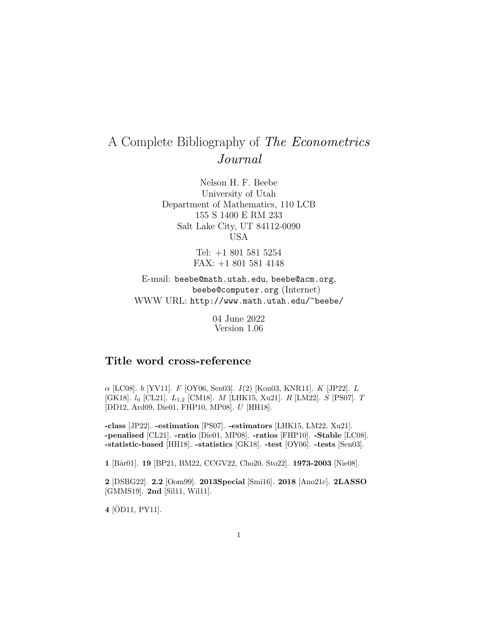# A Complete Bibliography of The Econometrics Journal

Nelson H. F. Beebe University of Utah Department of Mathematics, 110 LCB 155 S 1400 E RM 233 Salt Lake City, UT 84112-0090 USA

> Tel: +1 801 581 5254 FAX: +1 801 581 4148

E-mail: beebe@math.utah.edu, beebe@acm.org, beebe@computer.org (Internet) WWW URL: http://www.math.utah.edu/~beebe/

> 04 June 2022 Version 1.06

# **Title word cross-reference**

 $\alpha$  [LC08]. *b* [YV11]. *F* [OY06, Sen03]. *I*(2) [Kon03, KNR11]. *K* [JP22]. *L* [GK18].  $l_0$  [CL21].  $L_{1,2}$  [CM18]. M [LHK15, Xu21]. R [LM22]. S [PS07]. T [DD12, Ard09, Die01, FHP10, MP08]. U [HH18].

**-class** [JP22]. **-estimation** [PS07]. **-estimators** [LHK15, LM22, Xu21]. **-penalised** [CL21]. **-ratio** [Die01, MP08]. **-ratios** [FHP10]. **-Stable** [LC08]. **-statistic-based** [HH18]. **-statistics** [GK18]. **-test** [OY06]. **-tests** [Sen03].

**1** [B˚ar01]. **19** [BP21, BM22, CCGV22, Cho20, Sto22]. **1973-2003** [Nie08].

**2** [DSBG22]. **2.2** [Oom99]. **2013Special** [Smi16]. **2018** [Ano21c]. **2LASSO** [GMMS19]. **2nd** [Sil11, Wil11].

**4** [ÖD11, PY11].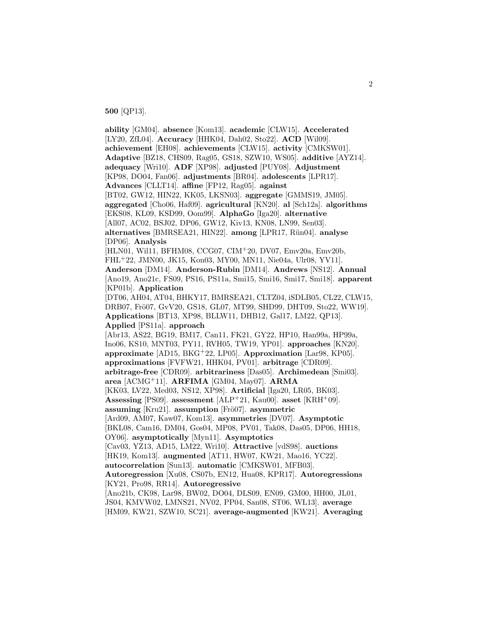**500** [QP13].

**ability** [GM04]. **absence** [Kom13]. **academic** [CLW15]. **Accelerated** [LY20, ZfL04]. **Accuracy** [HHK04, Dah02, Sto22]. **ACD** [Wil09]. **achievement** [EH08]. **achievements** [CLW15]. **activity** [CMKSW01]. **Adaptive** [BZ18, CHS09, Rag05, GS18, SZW10, WS05]. **additive** [AYZ14]. **adequacy** [Wri10]. **ADF** [XP98]. **adjusted** [PUY08]. **Adjustment** [KP98, DO04, Fan06]. **adjustments** [BR04]. **adolescents** [LPR17]. **Advances** [CLLT14]. **affine** [FP12, Rag05]. **against** [BT02, GW12, HIN22, KK05, LKSN03]. **aggregate** [GMMS19, JM05]. **aggregated** [Cho06, Haf09]. **agricultural** [KN20]. **al** [Sch12a]. **algorithms** [EKS08, KL09, KSD99, Oom99]. **AlphaGo** [Iga20]. **alternative** [All07, AC02, BSJ02, DP06, GW12, Kiv13, KN08, LN99, Sen03]. **alternatives** [BMRSEA21, HIN22]. **among** [LPR17, Rün04]. **analyse** [DP06]. **Analysis** [HLN01, Wil11, BFHM08, CCG07, CIM<sup>+</sup>20, DV07, Emv20a, Emv20b, FHL<sup>+</sup>22, JMN00, JK15, Kon03, MY00, MN11, Nie04a, Ulr08, YV11]. **Anderson** [DM14]. **Anderson-Rubin** [DM14]. **Andrews** [NS12]. **Annual** [Ano19, Ano21c, FS09, PS16, PS11a, Smi15, Smi16, Smi17, Smi18]. **apparent** [KP01b]. **Application** [DT06, AH04, AT04, BHKY17, BMRSEA21, CLTZ04, iSDLB05, CL22, CLW15, DRB07, Frö07, GvV20, GS18, GL07, MT99, SHD99, DHT09, Sto22, WW19. **Applications** [BT13, XP98, BLLW11, DHB12, Gal17, LM22, QP13]. **Applied** [PS11a]. **approach** [Abr13, AS22, BG19, BM17, Can11, FK21, GY22, HP10, Han99a, HP99a, Ino06, KS10, MNT03, PY11, RVH05, TW19, YP01]. **approaches** [KN20]. **approximate** [AD15, BKG<sup>+</sup>22, LP05]. **Approximation** [Lar98, KP05]. **approximations** [FVFW21, HHK04, PV01]. **arbitrage** [CDR09]. **arbitrage-free** [CDR09]. **arbitrariness** [Das05]. **Archimedean** [Smi03]. **area** [ACMG<sup>+</sup>11]. **ARFIMA** [GM04, May07]. **ARMA** [KK03, LV22, Med03, NS12, XP98]. **Artificial** [Iga20, LR05, BK03]. **Assessing** [PS09]. **assessment** [ALP<sup>+</sup>21, Kau00]. **asset** [KRH<sup>+</sup>09]. **assuming** [Kru21]. **assumption** [Frö07]. **asymmetric** [Ard09, AM07, Kaw07, Kom13]. **asymmetries** [DV07]. **Asymptotic** [BKL08, Cam16, DM04, Gos04, MP08, PV01, Tak08, Das05, DP06, HH18, OY06]. **asymptotically** [Myn11]. **Asymptotics** [Cav03, YZ13, AD15, LM22, Wri10]. **Attractive** [vdS98]. **auctions** [HK19, Kom13]. **augmented** [AT11, HW07, KW21, Mao16, YC22]. **autocorrelation** [Sun13]. **automatic** [CMKSW01, MFB03]. **Autoregression** [Xu08, CS07b, EN12, Hua08, KPR17]. **Autoregressions** [KY21, Pro98, RR14]. **Autoregressive** [Ano21b, CK98, Lar98, BW02, DO04, DLS09, EN09, GM00, HH00, JL01, JS04, KMVW02, LMNS21, NV02, PP04, San08, ST06, WL13]. **average** [HM09, KW21, SZW10, SC21]. **average-augmented** [KW21]. **Averaging**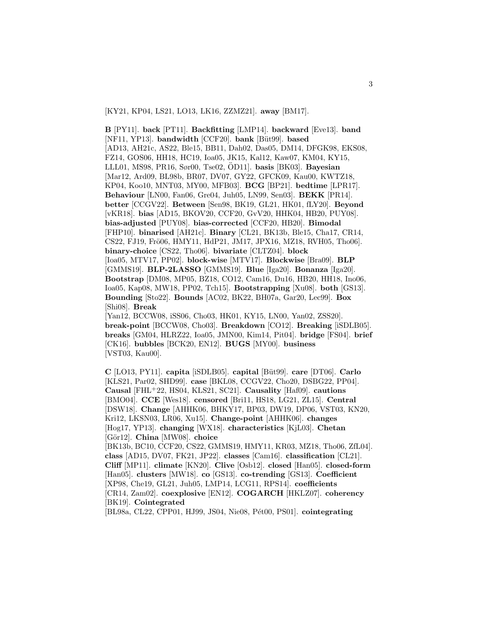[KY21, KP04, LS21, LO13, LK16, ZZMZ21]. **away** [BM17].

**B** [PY11]. **back** [PT11]. **Backfitting** [LMP14]. **backward** [Eve13]. **band** [NF11, YP13]. **bandwidth** [CCF20]. **bank** [Büt99]. **based** [AD13, AH21c, AS22, Ble15, BB11, Dah02, Das05, DM14, DFGK98, EKS08, FZ14, GOS06, HH18, HC19, Ioa05, JK15, Kal12, Kaw07, KM04, KY15, LLL01, MS98, PR16, Sør00, Tse02, OD11]. ¨ **basis** [BK03]. **Bayesian** [Mar12, Ard09, BL98b, BR07, DV07, GY22, GFCK09, Kau00, KWTZ18, KP04, Koo10, MNT03, MY00, MFB03]. **BCG** [BP21]. **bedtime** [LPR17]. **Behaviour** [LN00, Fan06, Gre04, Juh05, LN99, Sen03]. **BEKK** [PR14]. **better** [CCGV22]. **Between** [Sen98, BK19, GL21, HK01, fLY20]. **Beyond** [vKR18]. **bias** [AD15, BKOV20, CCF20, GvV20, HHK04, HB20, PUY08]. **bias-adjusted** [PUY08]. **bias-corrected** [CCF20, HB20]. **Bimodal** [FHP10]. **binarised** [AH21c]. **Binary** [CL21, BK13b, Ble15, Cha17, CR14, CS22, FJ19, Frö06, HMY11, HdP21, JM17, JPX16, MZ18, RVH05, Tho06]. **binary-choice** [CS22, Tho06]. **bivariate** [CLTZ04]. **block** [Ioa05, MTV17, PP02]. **block-wise** [MTV17]. **Blockwise** [Bra09]. **BLP** [GMMS19]. **BLP-2LASSO** [GMMS19]. **Blue** [Iga20]. **Bonanza** [Iga20]. **Bootstrap** [DM08, MP05, BZ18, CO12, Cam16, Du16, HB20, HH18, Ino06, Ioa05, Kap08, MW18, PP02, Tch15]. **Bootstrapping** [Xu08]. **both** [GS13]. **Bounding** [Sto22]. **Bounds** [AC02, BK22, BH07a, Gar20, Lec99]. **Box** [Shi08]. **Break** [Yan12, BCCW08, iSS06, Cho03, HK01, KY15, LN00, Yan02, ZSS20]. **break-point** [BCCW08, Cho03]. **Breakdown** [CO12]. **Breaking** [iSDLB05]. **breaks** [GM04, HLRZ22, Ioa05, JMN00, Kim14, Pit04]. **bridge** [FS04]. **brief** [CK16]. **bubbles** [BCK20, EN12]. **BUGS** [MY00]. **business**

[VST03, Kau00].

**C** [LO13, PY11]. **capita** [iSDLB05]. **capital** [B¨ut99]. **care** [DT06]. **Carlo** [KLS21, Par02, SHD99]. **case** [BKL08, CCGV22, Cho20, DSBG22, PP04]. **Causal** [FHL<sup>+</sup>22, HS04, KLS21, SC21]. **Causality** [Haf09]. **cautions** [BMO04]. **CCE** [Wes18]. **censored** [Bri11, HS18, LG21, ZL15]. **Central** [DSW18]. **Change** [AHHK06, BHKY17, BP03, DW19, DP06, VST03, KN20, Kri12, LKSN03, LR06, Xu15]. **Change-point** [AHHK06]. **changes** [Hog17, YP13]. **changing** [WX18]. **characteristics** [KjL03]. **Chetan** [Gör12]. **China** [MW08]. **choice** [BK13b, BC10, CCF20, CS22, GMMS19, HMY11, KR03, MZ18, Tho06, ZfL04]. **class** [AD15, DV07, FK21, JP22]. **classes** [Cam16]. **classification** [CL21]. **Cliff** [MP11]. **climate** [KN20]. **Clive** [Osb12]. **closed** [Han05]. **closed-form** [Han05]. **clusters** [MW18]. **co** [GS13]. **co-trending** [GS13]. **Coefficient** [XP98, Che19, GL21, Juh05, LMP14, LCG11, RPS14]. **coefficients** [CR14, Zam02]. **coexplosive** [EN12]. **COGARCH** [HKLZ07]. **coherency** [BK19]. **Cointegrated**

[BL98a, CL22, CPP01, HJ99, JS04, Nie08, P´et00, PS01]. **cointegrating**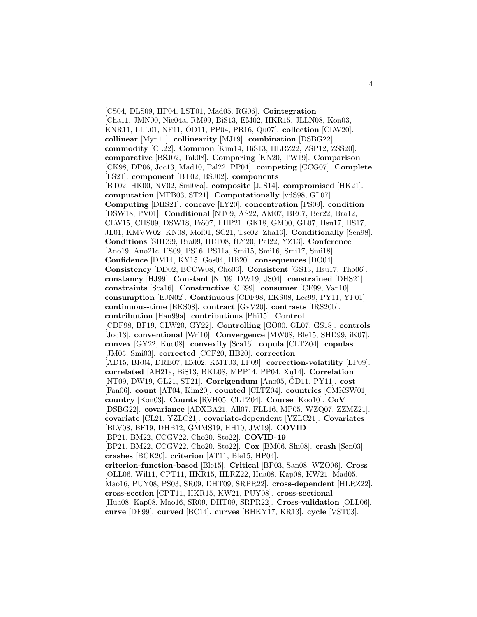[CS04, DLS09, HP04, LST01, Mad05, RG06]. **Cointegration** [Cha11, JMN00, Nie04a, RM99, BiS13, EM02, HKR15, JLLN08, Kon03, KNR11, LLL01, NF11, ÖD11, PP04, PR16, Qu07]. **collection** [CLW20]. **collinear** [Myn11]. **collinearity** [MJ19]. **combination** [DSBG22]. **commodity** [CL22]. **Common** [Kim14, BiS13, HLRZ22, ZSP12, ZSS20]. **comparative** [BSJ02, Tak08]. **Comparing** [KN20, TW19]. **Comparison** [CK98, DP06, Joc13, Mad10, Pal22, PP04]. **competing** [CCG07]. **Complete** [LS21]. **component** [BT02, BSJ02]. **components** [BT02, HK00, NV02, Smi08a]. **composite** [JJS14]. **compromised** [HK21]. **computation** [MFB03, ST21]. **Computationally** [vdS98, GL07]. **Computing** [DHS21]. **concave** [LY20]. **concentration** [PS09]. **condition** [DSW18, PV01]. **Conditional** [NT09, AS22, AM07, BR07, Ber22, Bra12, CLW15, CHS09, DSW18, Frö07, FHP21, GK18, GM00, GL07, Hsu17, HS17, JL01, KMVW02, KN08, Mof01, SC21, Tse02, Zha13]. **Conditionally** [Sen98]. **Conditions** [SHD99, Bra09, HLT08, fLY20, Pal22, YZ13]. **Conference** [Ano19, Ano21c, FS09, PS16, PS11a, Smi15, Smi16, Smi17, Smi18]. **Confidence** [DM14, KY15, Gos04, HB20]. **consequences** [DO04]. **Consistency** [DD02, BCCW08, Cho03]. **Consistent** [GS13, Hsu17, Tho06]. **constancy** [HJ99]. **Constant** [NT09, DW19, JS04]. **constrained** [DHS21]. **constraints** [Sca16]. **Constructive** [CE99]. **consumer** [CE99, Van10]. **consumption** [EJN02]. **Continuous** [CDF98, EKS08, Lec99, PY11, YP01]. **continuous-time** [EKS08]. **contract** [GvV20]. **contrasts** [IRS20b]. **contribution** [Han99a]. **contributions** [Phi15]. **Control** [CDF98, BF19, CLW20, GY22]. **Controlling** [GO00, GL07, GS18]. **controls** [Joc13]. **conventional** [Wri10]. **Convergence** [MW08, Ble15, SHD99, iK07]. **convex** [GY22, Kuo08]. **convexity** [Sca16]. **copula** [CLTZ04]. **copulas** [JM05, Smi03]. **corrected** [CCF20, HB20]. **correction** [AD15, BR04, DRB07, EM02, KMT03, LP09]. **correction-volatility** [LP09]. **correlated** [AH21a, BiS13, BKL08, MPP14, PP04, Xu14]. **Correlation** [NT09, DW19, GL21, ST21]. **Corrigendum** [Ano05, ÖD11, PY11]. **cost** [Fan06]. **count** [AT04, Kim20]. **counted** [CLTZ04]. **countries** [CMKSW01]. **country** [Kon03]. **Counts** [RVH05, CLTZ04]. **Course** [Koo10]. **CoV** [DSBG22]. **covariance** [ADXBA21, All07, FLL16, MP05, WZQ07, ZZMZ21]. **covariate** [CL21, YZLC21]. **covariate-dependent** [YZLC21]. **Covariates** [BLV08, BF19, DHB12, GMMS19, HH10, JW19]. **COVID** [BP21, BM22, CCGV22, Cho20, Sto22]. **COVID-19** [BP21, BM22, CCGV22, Cho20, Sto22]. **Cox** [BM06, Shi08]. **crash** [Sen03]. **crashes** [BCK20]. **criterion** [AT11, Ble15, HP04]. **criterion-function-based** [Ble15]. **Critical** [BP03, San08, WZO06]. **Cross** [OLL06, Wil11, CPT11, HKR15, HLRZ22, Hua08, Kap08, KW21, Mad05, Mao16, PUY08, PS03, SR09, DHT09, SRPR22]. **cross-dependent** [HLRZ22]. **cross-section** [CPT11, HKR15, KW21, PUY08]. **cross-sectional** [Hua08, Kap08, Mao16, SR09, DHT09, SRPR22]. **Cross-validation** [OLL06]. **curve** [DF99]. **curved** [BC14]. **curves** [BHKY17, KR13]. **cycle** [VST03].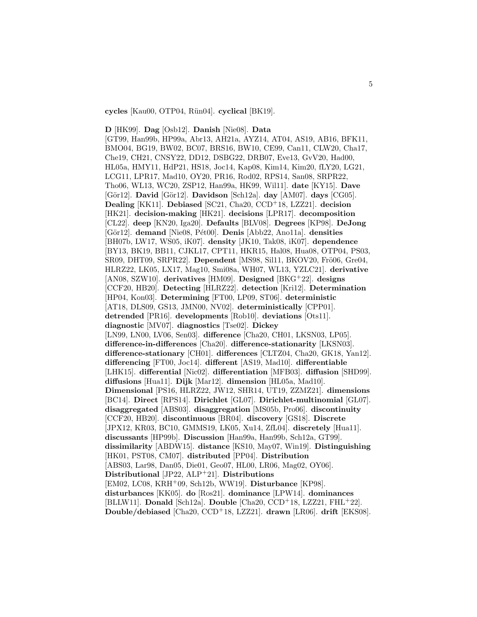**cycles** [Kau00, OTP04, R¨un04]. **cyclical** [BK19].

**D** [HK99]. **Dag** [Osb12]. **Danish** [Nie08]. **Data** [GT99, Han99b, HP99a, Abr13, AH21a, AYZ14, AT04, AS19, AB16, BFK11, BMO04, BG19, BW02, BC07, BRS16, BW10, CE99, Can11, CLW20, Cha17, Che19, CH21, CNSY22, DD12, DSBG22, DRB07, Eve13, GvV20, Had00, HL05a, HMY11, HdP21, HS18, Joc14, Kap08, Kim14, Kim20, fLY20, LG21, LCG11, LPR17, Mad10, OY20, PR16, Rod02, RPS14, San08, SRPR22, Tho06, WL13, WC20, ZSP12, Han99a, HK99, Wil11]. **date** [KY15]. **Dave** [G¨or12]. **David** [G¨or12]. **Davidson** [Sch12a]. **day** [AM07]. **days** [CG05]. **Dealing** [KK11]. **Debiased** [SC21, Cha20, CCD<sup>+</sup>18, LZZ21]. **decision** [HK21]. **decision-making** [HK21]. **decisions** [LPR17]. **decomposition** [CL22]. **deep** [KN20, Iga20]. **Defaults** [BLV08]. **Degrees** [KP98]. **DeJong** [Gör12]. **demand** [Nie08, Pét00]. **Denis** [Abb22, Ano11a]. **densities** [BH07b, LW17, WS05, iK07]. **density** [JK10, Tak08, iK07]. **dependence** [BY13, BK19, BB11, CJKL17, CPT11, HKR15, Hal08, Hua08, OTP04, PS03, SR09, DHT09, SRPR22]. Dependent [MS98, Sil11, BKOV20, Frö06, Gre04, HLRZ22, LK05, LX17, Mag10, Smi08a, WH07, WL13, YZLC21]. **derivative** [AN08, SZW10]. **derivatives** [HM09]. **Designed** [BKG<sup>+</sup>22]. **designs** [CCF20, HB20]. **Detecting** [HLRZ22]. **detection** [Kri12]. **Determination** [HP04, Kon03]. **Determining** [FT00, LP09, ST06]. **deterministic** [AT18, DLS09, GS13, JMN00, NV02]. **deterministically** [CPP01]. **detrended** [PR16]. **developments** [Rob10]. **deviations** [Ots11]. **diagnostic** [MV07]. **diagnostics** [Tse02]. **Dickey** [LN99, LN00, LV06, Sen03]. **difference** [Cha20, CH01, LKSN03, LP05]. **difference-in-differences** [Cha20]. **difference-stationarity** [LKSN03]. **difference-stationary** [CH01]. **differences** [CLTZ04, Cha20, GK18, Yan12]. **differencing** [FT00, Joc14]. **different** [AS19, Mad10]. **differentiable** [LHK15]. **differential** [Nic02]. **differentiation** [MFB03]. **diffusion** [SHD99]. **diffusions** [Hua11]. **Dijk** [Mar12]. **dimension** [HL05a, Mad10]. **Dimensional** [PS16, HLRZ22, JW12, SHR14, UT19, ZZMZ21]. **dimensions** [BC14]. **Direct** [RPS14]. **Dirichlet** [GL07]. **Dirichlet-multinomial** [GL07]. **disaggregated** [ABS03]. **disaggregation** [MS05b, Pro06]. **discontinuity** [CCF20, HB20]. **discontinuous** [BR04]. **discovery** [GS18]. **Discrete** [JPX12, KR03, BC10, GMMS19, LK05, Xu14, ZfL04]. **discretely** [Hua11]. **discussants** [HP99b]. **Discussion** [Han99a, Han99b, Sch12a, GT99]. **dissimilarity** [ABDW15]. **distance** [KS10, May07, Win19]. **Distinguishing** [HK01, PST08, CM07]. **distributed** [PP04]. **Distribution** [ABS03, Lar98, Dan05, Die01, Geo07, HL00, LR06, Mag02, OY06]. **Distributional** [JP22, ALP<sup>+</sup>21]. **Distributions** [EM02, LC08, KRH<sup>+</sup>09, Sch12b, WW19]. **Disturbance** [KP98]. **disturbances** [KK05]. **do** [Ros21]. **dominance** [LPW14]. **dominances** [BLLW11]. **Donald** [Sch12a]. **Double** [Cha20, CCD<sup>+</sup>18, LZZ21, FHL<sup>+</sup>22]. **Double/debiased** [Cha20, CCD<sup>+</sup>18, LZZ21]. **drawn** [LR06]. **drift** [EKS08].

5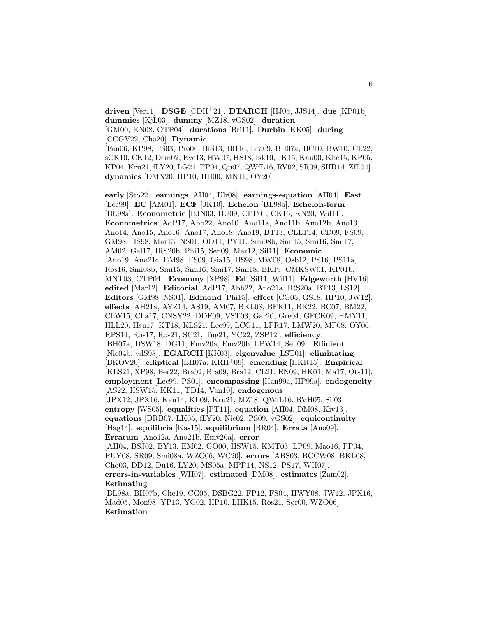**driven** [Ver11]. **DSGE** [CDH<sup>+</sup>21]. **DTARCH** [HJ05, JJS14]. **due** [KP01b]. **dummies** [KjL03]. **dummy** [MZ18, vGS02]. **duration** [GM00, KN08, OTP04]. **durations** [Bri11]. **Durbin** [KK05]. **during** [CCGV22, Cho20]. **Dynamic** [Fan06, KP98, PS03, Pro06, BiS13, BH16, Bra09, BH07a, BC10, BW10, CL22, sCK10, CK12, Dem02, Eve13, HW07, HS18, Isk10, JK15, Kau00, Khe15, KP05, KP04, Kru21, fLY20, LG21, PP04, Qu07, QWfL16, RV02, SR09, SHR14, ZfL04]. **dynamics** [DMN20, HP10, HH00, MN11, OY20].

**early** [Sto22]. **earnings** [AH04, Ulr08]. **earnings-equation** [AH04]. **East** [Lec99]. **EC** [AM01]. **ECF** [JK10]. **Echelon** [BL98a]. **Echelon-form** [BL98a]. **Econometric** [BJN03, BU09, CPP01, CK16, KN20, Wil11]. **Econometrics** [AdP17, Abb22, Ano10, Ano11a, Ano11b, Ano12b, Ano13, Ano14, Ano15, Ano16, Ano17, Ano18, Ano19, BT13, CLLT14, CD09, FS09, GM98, HS98, Mar13, NS01, OD11, PY11, Smi08b, Smi15, Smi16, Smi17, ¨ AM02, Gal17, IRS20b, Phi15, Sen09, Mar12, Sil11]. **Economic** [Ano19, Ano21c, EM98, FS09, Gia15, HS98, MW08, Osb12, PS16, PS11a, Ros16, Smi08b, Smi15, Smi16, Smi17, Smi18, BK19, CMKSW01, KP01b, MNT03, OTP04]. **Economy** [XP98]. **Ed** [Sil11, Wil11]. **Edgeworth** [HV16]. **edited** [Mar12]. **Editorial** [AdP17, Abb22, Ano21a, IRS20a, BT13, LS12]. **Editors** [GM98, NS01]. **Edmond** [Phi15]. **effect** [CG05, GS18, HP10, JW12]. **effects** [AH21a, AYZ14, AS19, AM07, BKL08, BFK11, BK22, BC07, BM22, CLW15, Cha17, CNSY22, DDF09, VST03, Gar20, Gre04, GFCK09, HMY11, HLL20, Hsu17, KT18, KLS21, Lec99, LCG11, LPR17, LMW20, MP08, OY06, RPS14, Ros17, Ros21, SC21, Tug21, YC22, ZSP12]. **efficiency** [BH07a, DSW18, DG11, Emv20a, Emv20b, LPW14, Sen09]. **Efficient** [Nie04b, vdS98]. **EGARCH** [KK03]. **eigenvalue** [LST01]. **eliminating** [BKOV20]. **elliptical** [BH07a, KRH<sup>+</sup>09]. **emending** [HKR15]. **Empirical** [KLS21, XP98, Ber22, Bra02, Bra09, Bra12, CL21, EN09, HK01, Ma17, Ots11]. **employment** [Lec99, PS01]. **encompassing** [Han99a, HP99a]. **endogeneity** [AS22, HSW15, KK11, TD14, Van10]. **endogenous** [JPX12, JPX16, Kan14, KL09, Kru21, MZ18, QWfL16, RVH05, Sil03]. **entropy** [WS05]. **equalities** [PT11]. **equation** [AH04, DM08, Kiv13]. **equations** [DRB07, LK05, fLY20, Nic02, PS09, vGS02]. **equicontinuity** [Hag14]. **equilibria** [Kas15]. **equilibrium** [BR04]. **Errata** [Ano09]. **Erratum** [Ano12a, Ano21b, Emv20a]. **error** [AH04, BSJ02, BY13, EM02, GO00, HSW15, KMT03, LP09, Mao16, PP04, PUY08, SR09, Smi08a, WZO06, WC20]. **errors** [ABS03, BCCW08, BKL08, Cho03, DD12, Du16, LY20, MS05a, MPP14, NS12, PS17, WH07]. **errors-in-variables** [WH07]. **estimated** [DM08]. **estimates** [Zam02]. **Estimating** [BL98a, BH07b, Che19, CG05, DSBG22, FP12, FS04, HWY08, JW12, JPX16, Mad05, Mon98, YP13, YG02, HP10, LHK15, Ros21, Sør00, WZO06]. **Estimation**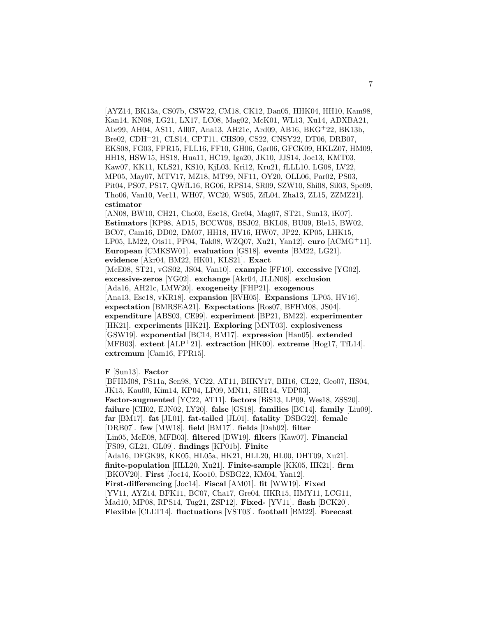[AYZ14, BK13a, CS07b, CSW22, CM18, CK12, Dan05, HHK04, HH10, Kam98, Kan14, KN08, LG21, LX17, LC08, Mag02, McK01, WL13, Xu14, ADXBA21, Abr99, AH04, AS11, All07, Ana13, AH21c, Ard09, AB16, BKG<sup>+</sup>22, BK13b, Bre02, CDH<sup>+</sup>21, CLS14, CPT11, CHS09, CS22, CNSY22, DT06, DRB07, EKS08, FG03, FPR15, FLL16, FF10, GH06, Gør06, GFCK09, HKLZ07, HM09, HH18, HSW15, HS18, Hua11, HC19, Iga20, JK10, JJS14, Joc13, KMT03, Kaw07, KK11, KLS21, KS10, KjL03, Kri12, Kru21, fLLL10, LG08, LV22, MP05, May07, MTV17, MZ18, MT99, NF11, OY20, OLL06, Par02, PS03, Pit04, PS07, PS17, QWfL16, RG06, RPS14, SR09, SZW10, Shi08, Sil03, Spe09, Tho06, Van10, Ver11, WH07, WC20, WS05, ZfL04, Zha13, ZL15, ZZMZ21]. **estimator** [AN08, BW10, CH21, Cho03, Esc18, Gre04, Mag07, ST21, Sun13, iK07]. **Estimators** [KP98, AD15, BCCW08, BSJ02, BKL08, BU09, Ble15, BW02, BC07, Cam16, DD02, DM07, HH18, HV16, HW07, JP22, KP05, LHK15, LP05, LM22, Ots11, PP04, Tak08, WZQ07, Xu21, Yan12]. **euro** [ACMG<sup>+</sup>11]. **European** [CMKSW01]. **evaluation** [GS18]. **events** [BM22, LG21].

**evidence** [Akr04, BM22, HK01, KLS21]. **Exact**

[McE08, ST21, vGS02, JS04, Van10]. **example** [FF10]. **excessive** [YG02]. **excessive-zeros** [YG02]. **exchange** [Akr04, JLLN08]. **exclusion** [Ada16, AH21c, LMW20]. **exogeneity** [FHP21]. **exogenous** [Ana13, Esc18, vKR18]. **expansion** [RVH05]. **Expansions** [LP05, HV16]. **expectation** [BMRSEA21]. **Expectations** [Ros07, BFHM08, JS04]. **expenditure** [ABS03, CE99]. **experiment** [BP21, BM22]. **experimenter** [HK21]. **experiments** [HK21]. **Exploring** [MNT03]. **explosiveness** [GSW19]. **exponential** [BC14, BM17]. **expression** [Han05]. **extended** [MFB03]. **extent** [ALP<sup>+</sup>21]. **extraction** [HK00]. **extreme** [Hog17, TfL14]. **extremum** [Cam16, FPR15].

**F** [Sun13]. **Factor**

[BFHM08, PS11a, Sen98, YC22, AT11, BHKY17, BH16, CL22, Geo07, HS04, JK15, Kau00, Kim14, KP04, LP09, MN11, SHR14, VDP03]. **Factor-augmented** [YC22, AT11]. **factors** [BiS13, LP09, Wes18, ZSS20]. **failure** [CH02, EJN02, LY20]. **false** [GS18]. **families** [BC14]. **family** [Liu09]. **far** [BM17]. **fat** [JL01]. **fat-tailed** [JL01]. **fatality** [DSBG22]. **female** [DRB07]. **few** [MW18]. **field** [BM17]. **fields** [Dah02]. **filter** [Lin05, McE08, MFB03]. **filtered** [DW19]. **filters** [Kaw07]. **Financial** [FS09, GL21, GL09]. **findings** [KP01b]. **Finite** [Ada16, DFGK98, KK05, HL05a, HK21, HLL20, HL00, DHT09, Xu21]. **finite-population** [HLL20, Xu21]. **Finite-sample** [KK05, HK21]. **firm** [BKOV20]. **First** [Joc14, Koo10, DSBG22, KM04, Yan12]. **First-differencing** [Joc14]. **Fiscal** [AM01]. **fit** [WW19]. **Fixed** [YV11, AYZ14, BFK11, BC07, Cha17, Gre04, HKR15, HMY11, LCG11, Mad10, MP08, RPS14, Tug21, ZSP12]. **Fixed-** [YV11]. **flash** [BCK20]. **Flexible** [CLLT14]. **fluctuations** [VST03]. **football** [BM22]. **Forecast**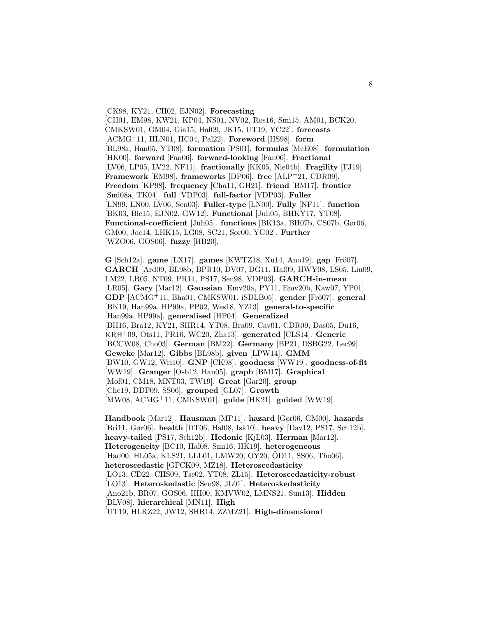[CK98, KY21, CH02, EJN02]. **Forecasting** [CH01, EM98, KW21, KP04, NS01, NV02, Ros16, Smi15, AM01, BCK20, CMKSW01, GM04, Gia15, Haf09, JK15, UT19, YC22]. **forecasts** [ACMG<sup>+</sup>11, HLN01, HC04, Pal22]. **Foreword** [HS98]. **form** [BL98a, Han05, YT08]. **formation** [PS01]. **formulas** [McE08]. **formulation** [HK00]. **forward** [Fan06]. **forward-looking** [Fan06]. **Fractional** [LV06, LP05, LV22, NF11]. **fractionally** [KK05, Nie04b]. **Fragility** [FJ19]. **Framework** [EM98]. **frameworks** [DP06]. **free** [ALP<sup>+</sup>21, CDR09]. **Freedom** [KP98]. **frequency** [Cha11, GH21]. **friend** [BM17]. **frontier** [Smi08a, TK04]. **full** [VDP03]. **full-factor** [VDP03]. **Fuller** [LN99, LN00, LV06, Sen03]. **Fuller-type** [LN00]. **Fully** [NF11]. **function** [BK03, Ble15, EJN02, GW12]. **Functional** [Juh05, BHKY17, YT08]. **Functional-coefficient** [Juh05]. **functions** [BK13a, BH07b, CS07b, Gør06, GM00, Joc14, LHK15, LG08, SC21, Sør00, YG02]. **Further** [WZO06, GOS06]. **fuzzy** [HB20].

**G** [Sch12a]. **game** [LX17]. **games** [KWTZ18, Xu14, Ano19]. **gap** [Frö07]. **GARCH** [Ard09, BL98b, BPR10, DV07, DG11, Haf09, HWY08, LS05, Liu09, LM22, LR05, NT09, PR14, PS17, Sen98, VDP03]. **GARCH-in-mean** [LR05]. **Gary** [Mar12]. **Gaussian** [Emv20a, PY11, Emv20b, Kaw07, YP01]. **GDP** [ACMG<sup>+</sup>11, Bha01, CMKSW01, iSDLB05]. **gender** [Frö07]. **general** [BK19, Han99a, HP99a, PP02, Wes18, YZ13]. **general-to-specific** [Han99a, HP99a]. **generalised** [HP04]. **Generalized** [BH16, Bra12, KY21, SHR14, YT08, Bra09, Cav01, CDR09, Das05, Du16, KRH<sup>+</sup>09, Ots11, PR16, WC20, Zha13]. **generated** [CLS14]. **Generic** [BCCW08, Cho03]. **German** [BM22]. **Germany** [BP21, DSBG22, Lec99]. **Geweke** [Mar12]. **Gibbs** [BL98b]. **given** [LPW14]. **GMM** [BW10, GW12, Wri10]. **GNP** [CK98]. **goodness** [WW19]. **goodness-of-fit** [WW19]. **Granger** [Osb12, Han05]. **graph** [BM17]. **Graphical** [Mof01, CM18, MNT03, TW19]. **Great** [Gar20]. **group** [Che19, DDF09, SS06]. **grouped** [GL07]. **Growth** [MW08, ACMG<sup>+</sup>11, CMKSW01]. **guide** [HK21]. **guided** [WW19].

**Handbook** [Mar12]. **Hausman** [MP11]. **hazard** [Gør06, GM00]. **hazards** [Bri11, Gør06]. **health** [DT06, Hal08, Isk10]. **heavy** [Dav12, PS17, Sch12b]. **heavy-tailed** [PS17, Sch12b]. **Hedonic** [KjL03]. **Herman** [Mar12]. **Heterogeneity** [BC10, Hal08, Smi16, HK19]. **heterogeneous** [Had00, HL05a, KLS21, LLL01, LMW20, OY20, ÖD11, SS06, Tho06]. **heteroscedastic** [GFCK09, MZ18]. **Heteroscedasticity** [LO13, CD22, CHS09, Tse02, YT08, ZL15]. **Heteroscedasticity-robust** [LO13]. **Heteroskedastic** [Sen98, JL01]. **Heteroskedasticity** [Ano21b, BR07, GOS06, HH00, KMVW02, LMNS21, Sun13]. **Hidden** [BLV08]. **hierarchical** [MN11]. **High** [UT19, HLRZ22, JW12, SHR14, ZZMZ21]. **High-dimensional**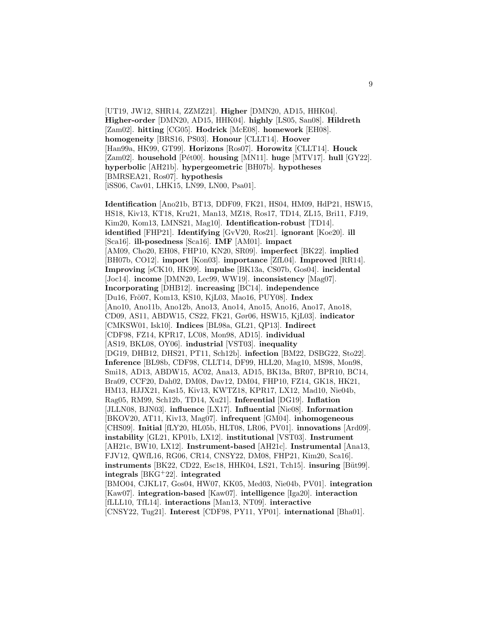[UT19, JW12, SHR14, ZZMZ21]. **Higher** [DMN20, AD15, HHK04]. **Higher-order** [DMN20, AD15, HHK04]. **highly** [LS05, San08]. **Hildreth** [Zam02]. **hitting** [CG05]. **Hodrick** [McE08]. **homework** [EH08]. **homogeneity** [BRS16, PS03]. **Honour** [CLLT14]. **Hoover** [Han99a, HK99, GT99]. **Horizons** [Ros07]. **Horowitz** [CLLT14]. **Houck** [Zam02]. **household** [Pét00]. **housing** [MN11]. **huge** [MTV17]. **hull** [GY22]. **hyperbolic** [AH21b]. **hypergeometric** [BH07b]. **hypotheses** [BMRSEA21, Ros07]. **hypothesis** [iSS06, Cav01, LHK15, LN99, LN00, Psa01].

**Identification** [Ano21b, BT13, DDF09, FK21, HS04, HM09, HdP21, HSW15, HS18, Kiv13, KT18, Kru21, Man13, MZ18, Ros17, TD14, ZL15, Bri11, FJ19, Kim20, Kom13, LMNS21, Mag10]. **Identification-robust** [TD14]. **identified** [FHP21]. **Identifying** [GvV20, Ros21]. **ignorant** [Koe20]. **ill** [Sca16]. **ill-posedness** [Sca16]. **IMF** [AM01]. **impact** [AM09, Cho20, EH08, FHP10, KN20, SR09]. **imperfect** [BK22]. **implied** [BH07b, CO12]. **import** [Kon03]. **importance** [ZfL04]. **Improved** [RR14]. **Improving** [sCK10, HK99]. **impulse** [BK13a, CS07b, Gos04]. **incidental** [Joc14]. **income** [DMN20, Lec99, WW19]. **inconsistency** [Mag07]. **Incorporating** [DHB12]. **increasing** [BC14]. **independence** [Du16, Frö07, Kom13, KS10, KjL03, Mao16, PUY08]. **Index** [Ano10, Ano11b, Ano12b, Ano13, Ano14, Ano15, Ano16, Ano17, Ano18, CD09, AS11, ABDW15, CS22, FK21, Gør06, HSW15, KjL03]. **indicator** [CMKSW01, Isk10]. **Indices** [BL98a, GL21, QP13]. **Indirect** [CDF98, FZ14, KPR17, LC08, Mon98, AD15]. **individual** [AS19, BKL08, OY06]. **industrial** [VST03]. **inequality** [DG19, DHB12, DHS21, PT11, Sch12b]. **infection** [BM22, DSBG22, Sto22]. **Inference** [BL98b, CDF98, CLLT14, DF99, HLL20, Mag10, MS98, Mon98, Smi18, AD13, ABDW15, AC02, Ana13, AD15, BK13a, BR07, BPR10, BC14, Bra09, CCF20, Dah02, DM08, Dav12, DM04, FHP10, FZ14, GK18, HK21, HM13, HJJX21, Kas15, Kiv13, KWTZ18, KPR17, LX12, Mad10, Nie04b, Rag05, RM99, Sch12b, TD14, Xu21]. **Inferential** [DG19]. **Inflation** [JLLN08, BJN03]. **influence** [LX17]. **Influential** [Nie08]. **Information** [BKOV20, AT11, Kiv13, Mag07]. **infrequent** [GM04]. **inhomogeneous** [CHS09]. **Initial** [fLY20, HL05b, HLT08, LR06, PV01]. **innovations** [Ard09]. **instability** [GL21, KP01b, LX12]. **institutional** [VST03]. **Instrument** [AH21c, BW10, LX12]. **Instrument-based** [AH21c]. **Instrumental** [Ana13, FJV12, QWfL16, RG06, CR14, CNSY22, DM08, FHP21, Kim20, Sca16]. **instruments** [BK22, CD22, Esc18, HHK04, LS21, Tch15]. **insuring** [Büt99]. **integrals** [BKG<sup>+</sup>22]. **integrated** [BMO04, CJKL17, Gos04, HW07, KK05, Med03, Nie04b, PV01]. **integration** [Kaw07]. **integration-based** [Kaw07]. **intelligence** [Iga20]. **interaction** [fLLL10, TfL14]. **interactions** [Man13, NT09]. **interactive** [CNSY22, Tug21]. **Interest** [CDF98, PY11, YP01]. **international** [Bha01].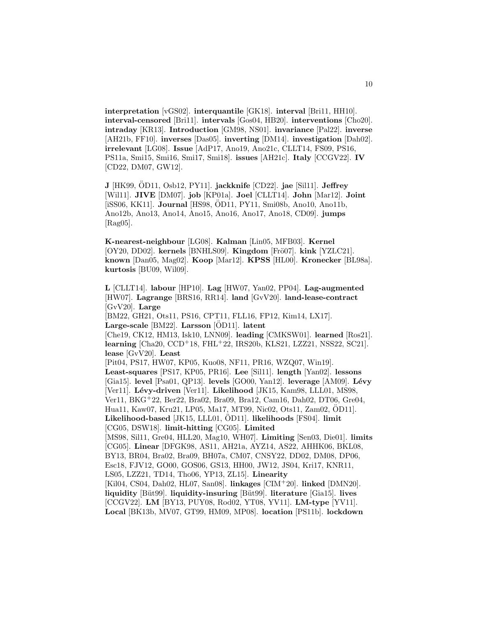**interpretation** [vGS02]. **interquantile** [GK18]. **interval** [Bri11, HH10]. **interval-censored** [Bri11]. **intervals** [Gos04, HB20]. **interventions** [Cho20]. **intraday** [KR13]. **Introduction** [GM98, NS01]. **invariance** [Pal22]. **inverse** [AH21b, FF10]. **inverses** [Das05]. **inverting** [DM14]. **investigation** [Dah02]. **irrelevant** [LG08]. **Issue** [AdP17, Ano19, Ano21c, CLLT14, FS09, PS16, PS11a, Smi15, Smi16, Smi17, Smi18]. **issues** [AH21c]. **Italy** [CCGV22]. **IV** [CD22, DM07, GW12].

10

**J** [HK99, OD11, Osb12, PY11]. ¨ **jackknife** [CD22]. **jae** [Sil11]. **Jeffrey** [Wil11]. **JIVE** [DM07]. **job** [KP01a]. **Joel** [CLLT14]. **John** [Mar12]. **Joint** [iSS06, KK11]. **Journal** [HS98, ÖD11, PY11, Smi08b, Ano10, Ano11b, Ano12b, Ano13, Ano14, Ano15, Ano16, Ano17, Ano18, CD09]. **jumps** [Rag05].

**K-nearest-neighbour** [LG08]. **Kalman** [Lin05, MFB03]. **Kernel** [OY20, DD02]. **kernels** [BNHLS09]. **Kingdom** [Frö07]. **kink** [YZLC21]. **known** [Dan05, Mag02]. **Koop** [Mar12]. **KPSS** [HL00]. **Kronecker** [BL98a]. **kurtosis** [BU09, Wil09].

**L** [CLLT14]. **labour** [HP10]. **Lag** [HW07, Yan02, PP04]. **Lag-augmented** [HW07]. **Lagrange** [BRS16, RR14]. **land** [GvV20]. **land-lease-contract** [GvV20]. **Large** [BM22, GH21, Ots11, PS16, CPT11, FLL16, FP12, Kim14, LX17]. **Large-scale** [BM22]. **Larsson** [ÖD11]. **latent** [Che19, CK12, HM13, Isk10, LNN09]. **leading** [CMKSW01]. **learned** [Ros21]. **learning** [Cha20, CCD<sup>+</sup>18, FHL<sup>+</sup>22, IRS20b, KLS21, LZZ21, NSS22, SC21]. **lease** [GvV20]. **Least** [Pit04, PS17, HW07, KP05, Kuo08, NF11, PR16, WZQ07, Win19]. **Least-squares** [PS17, KP05, PR16]. **Lee** [Sil11]. **length** [Yan02]. **lessons** [Gia15]. **level** [Psa01, QP13]. **levels** [GO00, Yan12]. **leverage** [AM09]. **L´evy** [Ver11]. Lévy-driven [Ver11]. Likelihood [JK15, Kam98, LLL01, MS98, Ver11, BKG<sup>+</sup>22, Ber22, Bra02, Bra09, Bra12, Cam16, Dah02, DT06, Gre04, Hua11, Kaw07, Kru21, LP05, Ma17, MT99, Nic02, Ots11, Zam02, OD11]. ¨ **Likelihood-based** [JK15, LLL01, OD11]. **likelihoods** [FS04]. **limit** [CG05, DSW18]. **limit-hitting** [CG05]. **Limited** [MS98, Sil11, Gre04, HLL20, Mag10, WH07]. **Limiting** [Sen03, Die01]. **limits** [CG05]. **Linear** [DFGK98, AS11, AH21a, AYZ14, AS22, AHHK06, BKL08, BY13, BR04, Bra02, Bra09, BH07a, CM07, CNSY22, DD02, DM08, DP06, Esc18, FJV12, GO00, GOS06, GS13, HH00, JW12, JS04, Kri17, KNR11, LS05, LZZ21, TD14, Tho06, YP13, ZL15]. **Linearity** [Kil04, CS04, Dah02, HL07, San08]. **linkages** [CIM<sup>+</sup>20]. **linked** [DMN20]. **liquidity** [B¨ut99]. **liquidity-insuring** [B¨ut99]. **literature** [Gia15]. **lives** [CCGV22]. **LM** [BY13, PUY08, Rod02, YT08, YV11]. **LM-type** [YV11]. **Local** [BK13b, MV07, GT99, HM09, MP08]. **location** [PS11b]. **lockdown**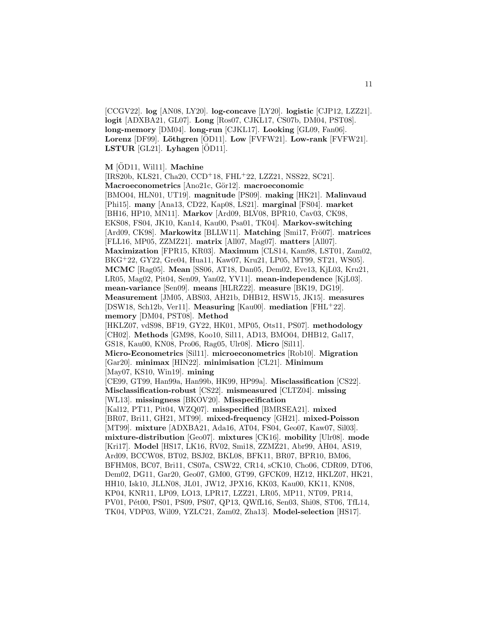[CCGV22]. **log** [AN08, LY20]. **log-concave** [LY20]. **logistic** [CJP12, LZZ21]. **logit** [ADXBA21, GL07]. **Long** [Ros07, CJKL17, CS07b, DM04, PST08]. **long-memory** [DM04]. **long-run** [CJKL17]. **Looking** [GL09, Fan06]. **Lorenz** [DF99]. **Löthgren** [ÖD11]. **Low** [FVFW21]. **Low-rank** [FVFW21]. **LSTUR**  $[GL21]$ . **Lyhagen**  $[OD11]$ .

### **M** [ÖD11, Wil11]. **Machine**

[IRS20b, KLS21, Cha20, CCD<sup>+</sup>18, FHL<sup>+</sup>22, LZZ21, NSS22, SC21]. Macroeconometrics<sup>[Ano21c, Gör12].</sup> macroeconomic [BMO04, HLN01, UT19]. **magnitude** [PS09]. **making** [HK21]. **Malinvaud** [Phi15]. **many** [Ana13, CD22, Kap08, LS21]. **marginal** [FS04]. **market** [BH16, HP10, MN11]. **Markov** [Ard09, BLV08, BPR10, Cav03, CK98, EKS08, FS04, JK10, Kan14, Kau00, Psa01, TK04]. **Markov-switching** [Ard09, CK98]. **Markowitz** [BLLW11]. **Matching** [Smi17, Frö07]. **matrices** [FLL16, MP05, ZZMZ21]. **matrix** [All07, Mag07]. **matters** [All07]. **Maximization** [FPR15, KR03]. **Maximum** [CLS14, Kam98, LST01, Zam02, BKG<sup>+</sup>22, GY22, Gre04, Hua11, Kaw07, Kru21, LP05, MT99, ST21, WS05]. **MCMC** [Rag05]. **Mean** [SS06, AT18, Dan05, Dem02, Eve13, KjL03, Kru21, LR05, Mag02, Pit04, Sen09, Yan02, YV11]. **mean-independence** [KjL03]. **mean-variance** [Sen09]. **means** [HLRZ22]. **measure** [BK19, DG19]. **Measurement** [JM05, ABS03, AH21b, DHB12, HSW15, JK15]. **measures** [DSW18, Sch12b, Ver11]. **Measuring** [Kau00]. **mediation** [FHL<sup>+</sup>22]. **memory** [DM04, PST08]. **Method** [HKLZ07, vdS98, BF19, GY22, HK01, MP05, Ots11, PS07]. **methodology** [CH02]. **Methods** [GM98, Koo10, Sil11, AD13, BMO04, DHB12, Gal17, GS18, Kau00, KN08, Pro06, Rag05, Ulr08]. **Micro** [Sil11]. **Micro-Econometrics** [Sil11]. **microeconometrics** [Rob10]. **Migration** [Gar20]. **minimax** [HIN22]. **minimisation** [CL21]. **Minimum** [May07, KS10, Win19]. **mining** [CE99, GT99, Han99a, Han99b, HK99, HP99a]. **Misclassification** [CS22]. **Misclassification-robust** [CS22]. **mismeasured** [CLTZ04]. **missing** [WL13]. **missingness** [BKOV20]. **Misspecification** [Kal12, PT11, Pit04, WZQ07]. **misspecified** [BMRSEA21]. **mixed** [BR07, Bri11, GH21, MT99]. **mixed-frequency** [GH21]. **mixed-Poisson** [MT99]. **mixture** [ADXBA21, Ada16, AT04, FS04, Geo07, Kaw07, Sil03]. **mixture-distribution** [Geo07]. **mixtures** [CK16]. **mobility** [Ulr08]. **mode** [Kri17]. **Model** [HS17, LK16, RV02, Smi18, ZZMZ21, Abr99, AH04, AS19, Ard09, BCCW08, BT02, BSJ02, BKL08, BFK11, BR07, BPR10, BM06, BFHM08, BC07, Bri11, CS07a, CSW22, CR14, sCK10, Cho06, CDR09, DT06, Dem02, DG11, Gar20, Geo07, GM00, GT99, GFCK09, HZ12, HKLZ07, HK21, HH10, Isk10, JLLN08, JL01, JW12, JPX16, KK03, Kau00, KK11, KN08, KP04, KNR11, LP09, LO13, LPR17, LZZ21, LR05, MP11, NT09, PR14, PV01, Pét00, PS01, PS09, PS07, QP13, QWfL16, Sen03, Shi08, ST06, TfL14, TK04, VDP03, Wil09, YZLC21, Zam02, Zha13]. **Model-selection** [HS17].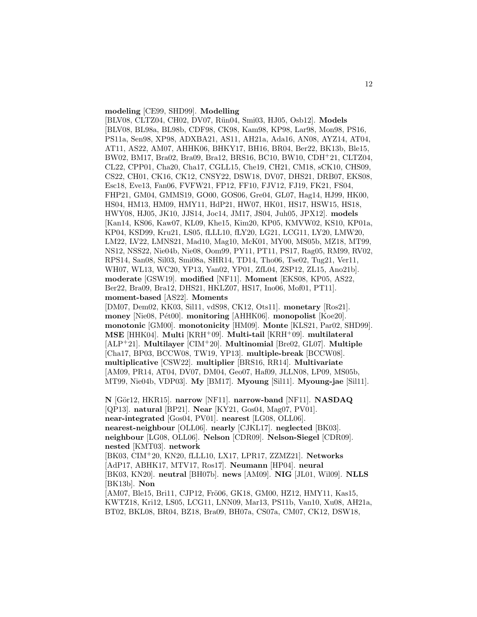#### **modeling** [CE99, SHD99]. **Modelling**

[BLV08, CLTZ04, CH02, DV07, Rün04, Smi03, HJ05, Osb12]. Models [BLV08, BL98a, BL98b, CDF98, CK98, Kam98, KP98, Lar98, Mon98, PS16, PS11a, Sen98, XP98, ADXBA21, AS11, AH21a, Ada16, AN08, AYZ14, AT04, AT11, AS22, AM07, AHHK06, BHKY17, BH16, BR04, Ber22, BK13b, Ble15, BW02, BM17, Bra02, Bra09, Bra12, BRS16, BC10, BW10, CDH<sup>+</sup>21, CLTZ04, CL22, CPP01, Cha20, Cha17, CGLL15, Che19, CH21, CM18, sCK10, CHS09, CS22, CH01, CK16, CK12, CNSY22, DSW18, DV07, DHS21, DRB07, EKS08, Esc18, Eve13, Fan06, FVFW21, FP12, FF10, FJV12, FJ19, FK21, FS04, FHP21, GM04, GMMS19, GO00, GOS06, Gre04, GL07, Hag14, HJ99, HK00, HS04, HM13, HM09, HMY11, HdP21, HW07, HK01, HS17, HSW15, HS18, HWY08, HJ05, JK10, JJS14, Joc14, JM17, JS04, Juh05, JPX12]. **models** [Kan14, KS06, Kaw07, KL09, Khe15, Kim20, KP05, KMVW02, KS10, KP01a, KP04, KSD99, Kru21, LS05, fLLL10, fLY20, LG21, LCG11, LY20, LMW20, LM22, LV22, LMNS21, Mad10, Mag10, McK01, MY00, MS05b, MZ18, MT99, NS12, NSS22, Nie04b, Nie08, Oom99, PY11, PT11, PS17, Rag05, RM99, RV02, RPS14, San08, Sil03, Smi08a, SHR14, TD14, Tho06, Tse02, Tug21, Ver11, WH07, WL13, WC20, YP13, Yan02, YP01, ZfL04, ZSP12, ZL15, Ano21b]. **moderate** [GSW19]. **modified** [NF11]. **Moment** [EKS08, KP05, AS22, Ber22, Bra09, Bra12, DHS21, HKLZ07, HS17, Ino06, Mof01, PT11]. **moment-based** [AS22]. **Moments** [DM07, Dem02, KK03, Sil11, vdS98, CK12, Ots11]. **monetary** [Ros21].

**money** [Nie08, Pét00]. **monitoring** [AHHK06]. **monopolist** [Koe20]. **monotonic** [GM00]. **monotonicity** [HM09]. **Monte** [KLS21, Par02, SHD99]. **MSE** [HHK04]. **Multi** [KRH<sup>+</sup>09]. **Multi-tail** [KRH<sup>+</sup>09]. **multilateral** [ALP<sup>+</sup>21]. **Multilayer** [CIM<sup>+</sup>20]. **Multinomial** [Bre02, GL07]. **Multiple** [Cha17, BP03, BCCW08, TW19, YP13]. **multiple-break** [BCCW08]. **multiplicative** [CSW22]. **multiplier** [BRS16, RR14]. **Multivariate** [AM09, PR14, AT04, DV07, DM04, Geo07, Haf09, JLLN08, LP09, MS05b, MT99, Nie04b, VDP03]. **My** [BM17]. **Myoung** [Sil11]. **Myoung-jae** [Sil11].

**N** [G¨or12, HKR15]. **narrow** [NF11]. **narrow-band** [NF11]. **NASDAQ** [QP13]. **natural** [BP21]. **Near** [KY21, Gos04, Mag07, PV01]. **near-integrated** [Gos04, PV01]. **nearest** [LG08, OLL06]. **nearest-neighbour** [OLL06]. **nearly** [CJKL17]. **neglected** [BK03]. **neighbour** [LG08, OLL06]. **Nelson** [CDR09]. **Nelson-Siegel** [CDR09]. **nested** [KMT03]. **network** [BK03, CIM<sup>+</sup>20, KN20, fLLL10, LX17, LPR17, ZZMZ21]. **Networks** [AdP17, ABHK17, MTV17, Ros17]. **Neumann** [HP04]. **neural** [BK03, KN20]. **neutral** [BH07b]. **news** [AM09]. **NIG** [JL01, Wil09]. **NLLS** [BK13b]. **Non** [AM07, Ble15, Bri11, CJP12, Frö06, GK18, GM00, HZ12, HMY11, Kas15, KWTZ18, Kri12, LS05, LCG11, LNN09, Mar13, PS11b, Van10, Xu08, AH21a, BT02, BKL08, BR04, BZ18, Bra09, BH07a, CS07a, CM07, CK12, DSW18,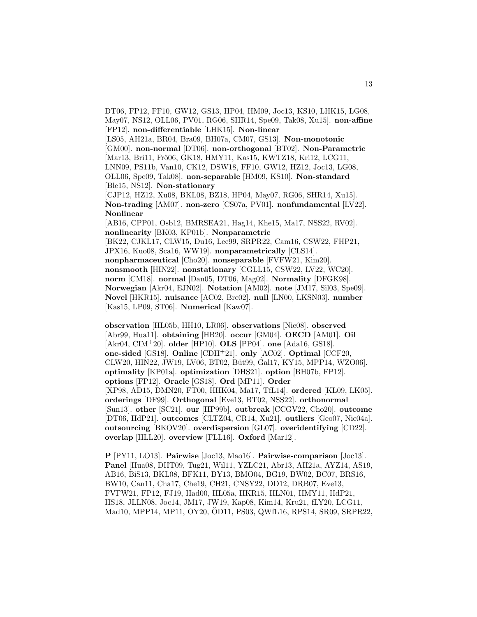DT06, FP12, FF10, GW12, GS13, HP04, HM09, Joc13, KS10, LHK15, LG08, May07, NS12, OLL06, PV01, RG06, SHR14, Spe09, Tak08, Xu15]. **non-affine** [FP12]. **non-differentiable** [LHK15]. **Non-linear** [LS05, AH21a, BR04, Bra09, BH07a, CM07, GS13]. **Non-monotonic** [GM00]. **non-normal** [DT06]. **non-orthogonal** [BT02]. **Non-Parametric** [Mar13, Bri11, Frö06, GK18, HMY11, Kas15, KWTZ18, Kri12, LCG11, LNN09, PS11b, Van10, CK12, DSW18, FF10, GW12, HZ12, Joc13, LG08, OLL06, Spe09, Tak08]. **non-separable** [HM09, KS10]. **Non-standard** [Ble15, NS12]. **Non-stationary** [CJP12, HZ12, Xu08, BKL08, BZ18, HP04, May07, RG06, SHR14, Xu15]. **Non-trading** [AM07]. **non-zero** [CS07a, PV01]. **nonfundamental** [LV22]. **Nonlinear** [AB16, CPP01, Osb12, BMRSEA21, Hag14, Khe15, Ma17, NSS22, RV02]. **nonlinearity** [BK03, KP01b]. **Nonparametric** [BK22, CJKL17, CLW15, Du16, Lec99, SRPR22, Cam16, CSW22, FHP21, JPX16, Kuo08, Sca16, WW19]. **nonparametrically** [CLS14]. **nonpharmaceutical** [Cho20]. **nonseparable** [FVFW21, Kim20]. **nonsmooth** [HIN22]. **nonstationary** [CGLL15, CSW22, LV22, WC20]. **norm** [CM18]. **normal** [Dan05, DT06, Mag02]. **Normality** [DFGK98]. **Norwegian** [Akr04, EJN02]. **Notation** [AM02]. **note** [JM17, Sil03, Spe09]. **Novel** [HKR15]. **nuisance** [AC02, Bre02]. **null** [LN00, LKSN03]. **number** [Kas15, LP09, ST06]. **Numerical** [Kaw07].

**observation** [HL05b, HH10, LR06]. **observations** [Nie08]. **observed** [Abr99, Hua11]. **obtaining** [HB20]. **occur** [GM04]. **OECD** [AM01]. **Oil** [Akr04, CIM<sup>+</sup>20]. **older** [HP10]. **OLS** [PP04]. **one** [Ada16, GS18]. **one-sided** [GS18]. **Online** [CDH<sup>+</sup>21]. **only** [AC02]. **Optimal** [CCF20, CLW20, HIN22, JW19, LV06, BT02, Büt99, Gal17, KY15, MPP14, WZO06]. **optimality** [KP01a]. **optimization** [DHS21]. **option** [BH07b, FP12]. **options** [FP12]. **Oracle** [GS18]. **Ord** [MP11]. **Order** [XP98, AD15, DMN20, FT00, HHK04, Ma17, TfL14]. **ordered** [KL09, LK05]. **orderings** [DF99]. **Orthogonal** [Eve13, BT02, NSS22]. **orthonormal** [Sun13]. **other** [SC21]. **our** [HP99b]. **outbreak** [CCGV22, Cho20]. **outcome** [DT06, HdP21]. **outcomes** [CLTZ04, CR14, Xu21]. **outliers** [Geo07, Nie04a]. **outsourcing** [BKOV20]. **overdispersion** [GL07]. **overidentifying** [CD22]. **overlap** [HLL20]. **overview** [FLL16]. **Oxford** [Mar12].

**P** [PY11, LO13]. **Pairwise** [Joc13, Mao16]. **Pairwise-comparison** [Joc13]. **Panel** [Hua08, DHT09, Tug21, Wil11, YZLC21, Abr13, AH21a, AYZ14, AS19, AB16, BiS13, BKL08, BFK11, BY13, BMO04, BG19, BW02, BC07, BRS16, BW10, Can11, Cha17, Che19, CH21, CNSY22, DD12, DRB07, Eve13, FVFW21, FP12, FJ19, Had00, HL05a, HKR15, HLN01, HMY11, HdP21, HS18, JLLN08, Joc14, JM17, JW19, Kap08, Kim14, Kru21, fLY20, LCG11, Mad10, MPP14, MP11, OY20, ÖD11, PS03, QWfL16, RPS14, SR09, SRPR22,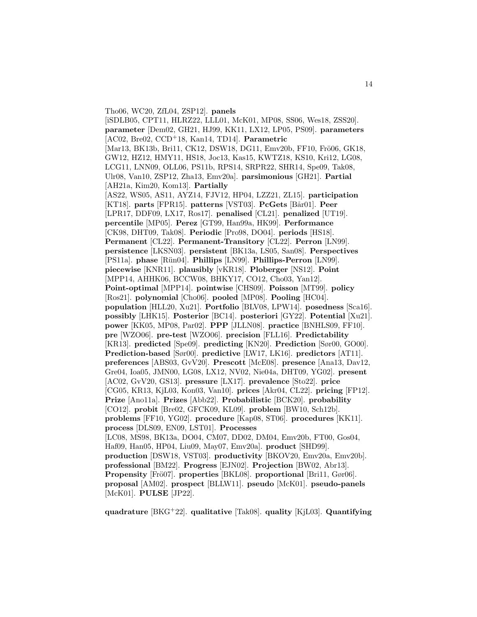Tho06, WC20, ZfL04, ZSP12]. **panels** [iSDLB05, CPT11, HLRZ22, LLL01, McK01, MP08, SS06, Wes18, ZSS20]. **parameter** [Dem02, GH21, HJ99, KK11, LX12, LP05, PS09]. **parameters** [AC02, Bre02, CCD<sup>+</sup>18, Kan14, TD14]. **Parametric** [Mar13, BK13b, Bri11, CK12, DSW18, DG11, Emv20b, FF10, Frö06, GK18, GW12, HZ12, HMY11, HS18, Joc13, Kas15, KWTZ18, KS10, Kri12, LG08, LCG11, LNN09, OLL06, PS11b, RPS14, SRPR22, SHR14, Spe09, Tak08, Ulr08, Van10, ZSP12, Zha13, Emv20a]. **parsimonious** [GH21]. **Partial** [AH21a, Kim20, Kom13]. **Partially** [AS22, WS05, AS11, AYZ14, FJV12, HP04, LZZ21, ZL15]. **participation** [KT18]. **parts** [FPR15]. **patterns** [VST03]. **PcGets** [Bår01]. **Peer** [LPR17, DDF09, LX17, Ros17]. **penalised** [CL21]. **penalized** [UT19]. **percentile** [MP05]. **Perez** [GT99, Han99a, HK99]. **Performance** [CK98, DHT09, Tak08]. **Periodic** [Pro98, DO04]. **periods** [HS18]. **Permanent** [CL22]. **Permanent-Transitory** [CL22]. **Perron** [LN99]. **persistence** [LKSN03]. **persistent** [BK13a, LS05, San08]. **Perspectives** [PS11a]. **phase** [Rün04]. **Phillips** [LN99]. **Phillips-Perron** [LN99]. **piecewise** [KNR11]. **plausibly** [vKR18]. **Ploberger** [NS12]. **Point** [MPP14, AHHK06, BCCW08, BHKY17, CO12, Cho03, Yan12]. **Point-optimal** [MPP14]. **pointwise** [CHS09]. **Poisson** [MT99]. **policy** [Ros21]. **polynomial** [Cho06]. **pooled** [MP08]. **Pooling** [HC04]. **population** [HLL20, Xu21]. **Portfolio** [BLV08, LPW14]. **posedness** [Sca16]. **possibly** [LHK15]. **Posterior** [BC14]. **posteriori** [GY22]. **Potential** [Xu21]. **power** [KK05, MP08, Par02]. **PPP** [JLLN08]. **practice** [BNHLS09, FF10]. **pre** [WZO06]. **pre-test** [WZO06]. **precision** [FLL16]. **Predictability** [KR13]. **predicted** [Spe09]. **predicting** [KN20]. **Prediction** [Sør00, GO00]. **Prediction-based** [Sør00]. **predictive** [LW17, LK16]. **predictors** [AT11]. **preferences** [ABS03, GvV20]. **Prescott** [McE08]. **presence** [Ana13, Dav12, Gre04, Ioa05, JMN00, LG08, LX12, NV02, Nie04a, DHT09, YG02]. **present** [AC02, GvV20, GS13]. **pressure** [LX17]. **prevalence** [Sto22]. **price** [CG05, KR13, KjL03, Kon03, Van10]. **prices** [Akr04, CL22]. **pricing** [FP12]. **Prize** [Ano11a]. **Prizes** [Abb22]. **Probabilistic** [BCK20]. **probability** [CO12]. **probit** [Bre02, GFCK09, KL09]. **problem** [BW10, Sch12b]. **problems** [FF10, YG02]. **procedure** [Kap08, ST06]. **procedures** [KK11]. **process** [DLS09, EN09, LST01]. **Processes** [LC08, MS98, BK13a, DO04, CM07, DD02, DM04, Emv20b, FT00, Gos04, Haf09, Han05, HP04, Liu09, May07, Emv20a]. **product** [SHD99]. **production** [DSW18, VST03]. **productivity** [BKOV20, Emv20a, Emv20b]. **professional** [BM22]. **Progress** [EJN02]. **Projection** [BW02, Abr13]. **Propensity** [Frö07]. **properties** [BKL08]. **proportional** [Bri11, Gør06]. **proposal** [AM02]. **prospect** [BLLW11]. **pseudo** [McK01]. **pseudo-panels** [McK01]. **PULSE** [JP22].

**quadrature** [BKG<sup>+</sup>22]. **qualitative** [Tak08]. **quality** [KjL03]. **Quantifying**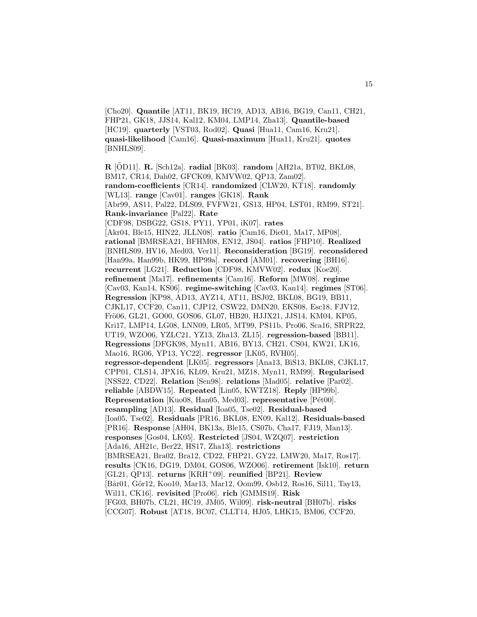[Cho20]. **Quantile** [AT11, BK19, HC19, AD13, AB16, BG19, Can11, CH21, FHP21, GK18, JJS14, Kal12, KM04, LMP14, Zha13]. **Quantile-based** [HC19]. **quarterly** [VST03, Rod02]. **Quasi** [Hua11, Cam16, Kru21]. **quasi-likelihood** [Cam16]. **Quasi-maximum** [Hua11, Kru21]. **quotes** [BNHLS09].

**R** [OD11]. ¨ **R.** [Sch12a]. **radial** [BK03]. **random** [AH21a, BT02, BKL08, BM17, CR14, Dah02, GFCK09, KMVW02, QP13, Zam02]. **random-coefficients** [CR14]. **randomized** [CLW20, KT18]. **randomly** [WL13]. **range** [Cav01]. **ranges** [GK18]. **Rank** [Abr99, AS11, Pal22, DLS09, FVFW21, GS13, HP04, LST01, RM99, ST21]. **Rank-invariance** [Pal22]. **Rate** [CDF98, DSBG22, GS18, PY11, YP01, iK07]. **rates** [Akr04, Ble15, HIN22, JLLN08]. **ratio** [Cam16, Die01, Ma17, MP08]. **rational** [BMRSEA21, BFHM08, EN12, JS04]. **ratios** [FHP10]. **Realized** [BNHLS09, HV16, Med03, Ver11]. **Reconsideration** [BG19]. **reconsidered** [Han99a, Han99b, HK99, HP99a]. **record** [AM01]. **recovering** [BH16]. **recurrent** [LG21]. **Reduction** [CDF98, KMVW02]. **redux** [Koe20]. **refinement** [Ma17]. **refinements** [Cam16]. **Reform** [MW08]. **regime** [Cav03, Kan14, KS06]. **regime-switching** [Cav03, Kan14]. **regimes** [ST06]. **Regression** [KP98, AD13, AYZ14, AT11, BSJ02, BKL08, BG19, BB11, CJKL17, CCF20, Can11, CJP12, CSW22, DMN20, EKS08, Esc18, FJV12, Frö06, GL21, GO00, GOS06, GL07, HB20, HJJX21, JJS14, KM04, KP05, Kri17, LMP14, LG08, LNN09, LR05, MT99, PS11b, Pro06, Sca16, SRPR22, UT19, WZO06, YZLC21, YZ13, Zha13, ZL15]. **regression-based** [BB11]. **Regressions** [DFGK98, Myn11, AB16, BY13, CH21, CS04, KW21, LK16, Mao16, RG06, YP13, YC22]. **regressor** [LK05, RVH05]. **regressor-dependent** [LK05]. **regressors** [Ana13, BiS13, BKL08, CJKL17, CPP01, CLS14, JPX16, KL09, Kru21, MZ18, Myn11, RM99]. **Regularised** [NSS22, CD22]. **Relation** [Sen98]. **relations** [Mad05]. **relative** [Par02]. **reliable** [ABDW15]. **Repeated** [Lin05, KWTZ18]. **Reply** [HP99b]. **Representation** [Kuo08, Han05, Med03]. **representative** [Pét00]. **resampling** [AD13]. **Residual** [Ioa05, Tse02]. **Residual-based** [Ioa05, Tse02]. **Residuals** [PR16, BKL08, EN09, Kal12]. **Residuals-based** [PR16]. **Response** [AH04, BK13a, Ble15, CS07b, Cha17, FJ19, Man13]. **responses** [Gos04, LK05]. **Restricted** [JS04, WZQ07]. **restriction** [Ada16, AH21c, Ber22, HS17, Zha13]. **restrictions** [BMRSEA21, Bra02, Bra12, CD22, FHP21, GY22, LMW20, Ma17, Ros17]. **results** [CK16, DG19, DM04, GOS06, WZO06]. **retirement** [Isk10]. **return** [GL21, QP13]. **returns** [KRH<sup>+</sup>09]. **reunified** [BP21]. **Review** [Bår01, Gör12, Koo10, Mar13, Mar12, Oom99, Osb12, Ros16, Sil11, Tay13, Wil11, CK16]. **revisited** [Pro06]. **rich** [GMMS19]. **Risk** [FG03, BH07b, CL21, HC19, JM05, Wil09]. **risk-neutral** [BH07b]. **risks** [CCG07]. **Robust** [AT18, BC07, CLLT14, HJ05, LHK15, BM06, CCF20,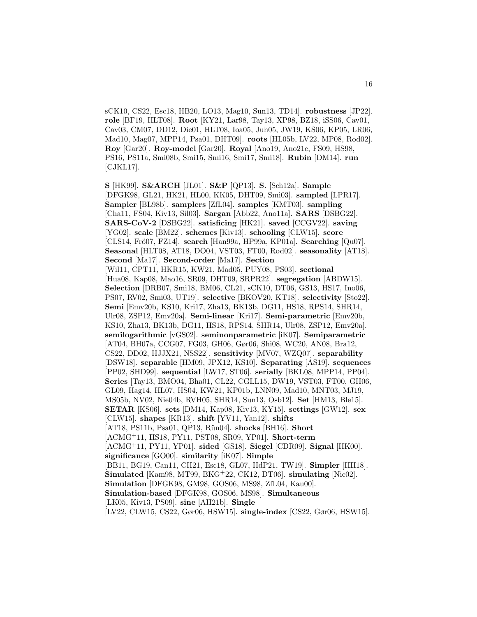sCK10, CS22, Esc18, HB20, LO13, Mag10, Sun13, TD14]. **robustness** [JP22]. **role** [BF19, HLT08]. **Root** [KY21, Lar98, Tay13, XP98, BZ18, iSS06, Cav01, Cav03, CM07, DD12, Die01, HLT08, Ioa05, Juh05, JW19, KS06, KP05, LR06, Mad10, Mag07, MPP14, Psa01, DHT09]. **roots** [HL05b, LV22, MP08, Rod02]. **Roy** [Gar20]. **Roy-model** [Gar20]. **Royal** [Ano19, Ano21c, FS09, HS98, PS16, PS11a, Smi08b, Smi15, Smi16, Smi17, Smi18]. **Rubin** [DM14]. **run** [CJKL17].

**S** [HK99]. **S&ARCH** [JL01]. **S&P** [QP13]. **S.** [Sch12a]. **Sample** [DFGK98, GL21, HK21, HL00, KK05, DHT09, Smi03]. **sampled** [LPR17]. **Sampler** [BL98b]. **samplers** [ZfL04]. **samples** [KMT03]. **sampling** [Cha11, FS04, Kiv13, Sil03]. **Sargan** [Abb22, Ano11a]. **SARS** [DSBG22]. **SARS-CoV-2** [DSBG22]. **satisficing** [HK21]. **saved** [CCGV22]. **saving** [YG02]. **scale** [BM22]. **schemes** [Kiv13]. **schooling** [CLW15]. **score** [CLS14, Frö07, FZ14]. **search** [Han99a, HP99a, KP01a]. **Searching** [Qu07]. **Seasonal** [HLT08, AT18, DO04, VST03, FT00, Rod02]. **seasonality** [AT18]. **Second** [Ma17]. **Second-order** [Ma17]. **Section** [Wil11, CPT11, HKR15, KW21, Mad05, PUY08, PS03]. **sectional** [Hua08, Kap08, Mao16, SR09, DHT09, SRPR22]. **segregation** [ABDW15]. **Selection** [DRB07, Smi18, BM06, CL21, sCK10, DT06, GS13, HS17, Ino06, PS07, RV02, Smi03, UT19]. **selective** [BKOV20, KT18]. **selectivity** [Sto22]. **Semi** [Emv20b, KS10, Kri17, Zha13, BK13b, DG11, HS18, RPS14, SHR14, Ulr08, ZSP12, Emv20a]. **Semi-linear** [Kri17]. **Semi-parametric** [Emv20b, KS10, Zha13, BK13b, DG11, HS18, RPS14, SHR14, Ulr08, ZSP12, Emv20a]. **semilogarithmic** [vGS02]. **seminonparametric** [iK07]. **Semiparametric** [AT04, BH07a, CCG07, FG03, GH06, Gør06, Shi08, WC20, AN08, Bra12, CS22, DD02, HJJX21, NSS22]. **sensitivity** [MV07, WZQ07]. **separability** [DSW18]. **separable** [HM09, JPX12, KS10]. **Separating** [AS19]. **sequences** [PP02, SHD99]. **sequential** [LW17, ST06]. **serially** [BKL08, MPP14, PP04]. **Series** [Tay13, BMO04, Bha01, CL22, CGLL15, DW19, VST03, FT00, GH06, GL09, Hag14, HL07, HS04, KW21, KP01b, LNN09, Mad10, MNT03, MJ19, MS05b, NV02, Nie04b, RVH05, SHR14, Sun13, Osb12]. **Set** [HM13, Ble15]. **SETAR** [KS06]. **sets** [DM14, Kap08, Kiv13, KY15]. **settings** [GW12]. **sex** [CLW15]. **shapes** [KR13]. **shift** [YV11, Yan12]. **shifts** [AT18, PS11b, Psa01, QP13, Rün04]. **shocks** [BH16]. **Short** [ACMG<sup>+</sup>11, HS18, PY11, PST08, SR09, YP01]. **Short-term** [ACMG<sup>+</sup>11, PY11, YP01]. **sided** [GS18]. **Siegel** [CDR09]. **Signal** [HK00]. **significance** [GO00]. **similarity** [iK07]. **Simple** [BB11, BG19, Can11, CH21, Esc18, GL07, HdP21, TW19]. **Simpler** [HH18]. **Simulated** [Kam98, MT99, BKG<sup>+</sup>22, CK12, DT06]. **simulating** [Nic02]. **Simulation** [DFGK98, GM98, GOS06, MS98, ZfL04, Kau00]. **Simulation-based** [DFGK98, GOS06, MS98]. **Simultaneous** [LK05, Kiv13, PS09]. **sine** [AH21b]. **Single** [LV22, CLW15, CS22, Gør06, HSW15]. **single-index** [CS22, Gør06, HSW15].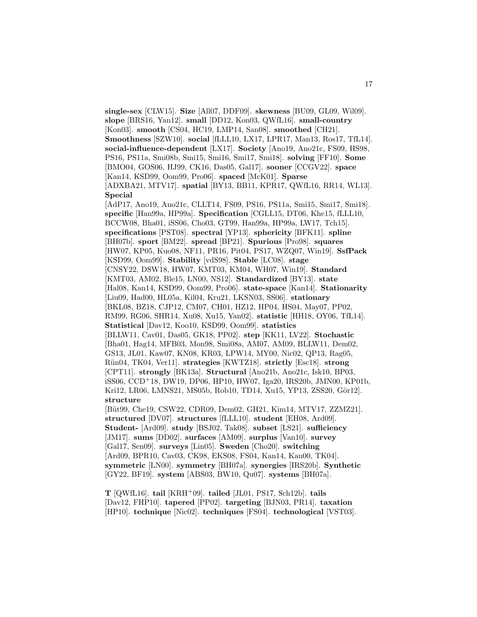**single-sex** [CLW15]. **Size** [All07, DDF09]. **skewness** [BU09, GL09, Wil09]. **slope** [BRS16, Yan12]. **small** [DD12, Kon03, QWfL16]. **small-country** [Kon03]. **smooth** [CS04, HC19, LMP14, San08]. **smoothed** [CH21]. **Smoothness** [SZW10]. **social** [fLLL10, LX17, LPR17, Man13, Ros17, TfL14]. **social-influence-dependent** [LX17]. **Society** [Ano19, Ano21c, FS09, HS98, PS16, PS11a, Smi08b, Smi15, Smi16, Smi17, Smi18]. **solving** [FF10]. **Some** [BMO04, GOS06, HJ99, CK16, Das05, Gal17]. **sooner** [CCGV22]. **space** [Kan14, KSD99, Oom99, Pro06]. **spaced** [McK01]. **Sparse** [ADXBA21, MTV17]. **spatial** [BY13, BB11, KPR17, QWfL16, RR14, WL13]. **Special** [AdP17, Ano19, Ano21c, CLLT14, FS09, PS16, PS11a, Smi15, Smi17, Smi18]. **specific** [Han99a, HP99a]. **Specification** [CGLL15, DT06, Khe15, fLLL10, BCCW08, Bha01, iSS06, Cho03, GT99, Han99a, HP99a, LW17, Tch15]. **specifications** [PST08]. **spectral** [YP13]. **sphericity** [BFK11]. **spline** [BH07b]. **sport** [BM22]. **spread** [BP21]. **Spurious** [Pro98]. **squares** [HW07, KP05, Kuo08, NF11, PR16, Pit04, PS17, WZQ07, Win19]. **SsfPack** [KSD99, Oom99]. **Stability** [vdS98]. **Stable** [LC08]. **stage** [CNSY22, DSW18, HW07, KMT03, KM04, WH07, Win19]. **Standard** [KMT03, AM02, Ble15, LN00, NS12]. **Standardized** [BY13]. **state** [Hal08, Kan14, KSD99, Oom99, Pro06]. **state-space** [Kan14]. **Stationarity** [Liu09, Had00, HL05a, Kil04, Kru21, LKSN03, SS06]. **stationary** [BKL08, BZ18, CJP12, CM07, CH01, HZ12, HP04, HS04, May07, PP02, RM99, RG06, SHR14, Xu08, Xu15, Yan02]. **statistic** [HH18, OY06, TfL14]. **Statistical** [Dav12, Koo10, KSD99, Oom99]. **statistics** [BLLW11, Cav01, Das05, GK18, PP02]. **step** [KK11, LV22]. **Stochastic** [Bha01, Hag14, MFB03, Mon98, Smi08a, AM07, AM09, BLLW11, Dem02, GS13, JL01, Kaw07, KN08, KR03, LPW14, MY00, Nic02, QP13, Rag05, R¨un04, TK04, Ver11]. **strategies** [KWTZ18]. **strictly** [Esc18]. **strong** [CPT11]. **strongly** [BK13a]. **Structural** [Ano21b, Ano21c, Isk10, BP03, iSS06, CCD<sup>+</sup>18, DW19, DP06, HP10, HW07, Iga20, IRS20b, JMN00, KP01b, Kri12, LR06, LMNS21, MS05b, Rob10, TD14, Xu15, YP13, ZSS20, Gör12. **structure** [Büt99, Che19, CSW22, CDR09, Dem02, GH21, Kim14, MTV17, ZZMZ21]. **structured** [DV07]. **structures** [fLLL10]. **student** [EH08, Ard09]. **Student-** [Ard09]. **study** [BSJ02, Tak08]. **subset** [LS21]. **sufficiency** [JM17]. **sums** [DD02]. **surfaces** [AM09]. **surplus** [Van10]. **survey** [Gal17, Sen09]. **surveys** [Lin05]. **Sweden** [Cho20]. **switching** [Ard09, BPR10, Cav03, CK98, EKS08, FS04, Kan14, Kau00, TK04]. **symmetric** [LN00]. **symmetry** [BH07a]. **synergies** [IRS20b]. **Synthetic**

**T** [QWfL16]. **tail** [KRH<sup>+</sup>09]. **tailed** [JL01, PS17, Sch12b]. **tails** [Dav12, FHP10]. **tapered** [PP02]. **targeting** [BJN03, PR14]. **taxation** [HP10]. **technique** [Nic02]. **techniques** [FS04]. **technological** [VST03].

[GY22, BF19]. **system** [ABS03, BW10, Qu07]. **systems** [BH07a].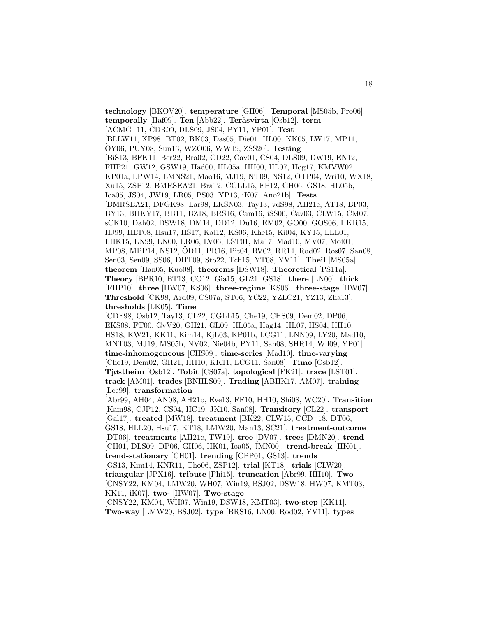**technology** [BKOV20]. **temperature** [GH06]. **Temporal** [MS05b, Pro06]. **temporally** [Haf09]. **Ten** [Abb22]. **Teräsvirta** [Osb12]. **term** [ACMG<sup>+</sup>11, CDR09, DLS09, JS04, PY11, YP01]. **Test** [BLLW11, XP98, BT02, BK03, Das05, Die01, HL00, KK05, LW17, MP11, OY06, PUY08, Sun13, WZO06, WW19, ZSS20]. **Testing** [BiS13, BFK11, Ber22, Bra02, CD22, Cav01, CS04, DLS09, DW19, EN12, FHP21, GW12, GSW19, Had00, HL05a, HH00, HL07, Hog17, KMVW02, KP01a, LPW14, LMNS21, Mao16, MJ19, NT09, NS12, OTP04, Wri10, WX18, Xu15, ZSP12, BMRSEA21, Bra12, CGLL15, FP12, GH06, GS18, HL05b, Ioa05, JS04, JW19, LR05, PS03, YP13, iK07, Ano21b]. **Tests** [BMRSEA21, DFGK98, Lar98, LKSN03, Tay13, vdS98, AH21c, AT18, BP03, BY13, BHKY17, BB11, BZ18, BRS16, Cam16, iSS06, Cav03, CLW15, CM07, sCK10, Dah02, DSW18, DM14, DD12, Du16, EM02, GO00, GOS06, HKR15, HJ99, HLT08, Hsu17, HS17, Kal12, KS06, Khe15, Kil04, KY15, LLL01, LHK15, LN99, LN00, LR06, LV06, LST01, Ma17, Mad10, MV07, Mof01, MP08, MPP14, NS12, OD11, PR16, Pit04, RV02, RR14, Rod02, Ros07, San08, ¨ Sen03, Sen09, SS06, DHT09, Sto22, Tch15, YT08, YV11]. **Theil** [MS05a]. **theorem** [Han05, Kuo08]. **theorems** [DSW18]. **Theoretical** [PS11a]. **Theory** [BPR10, BT13, CO12, Gia15, GL21, GS18]. **there** [LN00]. **thick** [FHP10]. **three** [HW07, KS06]. **three-regime** [KS06]. **three-stage** [HW07]. **Threshold** [CK98, Ard09, CS07a, ST06, YC22, YZLC21, YZ13, Zha13]. **thresholds** [LK05]. **Time** [CDF98, Osb12, Tay13, CL22, CGLL15, Che19, CHS09, Dem02, DP06, EKS08, FT00, GvV20, GH21, GL09, HL05a, Hag14, HL07, HS04, HH10, HS18, KW21, KK11, Kim14, KjL03, KP01b, LCG11, LNN09, LY20, Mad10, MNT03, MJ19, MS05b, NV02, Nie04b, PY11, San08, SHR14, Wil09, YP01]. **time-inhomogeneous** [CHS09]. **time-series** [Mad10]. **time-varying** [Che19, Dem02, GH21, HH10, KK11, LCG11, San08]. **Timo** [Osb12]. **Tjøstheim** [Osb12]. **Tobit** [CS07a]. **topological** [FK21]. **trace** [LST01]. **track** [AM01]. **trades** [BNHLS09]. **Trading** [ABHK17, AM07]. **training** [Lec99]. **transformation** [Abr99, AH04, AN08, AH21b, Eve13, FF10, HH10, Shi08, WC20]. **Transition** [Kam98, CJP12, CS04, HC19, JK10, San08]. **Transitory** [CL22]. **transport** [Gal17]. **treated** [MW18]. **treatment** [BK22, CLW15, CCD<sup>+</sup>18, DT06, GS18, HLL20, Hsu17, KT18, LMW20, Man13, SC21]. **treatment-outcome** [DT06]. **treatments** [AH21c, TW19]. **tree** [DV07]. **trees** [DMN20]. **trend** [CH01, DLS09, DP06, GH06, HK01, Ioa05, JMN00]. **trend-break** [HK01]. **trend-stationary** [CH01]. **trending** [CPP01, GS13]. **trends** [GS13, Kim14, KNR11, Tho06, ZSP12]. **trial** [KT18]. **trials** [CLW20]. **triangular** [JPX16]. **tribute** [Phi15]. **truncation** [Abr99, HH10]. **Two** [CNSY22, KM04, LMW20, WH07, Win19, BSJ02, DSW18, HW07, KMT03, KK11, iK07]. **two-** [HW07]. **Two-stage** [CNSY22, KM04, WH07, Win19, DSW18, KMT03]. **two-step** [KK11].

**Two-way** [LMW20, BSJ02]. **type** [BRS16, LN00, Rod02, YV11]. **types**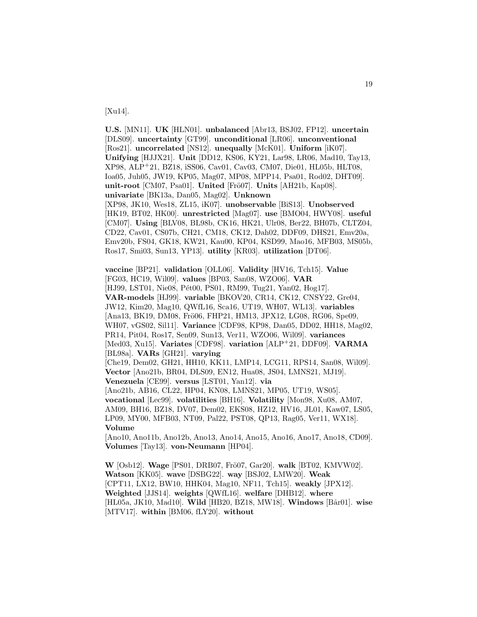[Xu14].

**U.S.** [MN11]. **UK** [HLN01]. **unbalanced** [Abr13, BSJ02, FP12]. **uncertain** [DLS09]. **uncertainty** [GT99]. **unconditional** [LR06]. **unconventional** [Ros21]. **uncorrelated** [NS12]. **unequally** [McK01]. **Uniform** [iK07]. **Unifying** [HJJX21]. **Unit** [DD12, KS06, KY21, Lar98, LR06, Mad10, Tay13, XP98, ALP<sup>+</sup>21, BZ18, iSS06, Cav01, Cav03, CM07, Die01, HL05b, HLT08, Ioa05, Juh05, JW19, KP05, Mag07, MP08, MPP14, Psa01, Rod02, DHT09]. **unit-root** [CM07, Psa01]. **United** [Frö07]. **Units** [AH21b, Kap08]. **univariate** [BK13a, Dan05, Mag02]. **Unknown** [XP98, JK10, Wes18, ZL15, iK07]. **unobservable** [BiS13]. **Unobserved** [HK19, BT02, HK00]. **unrestricted** [Mag07]. **use** [BMO04, HWY08]. **useful** [CM07]. **Using** [BLV08, BL98b, CK16, HK21, Ulr08, Ber22, BH07b, CLTZ04, CD22, Cav01, CS07b, CH21, CM18, CK12, Dah02, DDF09, DHS21, Emv20a, Emv20b, FS04, GK18, KW21, Kau00, KP04, KSD99, Mao16, MFB03, MS05b, Ros17, Smi03, Sun13, YP13]. **utility** [KR03]. **utilization** [DT06].

**vaccine** [BP21]. **validation** [OLL06]. **Validity** [HV16, Tch15]. **Value** [FG03, HC19, Wil09]. **values** [BP03, San08, WZO06]. **VAR** [HJ99, LST01, Nie08, Pét00, PS01, RM99, Tug21, Yan02, Hog17]. **VAR-models** [HJ99]. **variable** [BKOV20, CR14, CK12, CNSY22, Gre04, JW12, Kim20, Mag10, QWfL16, Sca16, UT19, WH07, WL13]. **variables** [Ana13, BK19, DM08, Frö06, FHP21, HM13, JPX12, LG08, RG06, Spe09, WH07, vGS02, Sil11]. **Variance** [CDF98, KP98, Dan05, DD02, HH18, Mag02, PR14, Pit04, Ros17, Sen09, Sun13, Ver11, WZO06, Wil09]. **variances** [Med03, Xu15]. **Variates** [CDF98]. **variation** [ALP<sup>+</sup>21, DDF09]. **VARMA** [BL98a]. **VARs** [GH21]. **varying** [Che19, Dem02, GH21, HH10, KK11, LMP14, LCG11, RPS14, San08, Wil09]. **Vector** [Ano21b, BR04, DLS09, EN12, Hua08, JS04, LMNS21, MJ19]. **Venezuela** [CE99]. **versus** [LST01, Yan12]. **via** [Ano21b, AB16, CL22, HP04, KN08, LMNS21, MP05, UT19, WS05]. **vocational** [Lec99]. **volatilities** [BH16]. **Volatility** [Mon98, Xu08, AM07, AM09, BH16, BZ18, DV07, Dem02, EKS08, HZ12, HV16, JL01, Kaw07, LS05,

LP09, MY00, MFB03, NT09, Pal22, PST08, QP13, Rag05, Ver11, WX18]. **Volume**

[Ano10, Ano11b, Ano12b, Ano13, Ano14, Ano15, Ano16, Ano17, Ano18, CD09]. **Volumes** [Tay13]. **von-Neumann** [HP04].

**W** [Osb12]. **Wage** [PS01, DRB07, Frö07, Gar20]. **walk** [BT02, KMVW02]. **Watson** [KK05]. **wave** [DSBG22]. **way** [BSJ02, LMW20]. **Weak** [CPT11, LX12, BW10, HHK04, Mag10, NF11, Tch15]. **weakly** [JPX12]. **Weighted** [JJS14]. **weights** [QWfL16]. **welfare** [DHB12]. **where** [HL05a, JK10, Mad10]. **Wild** [HB20, BZ18, MW18]. **Windows** [Bår01]. wise [MTV17]. **within** [BM06, fLY20]. **without**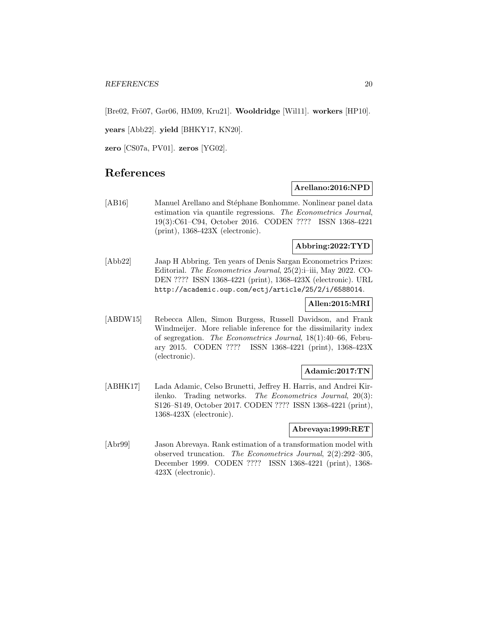[Bre02, Frö07, Gør06, HM09, Kru21]. **Wooldridge** [Wil11]. **workers** [HP10].

**years** [Abb22]. **yield** [BHKY17, KN20].

**zero** [CS07a, PV01]. **zeros** [YG02].

# **References**

### **Arellano:2016:NPD**

[AB16] Manuel Arellano and Stéphane Bonhomme. Nonlinear panel data estimation via quantile regressions. The Econometrics Journal, 19(3):C61–C94, October 2016. CODEN ???? ISSN 1368-4221 (print), 1368-423X (electronic).

#### **Abbring:2022:TYD**

[Abb22] Jaap H Abbring. Ten years of Denis Sargan Econometrics Prizes: Editorial. The Econometrics Journal, 25(2):i–iii, May 2022. CO-DEN ???? ISSN 1368-4221 (print), 1368-423X (electronic). URL http://academic.oup.com/ectj/article/25/2/i/6588014.

### **Allen:2015:MRI**

[ABDW15] Rebecca Allen, Simon Burgess, Russell Davidson, and Frank Windmeijer. More reliable inference for the dissimilarity index of segregation. The Econometrics Journal, 18(1):40–66, February 2015. CODEN ???? ISSN 1368-4221 (print), 1368-423X (electronic).

### **Adamic:2017:TN**

[ABHK17] Lada Adamic, Celso Brunetti, Jeffrey H. Harris, and Andrei Kirilenko. Trading networks. The Econometrics Journal, 20(3): S126–S149, October 2017. CODEN ???? ISSN 1368-4221 (print), 1368-423X (electronic).

#### **Abrevaya:1999:RET**

[Abr99] Jason Abrevaya. Rank estimation of a transformation model with observed truncation. The Econometrics Journal, 2(2):292–305, December 1999. CODEN ???? ISSN 1368-4221 (print), 1368- 423X (electronic).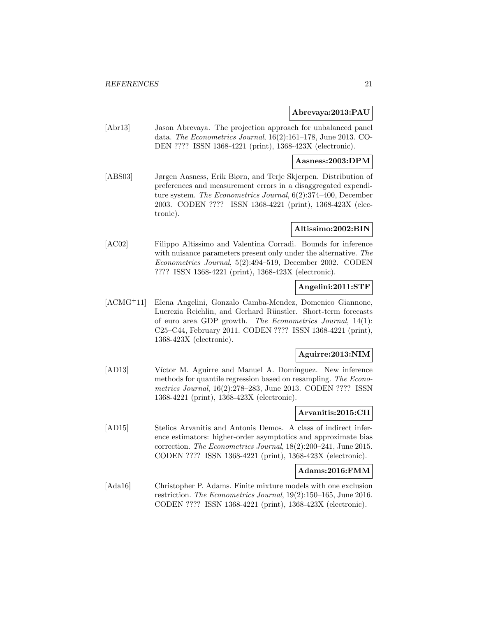#### **Abrevaya:2013:PAU**

[Abr13] Jason Abrevaya. The projection approach for unbalanced panel data. The Econometrics Journal, 16(2):161–178, June 2013. CO-DEN ???? ISSN 1368-4221 (print), 1368-423X (electronic).

#### **Aasness:2003:DPM**

[ABS03] Jørgen Aasness, Erik Biørn, and Terje Skjerpen. Distribution of preferences and measurement errors in a disaggregated expenditure system. The Econometrics Journal, 6(2):374–400, December 2003. CODEN ???? ISSN 1368-4221 (print), 1368-423X (electronic).

#### **Altissimo:2002:BIN**

[AC02] Filippo Altissimo and Valentina Corradi. Bounds for inference with nuisance parameters present only under the alternative. The Econometrics Journal, 5(2):494–519, December 2002. CODEN ???? ISSN 1368-4221 (print), 1368-423X (electronic).

### **Angelini:2011:STF**

[ACMG<sup>+</sup>11] Elena Angelini, Gonzalo Camba-Mendez, Domenico Giannone, Lucrezia Reichlin, and Gerhard Rünstler. Short-term forecasts of euro area GDP growth. The Econometrics Journal, 14(1): C25–C44, February 2011. CODEN ???? ISSN 1368-4221 (print), 1368-423X (electronic).

### **Aguirre:2013:NIM**

[AD13] Víctor M. Aguirre and Manuel A. Domínguez. New inference methods for quantile regression based on resampling. The Econometrics Journal, 16(2):278–283, June 2013. CODEN ???? ISSN 1368-4221 (print), 1368-423X (electronic).

### **Arvanitis:2015:CII**

[AD15] Stelios Arvanitis and Antonis Demos. A class of indirect inference estimators: higher-order asymptotics and approximate bias correction. The Econometrics Journal, 18(2):200–241, June 2015. CODEN ???? ISSN 1368-4221 (print), 1368-423X (electronic).

### **Adams:2016:FMM**

[Ada16] Christopher P. Adams. Finite mixture models with one exclusion restriction. The Econometrics Journal, 19(2):150–165, June 2016. CODEN ???? ISSN 1368-4221 (print), 1368-423X (electronic).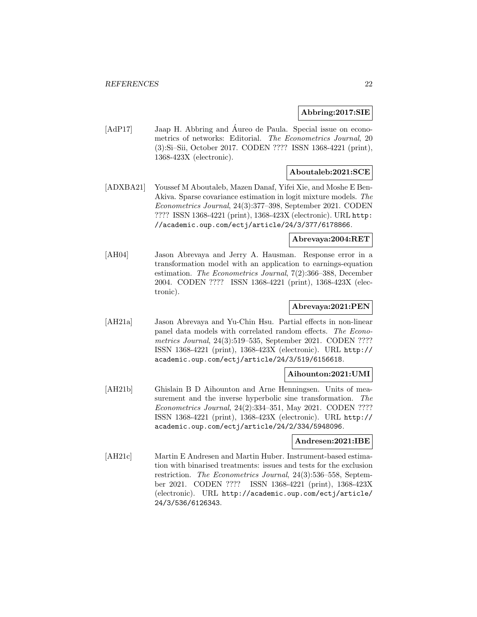#### **Abbring:2017:SIE**

[AdP17] Jaap H. Abbring and Áureo de Paula. Special issue on econometrics of networks: Editorial. The Econometrics Journal, 20 (3):Si–Sii, October 2017. CODEN ???? ISSN 1368-4221 (print), 1368-423X (electronic).

#### **Aboutaleb:2021:SCE**

[ADXBA21] Youssef M Aboutaleb, Mazen Danaf, Yifei Xie, and Moshe E Ben-Akiva. Sparse covariance estimation in logit mixture models. The Econometrics Journal, 24(3):377–398, September 2021. CODEN ???? ISSN 1368-4221 (print), 1368-423X (electronic). URL http: //academic.oup.com/ectj/article/24/3/377/6178866.

### **Abrevaya:2004:RET**

[AH04] Jason Abrevaya and Jerry A. Hausman. Response error in a transformation model with an application to earnings-equation estimation. The Econometrics Journal, 7(2):366–388, December 2004. CODEN ???? ISSN 1368-4221 (print), 1368-423X (electronic).

### **Abrevaya:2021:PEN**

[AH21a] Jason Abrevaya and Yu-Chin Hsu. Partial effects in non-linear panel data models with correlated random effects. The Econometrics Journal, 24(3):519–535, September 2021. CODEN ???? ISSN 1368-4221 (print), 1368-423X (electronic). URL http:// academic.oup.com/ectj/article/24/3/519/6156618.

#### **Aihounton:2021:UMI**

[AH21b] Ghislain B D Aihounton and Arne Henningsen. Units of measurement and the inverse hyperbolic sine transformation. The Econometrics Journal, 24(2):334–351, May 2021. CODEN ???? ISSN 1368-4221 (print), 1368-423X (electronic). URL http:// academic.oup.com/ectj/article/24/2/334/5948096.

#### **Andresen:2021:IBE**

[AH21c] Martin E Andresen and Martin Huber. Instrument-based estimation with binarised treatments: issues and tests for the exclusion restriction. The Econometrics Journal, 24(3):536–558, September 2021. CODEN ???? ISSN 1368-4221 (print), 1368-423X (electronic). URL http://academic.oup.com/ectj/article/ 24/3/536/6126343.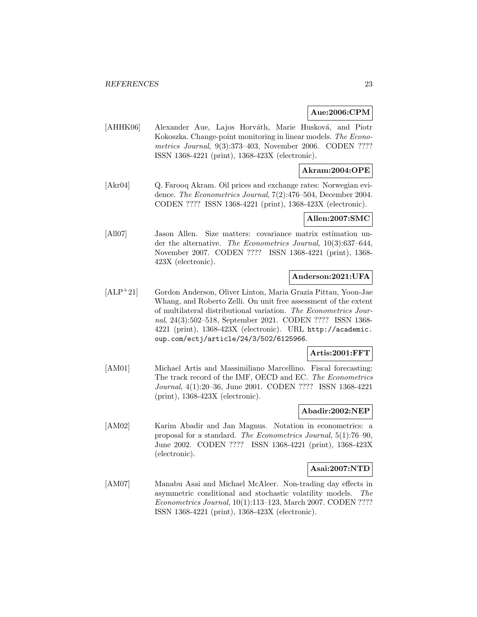### **Aue:2006:CPM**

[AHHK06] Alexander Aue, Lajos Horváth, Marie Husková, and Piotr Kokoszka. Change-point monitoring in linear models. The Econometrics Journal, 9(3):373–403, November 2006. CODEN ???? ISSN 1368-4221 (print), 1368-423X (electronic).

### **Akram:2004:OPE**

[Akr04] Q. Farooq Akram. Oil prices and exchange rates: Norwegian evidence. The Econometrics Journal, 7(2):476–504, December 2004. CODEN ???? ISSN 1368-4221 (print), 1368-423X (electronic).

### **Allen:2007:SMC**

[All07] Jason Allen. Size matters: covariance matrix estimation under the alternative. The Econometrics Journal, 10(3):637–644, November 2007. CODEN ???? ISSN 1368-4221 (print), 1368- 423X (electronic).

### **Anderson:2021:UFA**

[ALP<sup>+</sup>21] Gordon Anderson, Oliver Linton, Maria Grazia Pittau, Yoon-Jae Whang, and Roberto Zelli. On unit free assessment of the extent of multilateral distributional variation. The Econometrics Journal, 24(3):502–518, September 2021. CODEN ???? ISSN 1368- 4221 (print), 1368-423X (electronic). URL http://academic. oup.com/ectj/article/24/3/502/6125966.

### **Artis:2001:FFT**

[AM01] Michael Artis and Massimiliano Marcellino. Fiscal forecasting: The track record of the IMF, OECD and EC. The Econometrics Journal, 4(1):20–36, June 2001. CODEN ???? ISSN 1368-4221 (print), 1368-423X (electronic).

### **Abadir:2002:NEP**

[AM02] Karim Abadir and Jan Magnus. Notation in econometrics: a proposal for a standard. The Econometrics Journal, 5(1):76–90, June 2002. CODEN ???? ISSN 1368-4221 (print), 1368-423X (electronic).

#### **Asai:2007:NTD**

[AM07] Manabu Asai and Michael McAleer. Non-trading day effects in asymmetric conditional and stochastic volatility models. The Econometrics Journal, 10(1):113–123, March 2007. CODEN ???? ISSN 1368-4221 (print), 1368-423X (electronic).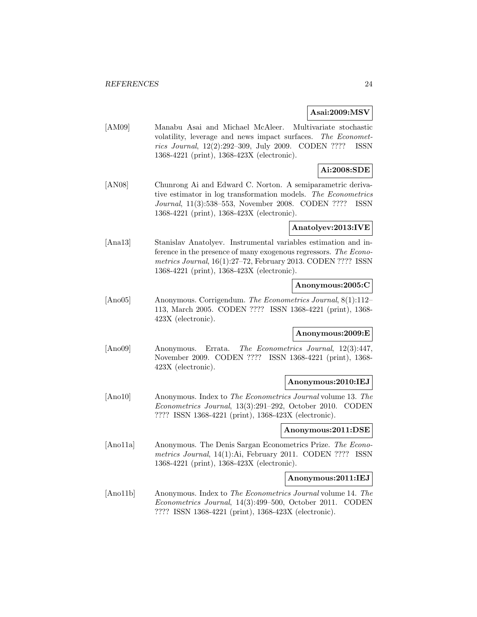#### **Asai:2009:MSV**

[AM09] Manabu Asai and Michael McAleer. Multivariate stochastic volatility, leverage and news impact surfaces. The Econometrics Journal, 12(2):292–309, July 2009. CODEN ???? ISSN 1368-4221 (print), 1368-423X (electronic).

### **Ai:2008:SDE**

[AN08] Chunrong Ai and Edward C. Norton. A semiparametric derivative estimator in log transformation models. The Econometrics Journal, 11(3):538–553, November 2008. CODEN ???? ISSN 1368-4221 (print), 1368-423X (electronic).

#### **Anatolyev:2013:IVE**

[Ana13] Stanislav Anatolyev. Instrumental variables estimation and inference in the presence of many exogenous regressors. The Econometrics Journal, 16(1):27–72, February 2013. CODEN ???? ISSN 1368-4221 (print), 1368-423X (electronic).

#### **Anonymous:2005:C**

[Ano05] Anonymous. Corrigendum. The Econometrics Journal, 8(1):112– 113, March 2005. CODEN ???? ISSN 1368-4221 (print), 1368- 423X (electronic).

### **Anonymous:2009:E**

[Ano09] Anonymous. Errata. The Econometrics Journal, 12(3):447, November 2009. CODEN ???? ISSN 1368-4221 (print), 1368- 423X (electronic).

#### **Anonymous:2010:IEJ**

[Ano10] Anonymous. Index to The Econometrics Journal volume 13. The Econometrics Journal, 13(3):291–292, October 2010. CODEN ???? ISSN 1368-4221 (print), 1368-423X (electronic).

#### **Anonymous:2011:DSE**

[Ano11a] Anonymous. The Denis Sargan Econometrics Prize. The Econometrics Journal, 14(1):Ai, February 2011. CODEN ???? ISSN 1368-4221 (print), 1368-423X (electronic).

#### **Anonymous:2011:IEJ**

[Ano11b] Anonymous. Index to The Econometrics Journal volume 14. The Econometrics Journal, 14(3):499–500, October 2011. CODEN ???? ISSN 1368-4221 (print), 1368-423X (electronic).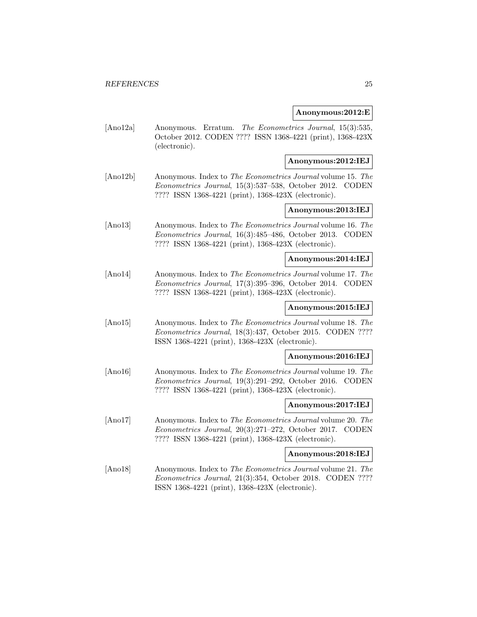### **Anonymous:2012:E**

[Ano12a] Anonymous. Erratum. The Econometrics Journal, 15(3):535, October 2012. CODEN ???? ISSN 1368-4221 (print), 1368-423X (electronic).

### **Anonymous:2012:IEJ**

[Ano12b] Anonymous. Index to The Econometrics Journal volume 15. The Econometrics Journal, 15(3):537–538, October 2012. CODEN ???? ISSN 1368-4221 (print), 1368-423X (electronic).

### **Anonymous:2013:IEJ**

[Ano13] Anonymous. Index to The Econometrics Journal volume 16. The Econometrics Journal, 16(3):485–486, October 2013. CODEN ???? ISSN 1368-4221 (print), 1368-423X (electronic).

### **Anonymous:2014:IEJ**

[Ano14] Anonymous. Index to The Econometrics Journal volume 17. The Econometrics Journal, 17(3):395–396, October 2014. CODEN ???? ISSN 1368-4221 (print), 1368-423X (electronic).

### **Anonymous:2015:IEJ**

[Ano15] Anonymous. Index to The Econometrics Journal volume 18. The Econometrics Journal, 18(3):437, October 2015. CODEN ???? ISSN 1368-4221 (print), 1368-423X (electronic).

#### **Anonymous:2016:IEJ**

[Ano16] Anonymous. Index to The Econometrics Journal volume 19. The Econometrics Journal, 19(3):291–292, October 2016. CODEN ???? ISSN 1368-4221 (print), 1368-423X (electronic).

#### **Anonymous:2017:IEJ**

[Ano17] Anonymous. Index to The Econometrics Journal volume 20. The Econometrics Journal, 20(3):271–272, October 2017. CODEN ???? ISSN 1368-4221 (print), 1368-423X (electronic).

#### **Anonymous:2018:IEJ**

[Ano18] Anonymous. Index to The Econometrics Journal volume 21. The Econometrics Journal, 21(3):354, October 2018. CODEN ???? ISSN 1368-4221 (print), 1368-423X (electronic).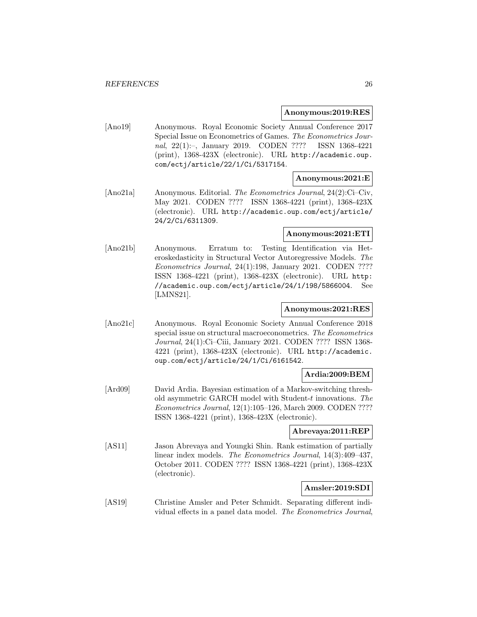#### **Anonymous:2019:RES**

[Ano19] Anonymous. Royal Economic Society Annual Conference 2017 Special Issue on Econometrics of Games. The Econometrics Journal, 22(1):–, January 2019. CODEN ???? ISSN 1368-4221 (print), 1368-423X (electronic). URL http://academic.oup. com/ectj/article/22/1/Ci/5317154.

### **Anonymous:2021:E**

[Ano21a] Anonymous. Editorial. The Econometrics Journal, 24(2):Ci–Civ, May 2021. CODEN ???? ISSN 1368-4221 (print), 1368-423X (electronic). URL http://academic.oup.com/ectj/article/ 24/2/Ci/6311309.

### **Anonymous:2021:ETI**

[Ano21b] Anonymous. Erratum to: Testing Identification via Heteroskedasticity in Structural Vector Autoregressive Models. The Econometrics Journal, 24(1):198, January 2021. CODEN ???? ISSN 1368-4221 (print), 1368-423X (electronic). URL http: //academic.oup.com/ectj/article/24/1/198/5866004. See [LMNS21].

### **Anonymous:2021:RES**

[Ano21c] Anonymous. Royal Economic Society Annual Conference 2018 special issue on structural macroeconometrics. The Econometrics Journal, 24(1):Ci–Ciii, January 2021. CODEN ???? ISSN 1368- 4221 (print), 1368-423X (electronic). URL http://academic. oup.com/ectj/article/24/1/Ci/6161542.

### **Ardia:2009:BEM**

[Ard09] David Ardia. Bayesian estimation of a Markov-switching threshold asymmetric GARCH model with Student-t innovations. The Econometrics Journal, 12(1):105–126, March 2009. CODEN ???? ISSN 1368-4221 (print), 1368-423X (electronic).

### **Abrevaya:2011:REP**

[AS11] Jason Abrevaya and Youngki Shin. Rank estimation of partially linear index models. The Econometrics Journal, 14(3):409–437, October 2011. CODEN ???? ISSN 1368-4221 (print), 1368-423X (electronic).

### **Amsler:2019:SDI**

[AS19] Christine Amsler and Peter Schmidt. Separating different individual effects in a panel data model. The Econometrics Journal,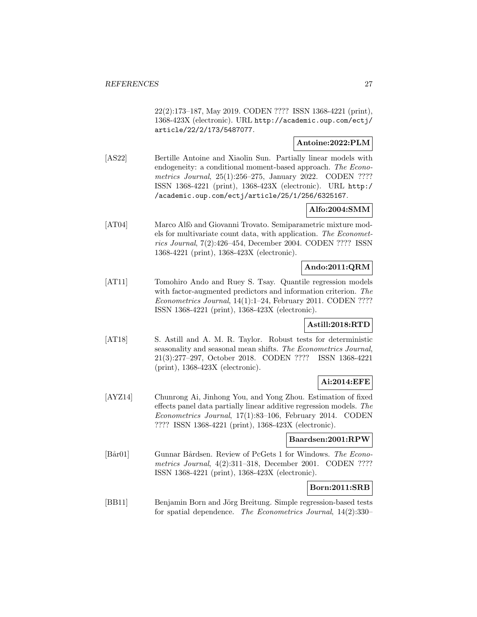22(2):173–187, May 2019. CODEN ???? ISSN 1368-4221 (print), 1368-423X (electronic). URL http://academic.oup.com/ectj/ article/22/2/173/5487077.

### **Antoine:2022:PLM**

[AS22] Bertille Antoine and Xiaolin Sun. Partially linear models with endogeneity: a conditional moment-based approach. The Econometrics Journal, 25(1):256–275, January 2022. CODEN ???? ISSN 1368-4221 (print), 1368-423X (electronic). URL http:/ /academic.oup.com/ectj/article/25/1/256/6325167.

### **Alfo:2004:SMM**

[AT04] Marco Alfò and Giovanni Trovato. Semiparametric mixture models for multivariate count data, with application. The Econometrics Journal, 7(2):426–454, December 2004. CODEN ???? ISSN 1368-4221 (print), 1368-423X (electronic).

### **Ando:2011:QRM**

[AT11] Tomohiro Ando and Ruey S. Tsay. Quantile regression models with factor-augmented predictors and information criterion. The Econometrics Journal, 14(1):1–24, February 2011. CODEN ???? ISSN 1368-4221 (print), 1368-423X (electronic).

### **Astill:2018:RTD**

[AT18] S. Astill and A. M. R. Taylor. Robust tests for deterministic seasonality and seasonal mean shifts. The Econometrics Journal, 21(3):277–297, October 2018. CODEN ???? ISSN 1368-4221 (print), 1368-423X (electronic).

### **Ai:2014:EFE**

[AYZ14] Chunrong Ai, Jinhong You, and Yong Zhou. Estimation of fixed effects panel data partially linear additive regression models. The Econometrics Journal, 17(1):83–106, February 2014. CODEN ???? ISSN 1368-4221 (print), 1368-423X (electronic).

### **Baardsen:2001:RPW**

[Bår01] Gunnar Bårdsen. Review of PcGets 1 for Windows. The Econometrics Journal, 4(2):311–318, December 2001. CODEN ???? ISSN 1368-4221 (print), 1368-423X (electronic).

### **Born:2011:SRB**

[BB11] Benjamin Born and Jörg Breitung. Simple regression-based tests for spatial dependence. The Econometrics Journal, 14(2):330–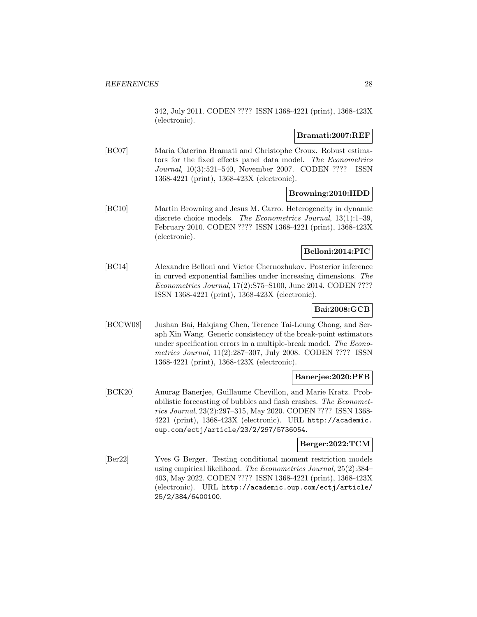342, July 2011. CODEN ???? ISSN 1368-4221 (print), 1368-423X (electronic).

### **Bramati:2007:REF**

[BC07] Maria Caterina Bramati and Christophe Croux. Robust estimators for the fixed effects panel data model. The Econometrics Journal, 10(3):521–540, November 2007. CODEN ???? ISSN 1368-4221 (print), 1368-423X (electronic).

### **Browning:2010:HDD**

[BC10] Martin Browning and Jesus M. Carro. Heterogeneity in dynamic discrete choice models. The Econometrics Journal, 13(1):1–39, February 2010. CODEN ???? ISSN 1368-4221 (print), 1368-423X (electronic).

### **Belloni:2014:PIC**

[BC14] Alexandre Belloni and Victor Chernozhukov. Posterior inference in curved exponential families under increasing dimensions. The Econometrics Journal, 17(2):S75–S100, June 2014. CODEN ???? ISSN 1368-4221 (print), 1368-423X (electronic).

### **Bai:2008:GCB**

[BCCW08] Jushan Bai, Haiqiang Chen, Terence Tai-Leung Chong, and Seraph Xin Wang. Generic consistency of the break-point estimators under specification errors in a multiple-break model. The Econometrics Journal, 11(2):287–307, July 2008. CODEN ???? ISSN 1368-4221 (print), 1368-423X (electronic).

### **Banerjee:2020:PFB**

[BCK20] Anurag Banerjee, Guillaume Chevillon, and Marie Kratz. Probabilistic forecasting of bubbles and flash crashes. The Econometrics Journal, 23(2):297–315, May 2020. CODEN ???? ISSN 1368- 4221 (print), 1368-423X (electronic). URL http://academic. oup.com/ectj/article/23/2/297/5736054.

### **Berger:2022:TCM**

[Ber22] Yves G Berger. Testing conditional moment restriction models using empirical likelihood. The Econometrics Journal, 25(2):384– 403, May 2022. CODEN ???? ISSN 1368-4221 (print), 1368-423X (electronic). URL http://academic.oup.com/ectj/article/ 25/2/384/6400100.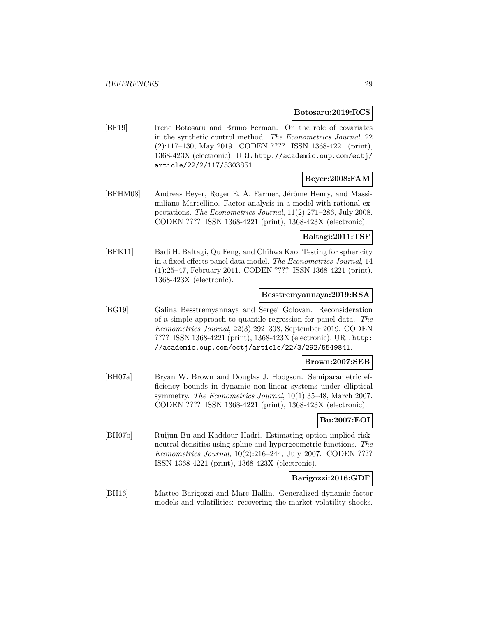#### **Botosaru:2019:RCS**

[BF19] Irene Botosaru and Bruno Ferman. On the role of covariates in the synthetic control method. The Econometrics Journal, 22 (2):117–130, May 2019. CODEN ???? ISSN 1368-4221 (print), 1368-423X (electronic). URL http://academic.oup.com/ectj/ article/22/2/117/5303851.

### **Beyer:2008:FAM**

[BFHM08] Andreas Beyer, Roger E. A. Farmer, Jérôme Henry, and Massimiliano Marcellino. Factor analysis in a model with rational expectations. The Econometrics Journal, 11(2):271–286, July 2008. CODEN ???? ISSN 1368-4221 (print), 1368-423X (electronic).

### **Baltagi:2011:TSF**

[BFK11] Badi H. Baltagi, Qu Feng, and Chihwa Kao. Testing for sphericity in a fixed effects panel data model. The Econometrics Journal, 14 (1):25–47, February 2011. CODEN ???? ISSN 1368-4221 (print), 1368-423X (electronic).

#### **Besstremyannaya:2019:RSA**

[BG19] Galina Besstremyannaya and Sergei Golovan. Reconsideration of a simple approach to quantile regression for panel data. The Econometrics Journal, 22(3):292–308, September 2019. CODEN ???? ISSN 1368-4221 (print), 1368-423X (electronic). URL http: //academic.oup.com/ectj/article/22/3/292/5549841.

### **Brown:2007:SEB**

[BH07a] Bryan W. Brown and Douglas J. Hodgson. Semiparametric efficiency bounds in dynamic non-linear systems under elliptical symmetry. The Econometrics Journal, 10(1):35–48, March 2007. CODEN ???? ISSN 1368-4221 (print), 1368-423X (electronic).

### **Bu:2007:EOI**

[BH07b] Ruijun Bu and Kaddour Hadri. Estimating option implied riskneutral densities using spline and hypergeometric functions. The Econometrics Journal, 10(2):216–244, July 2007. CODEN ???? ISSN 1368-4221 (print), 1368-423X (electronic).

### **Barigozzi:2016:GDF**

[BH16] Matteo Barigozzi and Marc Hallin. Generalized dynamic factor models and volatilities: recovering the market volatility shocks.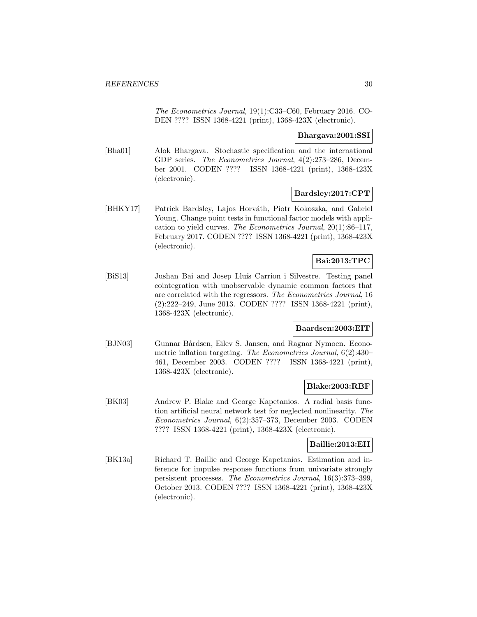The Econometrics Journal, 19(1):C33–C60, February 2016. CO-DEN ???? ISSN 1368-4221 (print), 1368-423X (electronic).

### **Bhargava:2001:SSI**

[Bha01] Alok Bhargava. Stochastic specification and the international GDP series. The Econometrics Journal, 4(2):273–286, December 2001. CODEN ???? ISSN 1368-4221 (print), 1368-423X (electronic).

### **Bardsley:2017:CPT**

[BHKY17] Patrick Bardsley, Lajos Horváth, Piotr Kokoszka, and Gabriel Young. Change point tests in functional factor models with application to yield curves. The Econometrics Journal, 20(1):86–117, February 2017. CODEN ???? ISSN 1368-4221 (print), 1368-423X (electronic).

### **Bai:2013:TPC**

[BiS13] Jushan Bai and Josep Lluís Carrion i Silvestre. Testing panel cointegration with unobservable dynamic common factors that are correlated with the regressors. The Econometrics Journal, 16 (2):222–249, June 2013. CODEN ???? ISSN 1368-4221 (print), 1368-423X (electronic).

### **Baardsen:2003:EIT**

[BJN03] Gunnar Bårdsen, Eilev S. Jansen, and Ragnar Nymoen. Econometric inflation targeting. The Econometrics Journal, 6(2):430– 461, December 2003. CODEN ???? ISSN 1368-4221 (print), 1368-423X (electronic).

### **Blake:2003:RBF**

[BK03] Andrew P. Blake and George Kapetanios. A radial basis function artificial neural network test for neglected nonlinearity. The Econometrics Journal, 6(2):357–373, December 2003. CODEN ???? ISSN 1368-4221 (print), 1368-423X (electronic).

### **Baillie:2013:EII**

[BK13a] Richard T. Baillie and George Kapetanios. Estimation and inference for impulse response functions from univariate strongly persistent processes. The Econometrics Journal, 16(3):373–399, October 2013. CODEN ???? ISSN 1368-4221 (print), 1368-423X (electronic).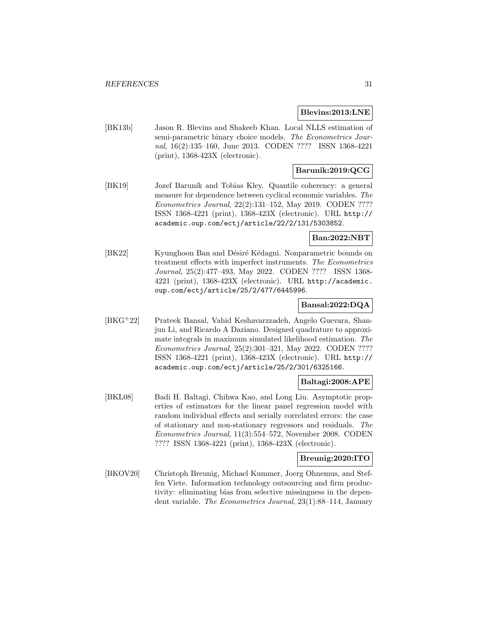#### **Blevins:2013:LNE**

[BK13b] Jason R. Blevins and Shakeeb Khan. Local NLLS estimation of semi-parametric binary choice models. The Econometrics Journal, 16(2):135–160, June 2013. CODEN ???? ISSN 1368-4221 (print), 1368-423X (electronic).

### **Barunik:2019:QCG**

[BK19] Jozef Baruník and Tobias Kley. Quantile coherency: a general measure for dependence between cyclical economic variables. The Econometrics Journal, 22(2):131–152, May 2019. CODEN ???? ISSN 1368-4221 (print), 1368-423X (electronic). URL http:// academic.oup.com/ectj/article/22/2/131/5303852.

### **Ban:2022:NBT**

[BK22] Kyunghoon Ban and Désiré Kédagni. Nonparametric bounds on treatment effects with imperfect instruments. The Econometrics Journal, 25(2):477–493, May 2022. CODEN ???? ISSN 1368- 4221 (print), 1368-423X (electronic). URL http://academic. oup.com/ectj/article/25/2/477/6445996.

### **Bansal:2022:DQA**

[BKG<sup>+</sup>22] Prateek Bansal, Vahid Keshavarzzadeh, Angelo Guevara, Shanjun Li, and Ricardo A Daziano. Designed quadrature to approximate integrals in maximum simulated likelihood estimation. The Econometrics Journal, 25(2):301–321, May 2022. CODEN ???? ISSN 1368-4221 (print), 1368-423X (electronic). URL http:// academic.oup.com/ectj/article/25/2/301/6325166.

#### **Baltagi:2008:APE**

[BKL08] Badi H. Baltagi, Chihwa Kao, and Long Liu. Asymptotic properties of estimators for the linear panel regression model with random individual effects and serially correlated errors: the case of stationary and non-stationary regressors and residuals. The Econometrics Journal, 11(3):554–572, November 2008. CODEN ???? ISSN 1368-4221 (print), 1368-423X (electronic).

### **Breunig:2020:ITO**

[BKOV20] Christoph Breunig, Michael Kummer, Joerg Ohnemus, and Steffen Viete. Information technology outsourcing and firm productivity: eliminating bias from selective missingness in the dependent variable. The Econometrics Journal, 23(1):88–114, January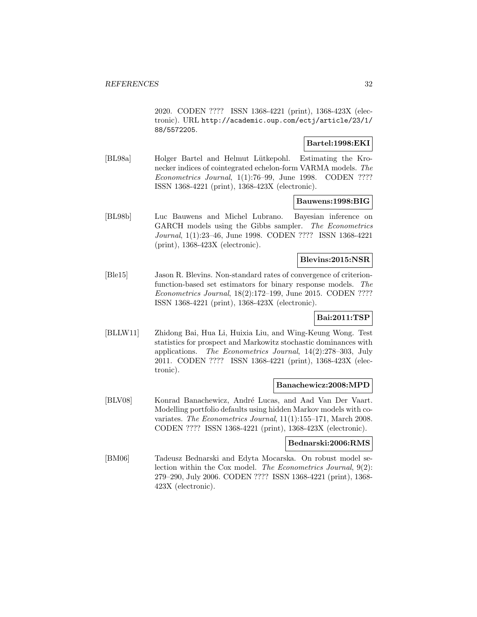2020. CODEN ???? ISSN 1368-4221 (print), 1368-423X (electronic). URL http://academic.oup.com/ectj/article/23/1/ 88/5572205.

### **Bartel:1998:EKI**

[BL98a] Holger Bartel and Helmut Lütkepohl. Estimating the Kronecker indices of cointegrated echelon-form VARMA models. The Econometrics Journal, 1(1):76–99, June 1998. CODEN ???? ISSN 1368-4221 (print), 1368-423X (electronic).

#### **Bauwens:1998:BIG**

[BL98b] Luc Bauwens and Michel Lubrano. Bayesian inference on GARCH models using the Gibbs sampler. The Econometrics Journal, 1(1):23–46, June 1998. CODEN ???? ISSN 1368-4221 (print), 1368-423X (electronic).

### **Blevins:2015:NSR**

[Ble15] Jason R. Blevins. Non-standard rates of convergence of criterionfunction-based set estimators for binary response models. The Econometrics Journal, 18(2):172–199, June 2015. CODEN ???? ISSN 1368-4221 (print), 1368-423X (electronic).

### **Bai:2011:TSP**

[BLLW11] Zhidong Bai, Hua Li, Huixia Liu, and Wing-Keung Wong. Test statistics for prospect and Markowitz stochastic dominances with applications. The Econometrics Journal, 14(2):278–303, July 2011. CODEN ???? ISSN 1368-4221 (print), 1368-423X (electronic).

### **Banachewicz:2008:MPD**

[BLV08] Konrad Banachewicz, André Lucas, and Aad Van Der Vaart. Modelling portfolio defaults using hidden Markov models with covariates. The Econometrics Journal, 11(1):155–171, March 2008. CODEN ???? ISSN 1368-4221 (print), 1368-423X (electronic).

#### **Bednarski:2006:RMS**

[BM06] Tadeusz Bednarski and Edyta Mocarska. On robust model selection within the Cox model. The Econometrics Journal, 9(2): 279–290, July 2006. CODEN ???? ISSN 1368-4221 (print), 1368- 423X (electronic).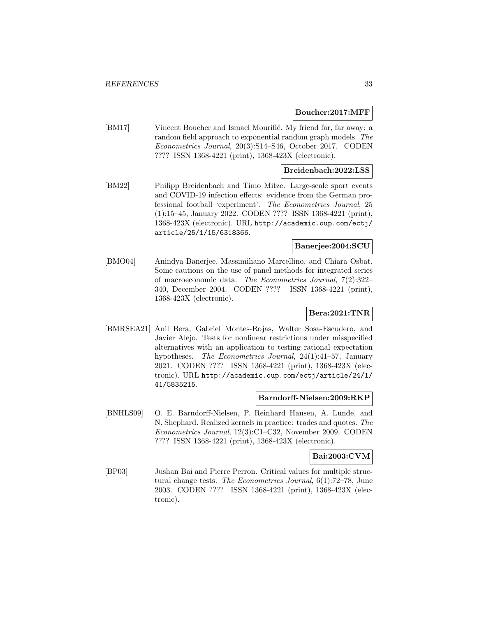#### **Boucher:2017:MFF**

[BM17] Vincent Boucher and Ismael Mourifié. My friend far, far away: a random field approach to exponential random graph models. The Econometrics Journal, 20(3):S14–S46, October 2017. CODEN ???? ISSN 1368-4221 (print), 1368-423X (electronic).

### **Breidenbach:2022:LSS**

[BM22] Philipp Breidenbach and Timo Mitze. Large-scale sport events and COVID-19 infection effects: evidence from the German professional football 'experiment'. The Econometrics Journal, 25 (1):15–45, January 2022. CODEN ???? ISSN 1368-4221 (print), 1368-423X (electronic). URL http://academic.oup.com/ectj/ article/25/1/15/6318366.

#### **Banerjee:2004:SCU**

[BMO04] Anindya Banerjee, Massimiliano Marcellino, and Chiara Osbat. Some cautions on the use of panel methods for integrated series of macroeconomic data. The Econometrics Journal, 7(2):322– 340, December 2004. CODEN ???? ISSN 1368-4221 (print), 1368-423X (electronic).

### **Bera:2021:TNR**

[BMRSEA21] Anil Bera, Gabriel Montes-Rojas, Walter Sosa-Escudero, and Javier Alejo. Tests for nonlinear restrictions under misspecified alternatives with an application to testing rational expectation hypotheses. The Econometrics Journal, 24(1):41–57, January 2021. CODEN ???? ISSN 1368-4221 (print), 1368-423X (electronic). URL http://academic.oup.com/ectj/article/24/1/ 41/5835215.

#### **Barndorff-Nielsen:2009:RKP**

[BNHLS09] O. E. Barndorff-Nielsen, P. Reinhard Hansen, A. Lunde, and N. Shephard. Realized kernels in practice: trades and quotes. The Econometrics Journal, 12(3):C1–C32, November 2009. CODEN ???? ISSN 1368-4221 (print), 1368-423X (electronic).

### **Bai:2003:CVM**

[BP03] Jushan Bai and Pierre Perron. Critical values for multiple structural change tests. The Econometrics Journal, 6(1):72–78, June 2003. CODEN ???? ISSN 1368-4221 (print), 1368-423X (electronic).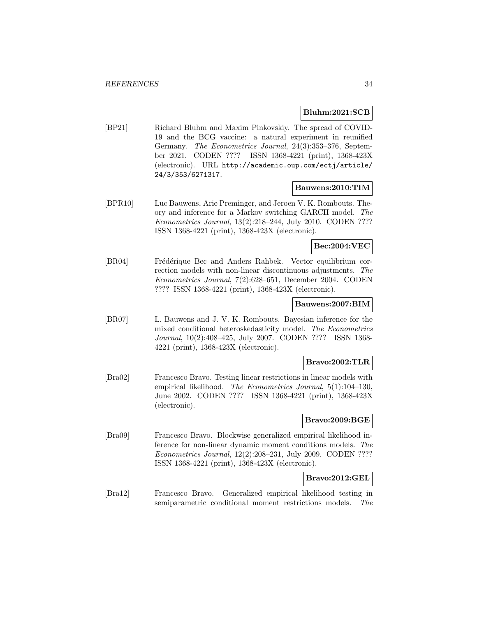### **Bluhm:2021:SCB**

[BP21] Richard Bluhm and Maxim Pinkovskiy. The spread of COVID-19 and the BCG vaccine: a natural experiment in reunified Germany. The Econometrics Journal, 24(3):353–376, September 2021. CODEN ???? ISSN 1368-4221 (print), 1368-423X (electronic). URL http://academic.oup.com/ectj/article/ 24/3/353/6271317.

### **Bauwens:2010:TIM**

[BPR10] Luc Bauwens, Arie Preminger, and Jeroen V. K. Rombouts. Theory and inference for a Markov switching GARCH model. The Econometrics Journal, 13(2):218–244, July 2010. CODEN ???? ISSN 1368-4221 (print), 1368-423X (electronic).

#### **Bec:2004:VEC**

[BR04] Frédérique Bec and Anders Rahbek. Vector equilibrium correction models with non-linear discontinuous adjustments. The Econometrics Journal, 7(2):628–651, December 2004. CODEN ???? ISSN 1368-4221 (print), 1368-423X (electronic).

#### **Bauwens:2007:BIM**

[BR07] L. Bauwens and J. V. K. Rombouts. Bayesian inference for the mixed conditional heteroskedasticity model. The Econometrics Journal, 10(2):408–425, July 2007. CODEN ???? ISSN 1368- 4221 (print), 1368-423X (electronic).

### **Bravo:2002:TLR**

[Bra02] Francesco Bravo. Testing linear restrictions in linear models with empirical likelihood. The Econometrics Journal, 5(1):104-130, June 2002. CODEN ???? ISSN 1368-4221 (print), 1368-423X (electronic).

### **Bravo:2009:BGE**

[Bra09] Francesco Bravo. Blockwise generalized empirical likelihood inference for non-linear dynamic moment conditions models. The Econometrics Journal, 12(2):208–231, July 2009. CODEN ???? ISSN 1368-4221 (print), 1368-423X (electronic).

### **Bravo:2012:GEL**

[Bra12] Francesco Bravo. Generalized empirical likelihood testing in semiparametric conditional moment restrictions models. The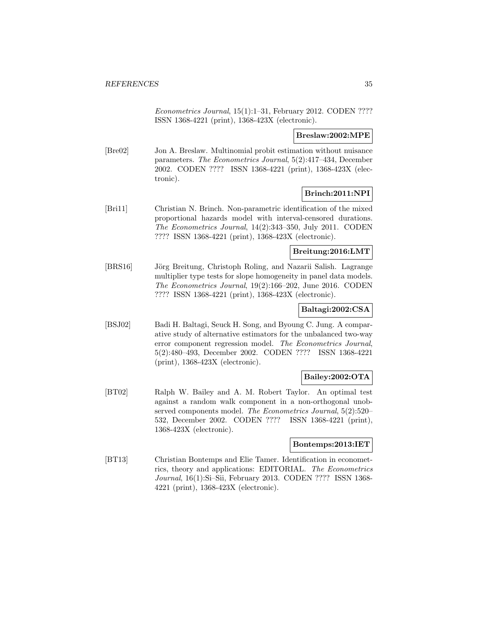Econometrics Journal, 15(1):1–31, February 2012. CODEN ???? ISSN 1368-4221 (print), 1368-423X (electronic).

### **Breslaw:2002:MPE**

[Bre02] Jon A. Breslaw. Multinomial probit estimation without nuisance parameters. The Econometrics Journal, 5(2):417–434, December 2002. CODEN ???? ISSN 1368-4221 (print), 1368-423X (electronic).

### **Brinch:2011:NPI**

[Bri11] Christian N. Brinch. Non-parametric identification of the mixed proportional hazards model with interval-censored durations. The Econometrics Journal, 14(2):343–350, July 2011. CODEN ???? ISSN 1368-4221 (print), 1368-423X (electronic).

### **Breitung:2016:LMT**

[BRS16] Jörg Breitung, Christoph Roling, and Nazarii Salish. Lagrange multiplier type tests for slope homogeneity in panel data models. The Econometrics Journal, 19(2):166–202, June 2016. CODEN ???? ISSN 1368-4221 (print), 1368-423X (electronic).

### **Baltagi:2002:CSA**

[BSJ02] Badi H. Baltagi, Seuck H. Song, and Byoung C. Jung. A comparative study of alternative estimators for the unbalanced two-way error component regression model. The Econometrics Journal, 5(2):480–493, December 2002. CODEN ???? ISSN 1368-4221 (print), 1368-423X (electronic).

### **Bailey:2002:OTA**

[BT02] Ralph W. Bailey and A. M. Robert Taylor. An optimal test against a random walk component in a non-orthogonal unobserved components model. The Econometrics Journal, 5(2):520– 532, December 2002. CODEN ???? ISSN 1368-4221 (print), 1368-423X (electronic).

### **Bontemps:2013:IET**

[BT13] Christian Bontemps and Elie Tamer. Identification in econometrics, theory and applications: EDITORIAL. The Econometrics Journal, 16(1):Si–Sii, February 2013. CODEN ???? ISSN 1368- 4221 (print), 1368-423X (electronic).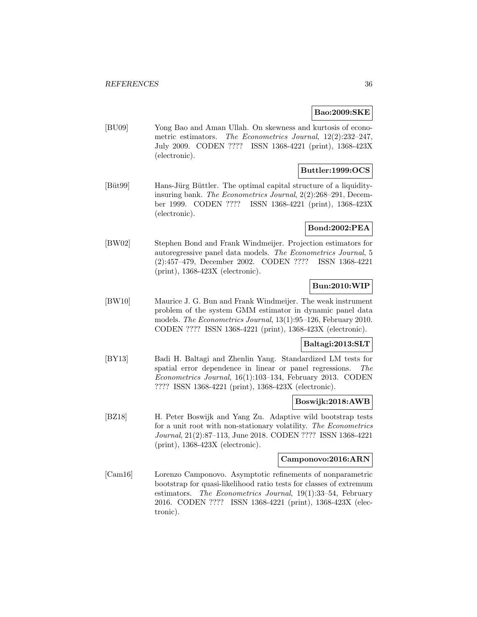### **Bao:2009:SKE**

[BU09] Yong Bao and Aman Ullah. On skewness and kurtosis of econometric estimators. The Econometrics Journal, 12(2):232-247, July 2009. CODEN ???? ISSN 1368-4221 (print), 1368-423X (electronic).

### **Buttler:1999:OCS**

[Büt99] Hans-Jürg Büttler. The optimal capital structure of a liquidityinsuring bank. The Econometrics Journal, 2(2):268–291, December 1999. CODEN ???? ISSN 1368-4221 (print), 1368-423X (electronic).

### **Bond:2002:PEA**

[BW02] Stephen Bond and Frank Windmeijer. Projection estimators for autoregressive panel data models. The Econometrics Journal, 5 (2):457–479, December 2002. CODEN ???? ISSN 1368-4221 (print), 1368-423X (electronic).

### **Bun:2010:WIP**

[BW10] Maurice J. G. Bun and Frank Windmeijer. The weak instrument problem of the system GMM estimator in dynamic panel data models. The Econometrics Journal, 13(1):95–126, February 2010. CODEN ???? ISSN 1368-4221 (print), 1368-423X (electronic).

### **Baltagi:2013:SLT**

[BY13] Badi H. Baltagi and Zhenlin Yang. Standardized LM tests for spatial error dependence in linear or panel regressions. The Econometrics Journal, 16(1):103–134, February 2013. CODEN ???? ISSN 1368-4221 (print), 1368-423X (electronic).

### **Boswijk:2018:AWB**

[BZ18] H. Peter Boswijk and Yang Zu. Adaptive wild bootstrap tests for a unit root with non-stationary volatility. The Econometrics Journal, 21(2):87–113, June 2018. CODEN ???? ISSN 1368-4221 (print), 1368-423X (electronic).

#### **Camponovo:2016:ARN**

[Cam16] Lorenzo Camponovo. Asymptotic refinements of nonparametric bootstrap for quasi-likelihood ratio tests for classes of extremum estimators. The Econometrics Journal, 19(1):33–54, February 2016. CODEN ???? ISSN 1368-4221 (print), 1368-423X (electronic).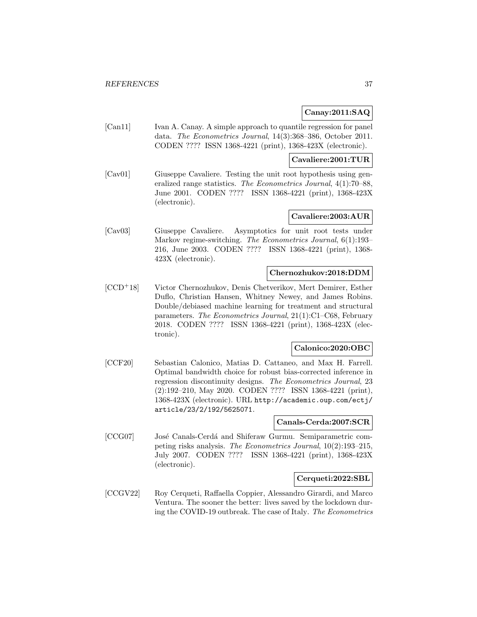# **Canay:2011:SAQ**

[Can11] Ivan A. Canay. A simple approach to quantile regression for panel data. The Econometrics Journal, 14(3):368–386, October 2011. CODEN ???? ISSN 1368-4221 (print), 1368-423X (electronic).

### **Cavaliere:2001:TUR**

[Cav01] Giuseppe Cavaliere. Testing the unit root hypothesis using generalized range statistics. The Econometrics Journal, 4(1):70–88, June 2001. CODEN ???? ISSN 1368-4221 (print), 1368-423X (electronic).

## **Cavaliere:2003:AUR**

[Cav03] Giuseppe Cavaliere. Asymptotics for unit root tests under Markov regime-switching. The Econometrics Journal, 6(1):193– 216, June 2003. CODEN ???? ISSN 1368-4221 (print), 1368- 423X (electronic).

## **Chernozhukov:2018:DDM**

[CCD<sup>+</sup>18] Victor Chernozhukov, Denis Chetverikov, Mert Demirer, Esther Duflo, Christian Hansen, Whitney Newey, and James Robins. Double/debiased machine learning for treatment and structural parameters. The Econometrics Journal, 21(1):C1–C68, February 2018. CODEN ???? ISSN 1368-4221 (print), 1368-423X (electronic).

# **Calonico:2020:OBC**

[CCF20] Sebastian Calonico, Matias D. Cattaneo, and Max H. Farrell. Optimal bandwidth choice for robust bias-corrected inference in regression discontinuity designs. The Econometrics Journal, 23 (2):192–210, May 2020. CODEN ???? ISSN 1368-4221 (print), 1368-423X (electronic). URL http://academic.oup.com/ectj/ article/23/2/192/5625071.

### **Canals-Cerda:2007:SCR**

[CCG07] José Canals-Cerdá and Shiferaw Gurmu. Semiparametric competing risks analysis. The Econometrics Journal, 10(2):193–215, July 2007. CODEN ???? ISSN 1368-4221 (print), 1368-423X (electronic).

### **Cerqueti:2022:SBL**

[CCGV22] Roy Cerqueti, Raffaella Coppier, Alessandro Girardi, and Marco Ventura. The sooner the better: lives saved by the lockdown during the COVID-19 outbreak. The case of Italy. The Econometrics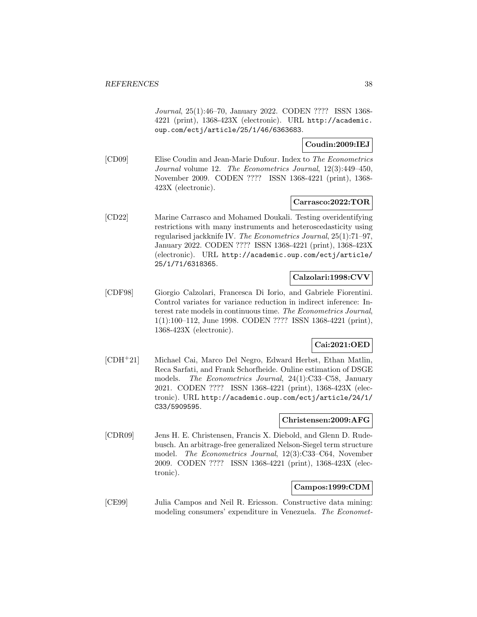Journal, 25(1):46–70, January 2022. CODEN ???? ISSN 1368- 4221 (print), 1368-423X (electronic). URL http://academic. oup.com/ectj/article/25/1/46/6363683.

**Coudin:2009:IEJ**

[CD09] Elise Coudin and Jean-Marie Dufour. Index to The Econometrics Journal volume 12. The Econometrics Journal, 12(3):449–450, November 2009. CODEN ???? ISSN 1368-4221 (print), 1368- 423X (electronic).

### **Carrasco:2022:TOR**

[CD22] Marine Carrasco and Mohamed Doukali. Testing overidentifying restrictions with many instruments and heteroscedasticity using regularised jackknife IV. The Econometrics Journal, 25(1):71–97, January 2022. CODEN ???? ISSN 1368-4221 (print), 1368-423X (electronic). URL http://academic.oup.com/ectj/article/ 25/1/71/6318365.

## **Calzolari:1998:CVV**

[CDF98] Giorgio Calzolari, Francesca Di Iorio, and Gabriele Fiorentini. Control variates for variance reduction in indirect inference: Interest rate models in continuous time. The Econometrics Journal, 1(1):100–112, June 1998. CODEN ???? ISSN 1368-4221 (print), 1368-423X (electronic).

# **Cai:2021:OED**

[CDH<sup>+</sup>21] Michael Cai, Marco Del Negro, Edward Herbst, Ethan Matlin, Reca Sarfati, and Frank Schorfheide. Online estimation of DSGE models. The Econometrics Journal, 24(1):C33–C58, January 2021. CODEN ???? ISSN 1368-4221 (print), 1368-423X (electronic). URL http://academic.oup.com/ectj/article/24/1/ C33/5909595.

# **Christensen:2009:AFG**

[CDR09] Jens H. E. Christensen, Francis X. Diebold, and Glenn D. Rudebusch. An arbitrage-free generalized Nelson-Siegel term structure model. The Econometrics Journal, 12(3):C33–C64, November 2009. CODEN ???? ISSN 1368-4221 (print), 1368-423X (electronic).

### **Campos:1999:CDM**

[CE99] Julia Campos and Neil R. Ericsson. Constructive data mining: modeling consumers' expenditure in Venezuela. The Economet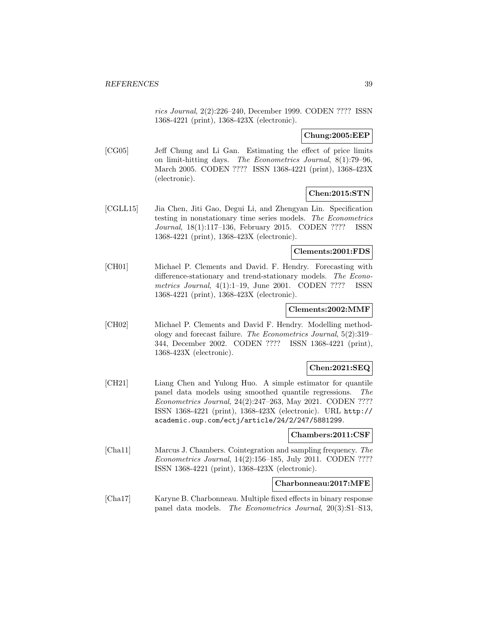rics Journal, 2(2):226–240, December 1999. CODEN ???? ISSN 1368-4221 (print), 1368-423X (electronic).

**Chung:2005:EEP**

[CG05] Jeff Chung and Li Gan. Estimating the effect of price limits on limit-hitting days. The Econometrics Journal, 8(1):79–96, March 2005. CODEN ???? ISSN 1368-4221 (print), 1368-423X (electronic).

# **Chen:2015:STN**

[CGLL15] Jia Chen, Jiti Gao, Degui Li, and Zhengyan Lin. Specification testing in nonstationary time series models. The Econometrics Journal, 18(1):117–136, February 2015. CODEN ???? ISSN 1368-4221 (print), 1368-423X (electronic).

### **Clements:2001:FDS**

[CH01] Michael P. Clements and David. F. Hendry. Forecasting with difference-stationary and trend-stationary models. The Econometrics Journal, 4(1):1–19, June 2001. CODEN ???? ISSN 1368-4221 (print), 1368-423X (electronic).

## **Clements:2002:MMF**

[CH02] Michael P. Clements and David F. Hendry. Modelling methodology and forecast failure. The Econometrics Journal, 5(2):319– 344, December 2002. CODEN ???? ISSN 1368-4221 (print), 1368-423X (electronic).

# **Chen:2021:SEQ**

[CH21] Liang Chen and Yulong Huo. A simple estimator for quantile panel data models using smoothed quantile regressions. The Econometrics Journal, 24(2):247–263, May 2021. CODEN ???? ISSN 1368-4221 (print), 1368-423X (electronic). URL http:// academic.oup.com/ectj/article/24/2/247/5881299.

### **Chambers:2011:CSF**

[Cha11] Marcus J. Chambers. Cointegration and sampling frequency. The Econometrics Journal, 14(2):156–185, July 2011. CODEN ???? ISSN 1368-4221 (print), 1368-423X (electronic).

# **Charbonneau:2017:MFE**

[Cha17] Karyne B. Charbonneau. Multiple fixed effects in binary response panel data models. The Econometrics Journal, 20(3):S1–S13,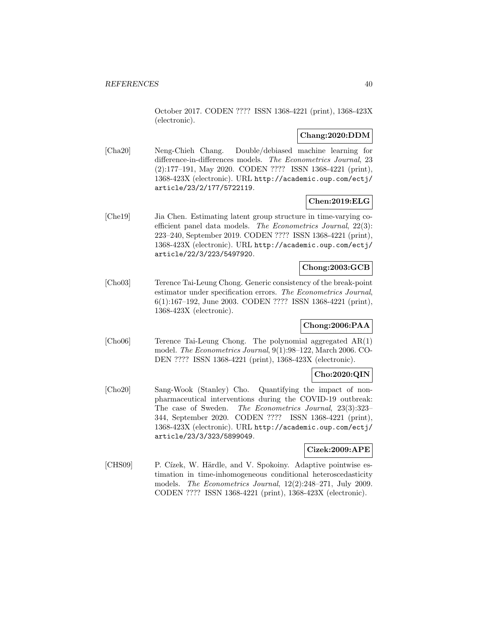October 2017. CODEN ???? ISSN 1368-4221 (print), 1368-423X (electronic).

# **Chang:2020:DDM**

[Cha20] Neng-Chieh Chang. Double/debiased machine learning for difference-in-differences models. The Econometrics Journal, 23 (2):177–191, May 2020. CODEN ???? ISSN 1368-4221 (print), 1368-423X (electronic). URL http://academic.oup.com/ectj/ article/23/2/177/5722119.

# **Chen:2019:ELG**

[Che19] Jia Chen. Estimating latent group structure in time-varying coefficient panel data models. The Econometrics Journal, 22(3): 223–240, September 2019. CODEN ???? ISSN 1368-4221 (print), 1368-423X (electronic). URL http://academic.oup.com/ectj/ article/22/3/223/5497920.

## **Chong:2003:GCB**

[Cho03] Terence Tai-Leung Chong. Generic consistency of the break-point estimator under specification errors. The Econometrics Journal, 6(1):167–192, June 2003. CODEN ???? ISSN 1368-4221 (print), 1368-423X (electronic).

# **Chong:2006:PAA**

[Cho06] Terence Tai-Leung Chong. The polynomial aggregated AR(1) model. The Econometrics Journal, 9(1):98–122, March 2006. CO-DEN ???? ISSN 1368-4221 (print), 1368-423X (electronic).

### **Cho:2020:QIN**

[Cho20] Sang-Wook (Stanley) Cho. Quantifying the impact of nonpharmaceutical interventions during the COVID-19 outbreak: The case of Sweden. The Econometrics Journal, 23(3):323– 344, September 2020. CODEN ???? ISSN 1368-4221 (print), 1368-423X (electronic). URL http://academic.oup.com/ectj/ article/23/3/323/5899049.

# **Cizek:2009:APE**

[CHS09] P. Cízek, W. Härdle, and V. Spokoiny. Adaptive pointwise estimation in time-inhomogeneous conditional heteroscedasticity models. The Econometrics Journal, 12(2):248–271, July 2009. CODEN ???? ISSN 1368-4221 (print), 1368-423X (electronic).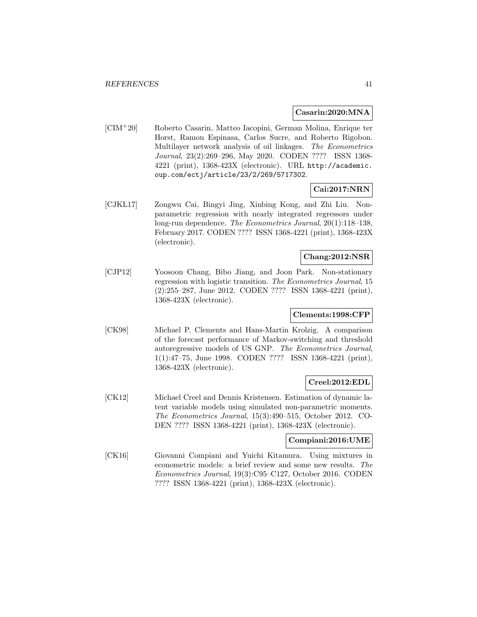### **Casarin:2020:MNA**

[CIM<sup>+</sup>20] Roberto Casarin, Matteo Iacopini, German Molina, Enrique ter Horst, Ramon Espinasa, Carlos Sucre, and Roberto Rigobon. Multilayer network analysis of oil linkages. The Econometrics Journal, 23(2):269–296, May 2020. CODEN ???? ISSN 1368- 4221 (print), 1368-423X (electronic). URL http://academic. oup.com/ectj/article/23/2/269/5717302.

# **Cai:2017:NRN**

[CJKL17] Zongwu Cai, Bingyi Jing, Xinbing Kong, and Zhi Liu. Nonparametric regression with nearly integrated regressors under long-run dependence. The Econometrics Journal, 20(1):118–138, February 2017. CODEN ???? ISSN 1368-4221 (print), 1368-423X (electronic).

# **Chang:2012:NSR**

[CJP12] Yoosoon Chang, Bibo Jiang, and Joon Park. Non-stationary regression with logistic transition. The Econometrics Journal, 15 (2):255–287, June 2012. CODEN ???? ISSN 1368-4221 (print), 1368-423X (electronic).

# **Clements:1998:CFP**

[CK98] Michael P. Clements and Hans-Martin Krolzig. A comparison of the forecast performance of Markov-switching and threshold autoregressive models of US GNP. The Econometrics Journal, 1(1):47–75, June 1998. CODEN ???? ISSN 1368-4221 (print), 1368-423X (electronic).

### **Creel:2012:EDL**

[CK12] Michael Creel and Dennis Kristensen. Estimation of dynamic latent variable models using simulated non-parametric moments. The Econometrics Journal, 15(3):490–515, October 2012. CO-DEN ???? ISSN 1368-4221 (print), 1368-423X (electronic).

# **Compiani:2016:UME**

[CK16] Giovanni Compiani and Yuichi Kitamura. Using mixtures in econometric models: a brief review and some new results. The Econometrics Journal, 19(3):C95–C127, October 2016. CODEN ???? ISSN 1368-4221 (print), 1368-423X (electronic).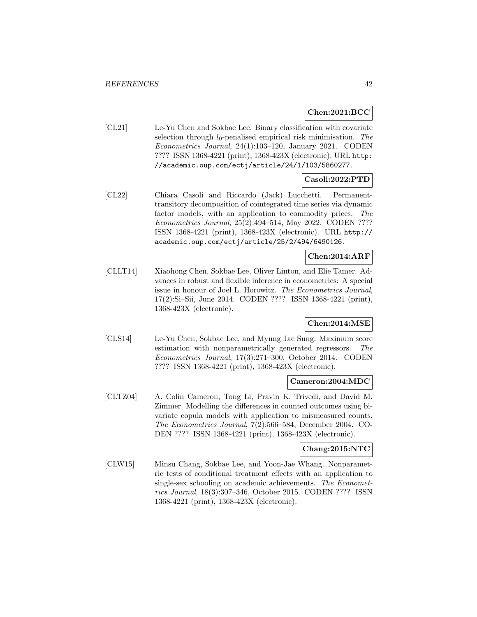# **Chen:2021:BCC**

[CL21] Le-Yu Chen and Sokbae Lee. Binary classification with covariate selection through  $l_0$ -penalised empirical risk minimisation. The Econometrics Journal, 24(1):103–120, January 2021. CODEN ???? ISSN 1368-4221 (print), 1368-423X (electronic). URL http: //academic.oup.com/ectj/article/24/1/103/5860277.

# **Casoli:2022:PTD**

[CL22] Chiara Casoli and Riccardo (Jack) Lucchetti. Permanenttransitory decomposition of cointegrated time series via dynamic factor models, with an application to commodity prices. The Econometrics Journal, 25(2):494–514, May 2022. CODEN ???? ISSN 1368-4221 (print), 1368-423X (electronic). URL http:// academic.oup.com/ectj/article/25/2/494/6490126.

# **Chen:2014:ARF**

[CLLT14] Xiaohong Chen, Sokbae Lee, Oliver Linton, and Elie Tamer. Advances in robust and flexible inference in econometrics: A special issue in honour of Joel L. Horowitz. The Econometrics Journal, 17(2):Si–Sii, June 2014. CODEN ???? ISSN 1368-4221 (print), 1368-423X (electronic).

# **Chen:2014:MSE**

[CLS14] Le-Yu Chen, Sokbae Lee, and Myung Jae Sung. Maximum score estimation with nonparametrically generated regressors. The Econometrics Journal, 17(3):271–300, October 2014. CODEN ???? ISSN 1368-4221 (print), 1368-423X (electronic).

# **Cameron:2004:MDC**

[CLTZ04] A. Colin Cameron, Tong Li, Pravin K. Trivedi, and David M. Zimmer. Modelling the differences in counted outcomes using bivariate copula models with application to mismeasured counts. The Econometrics Journal, 7(2):566–584, December 2004. CO-DEN ???? ISSN 1368-4221 (print), 1368-423X (electronic).

# **Chang:2015:NTC**

[CLW15] Minsu Chang, Sokbae Lee, and Yoon-Jae Whang. Nonparametric tests of conditional treatment effects with an application to single-sex schooling on academic achievements. The Econometrics Journal, 18(3):307–346, October 2015. CODEN ???? ISSN 1368-4221 (print), 1368-423X (electronic).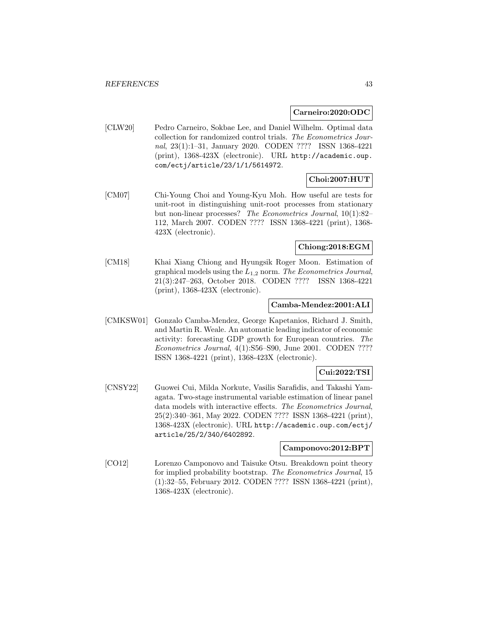#### **Carneiro:2020:ODC**

[CLW20] Pedro Carneiro, Sokbae Lee, and Daniel Wilhelm. Optimal data collection for randomized control trials. The Econometrics Journal, 23(1):1–31, January 2020. CODEN ???? ISSN 1368-4221 (print), 1368-423X (electronic). URL http://academic.oup. com/ectj/article/23/1/1/5614972.

# **Choi:2007:HUT**

[CM07] Chi-Young Choi and Young-Kyu Moh. How useful are tests for unit-root in distinguishing unit-root processes from stationary but non-linear processes? The Econometrics Journal, 10(1):82– 112, March 2007. CODEN ???? ISSN 1368-4221 (print), 1368- 423X (electronic).

# **Chiong:2018:EGM**

[CM18] Khai Xiang Chiong and Hyungsik Roger Moon. Estimation of graphical models using the  $L_{1,2}$  norm. The Econometrics Journal, 21(3):247–263, October 2018. CODEN ???? ISSN 1368-4221 (print), 1368-423X (electronic).

### **Camba-Mendez:2001:ALI**

[CMKSW01] Gonzalo Camba-Mendez, George Kapetanios, Richard J. Smith, and Martin R. Weale. An automatic leading indicator of economic activity: forecasting GDP growth for European countries. The Econometrics Journal, 4(1):S56–S90, June 2001. CODEN ???? ISSN 1368-4221 (print), 1368-423X (electronic).

# **Cui:2022:TSI**

[CNSY22] Guowei Cui, Milda Norkute, Vasilis Sarafidis, and Takashi Yamagata. Two-stage instrumental variable estimation of linear panel data models with interactive effects. The Econometrics Journal, 25(2):340–361, May 2022. CODEN ???? ISSN 1368-4221 (print), 1368-423X (electronic). URL http://academic.oup.com/ectj/ article/25/2/340/6402892.

### **Camponovo:2012:BPT**

[CO12] Lorenzo Camponovo and Taisuke Otsu. Breakdown point theory for implied probability bootstrap. The Econometrics Journal, 15 (1):32–55, February 2012. CODEN ???? ISSN 1368-4221 (print), 1368-423X (electronic).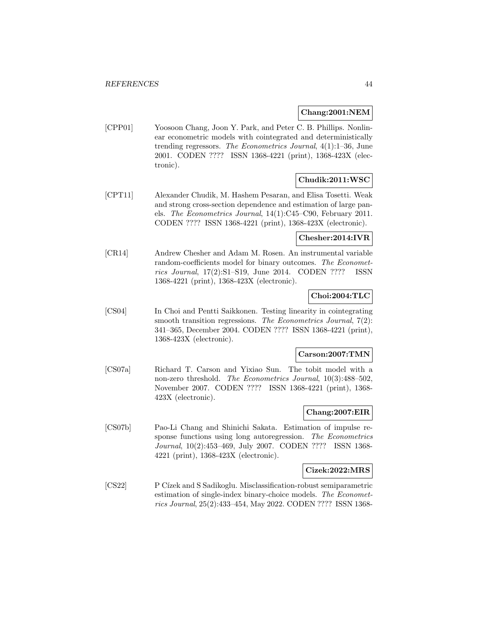### **Chang:2001:NEM**

[CPP01] Yoosoon Chang, Joon Y. Park, and Peter C. B. Phillips. Nonlinear econometric models with cointegrated and deterministically trending regressors. The Econometrics Journal, 4(1):1–36, June 2001. CODEN ???? ISSN 1368-4221 (print), 1368-423X (electronic).

# **Chudik:2011:WSC**

[CPT11] Alexander Chudik, M. Hashem Pesaran, and Elisa Tosetti. Weak and strong cross-section dependence and estimation of large panels. The Econometrics Journal, 14(1):C45–C90, February 2011. CODEN ???? ISSN 1368-4221 (print), 1368-423X (electronic).

### **Chesher:2014:IVR**

[CR14] Andrew Chesher and Adam M. Rosen. An instrumental variable random-coefficients model for binary outcomes. The Econometrics Journal, 17(2):S1–S19, June 2014. CODEN ???? ISSN 1368-4221 (print), 1368-423X (electronic).

# **Choi:2004:TLC**

[CS04] In Choi and Pentti Saikkonen. Testing linearity in cointegrating smooth transition regressions. The Econometrics Journal, 7(2): 341–365, December 2004. CODEN ???? ISSN 1368-4221 (print), 1368-423X (electronic).

### **Carson:2007:TMN**

[CS07a] Richard T. Carson and Yixiao Sun. The tobit model with a non-zero threshold. The Econometrics Journal, 10(3):488–502, November 2007. CODEN ???? ISSN 1368-4221 (print), 1368- 423X (electronic).

# **Chang:2007:EIR**

[CS07b] Pao-Li Chang and Shinichi Sakata. Estimation of impulse response functions using long autoregression. The Econometrics Journal, 10(2):453–469, July 2007. CODEN ???? ISSN 1368- 4221 (print), 1368-423X (electronic).

## **Cizek:2022:MRS**

[CS22] P Cízek and S Sadikoglu. Misclassification-robust semiparametric estimation of single-index binary-choice models. The Econometrics Journal, 25(2):433–454, May 2022. CODEN ???? ISSN 1368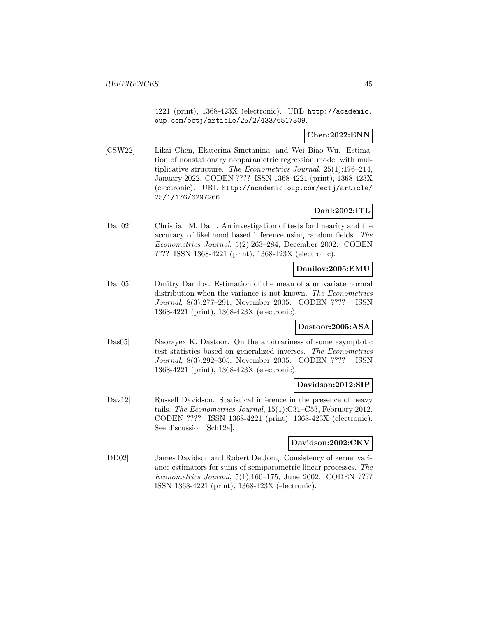4221 (print), 1368-423X (electronic). URL http://academic. oup.com/ectj/article/25/2/433/6517309.

# **Chen:2022:ENN**

[CSW22] Likai Chen, Ekaterina Smetanina, and Wei Biao Wu. Estimation of nonstationary nonparametric regression model with multiplicative structure. The Econometrics Journal, 25(1):176–214, January 2022. CODEN ???? ISSN 1368-4221 (print), 1368-423X (electronic). URL http://academic.oup.com/ectj/article/ 25/1/176/6297266.

# **Dahl:2002:ITL**

[Dah02] Christian M. Dahl. An investigation of tests for linearity and the accuracy of likelihood based inference using random fields. The Econometrics Journal, 5(2):263–284, December 2002. CODEN ???? ISSN 1368-4221 (print), 1368-423X (electronic).

# **Danilov:2005:EMU**

[Dan05] Dmitry Danilov. Estimation of the mean of a univariate normal distribution when the variance is not known. The Econometrics Journal, 8(3):277–291, November 2005. CODEN ???? ISSN 1368-4221 (print), 1368-423X (electronic).

# **Dastoor:2005:ASA**

[Das05] Naorayex K. Dastoor. On the arbitrariness of some asymptotic test statistics based on generalized inverses. The Econometrics Journal, 8(3):292–305, November 2005. CODEN ???? ISSN 1368-4221 (print), 1368-423X (electronic).

### **Davidson:2012:SIP**

[Dav12] Russell Davidson. Statistical inference in the presence of heavy tails. The Econometrics Journal, 15(1):C31–C53, February 2012. CODEN ???? ISSN 1368-4221 (print), 1368-423X (electronic). See discussion [Sch12a].

### **Davidson:2002:CKV**

[DD02] James Davidson and Robert De Jong. Consistency of kernel variance estimators for sums of semiparametric linear processes. The Econometrics Journal, 5(1):160–175, June 2002. CODEN ???? ISSN 1368-4221 (print), 1368-423X (electronic).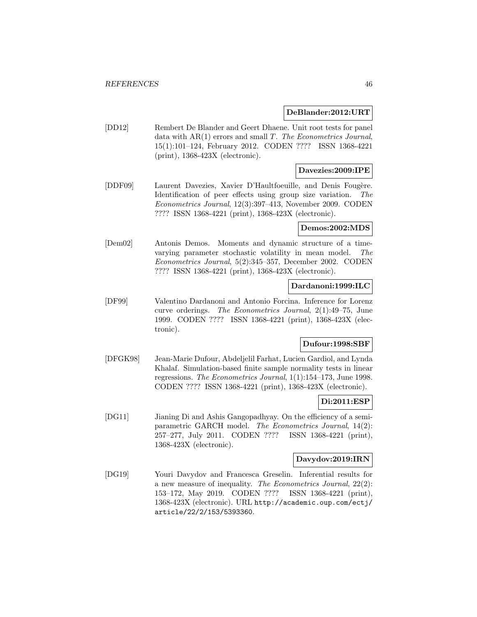### **DeBlander:2012:URT**

[DD12] Rembert De Blander and Geert Dhaene. Unit root tests for panel data with  $AR(1)$  errors and small T. The Econometrics Journal, 15(1):101–124, February 2012. CODEN ???? ISSN 1368-4221 (print), 1368-423X (electronic).

### **Davezies:2009:IPE**

[DDF09] Laurent Davezies, Xavier D'Haultfoeuille, and Denis Fougère. Identification of peer effects using group size variation. The Econometrics Journal, 12(3):397–413, November 2009. CODEN ???? ISSN 1368-4221 (print), 1368-423X (electronic).

#### **Demos:2002:MDS**

[Dem02] Antonis Demos. Moments and dynamic structure of a timevarying parameter stochastic volatility in mean model. The Econometrics Journal, 5(2):345–357, December 2002. CODEN ???? ISSN 1368-4221 (print), 1368-423X (electronic).

### **Dardanoni:1999:ILC**

[DF99] Valentino Dardanoni and Antonio Forcina. Inference for Lorenz curve orderings. The Econometrics Journal, 2(1):49–75, June 1999. CODEN ???? ISSN 1368-4221 (print), 1368-423X (electronic).

# **Dufour:1998:SBF**

[DFGK98] Jean-Marie Dufour, Abdeljelil Farhat, Lucien Gardiol, and Lynda Khalaf. Simulation-based finite sample normality tests in linear regressions. The Econometrics Journal, 1(1):154–173, June 1998. CODEN ???? ISSN 1368-4221 (print), 1368-423X (electronic).

#### **Di:2011:ESP**

[DG11] Jianing Di and Ashis Gangopadhyay. On the efficiency of a semiparametric GARCH model. The Econometrics Journal, 14(2): 257–277, July 2011. CODEN ???? ISSN 1368-4221 (print), 1368-423X (electronic).

### **Davydov:2019:IRN**

[DG19] Youri Davydov and Francesca Greselin. Inferential results for a new measure of inequality. The Econometrics Journal, 22(2): 153–172, May 2019. CODEN ???? ISSN 1368-4221 (print), 1368-423X (electronic). URL http://academic.oup.com/ectj/ article/22/2/153/5393360.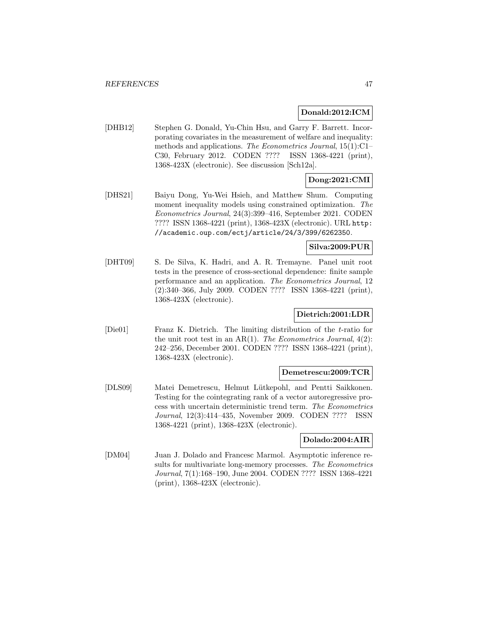## **Donald:2012:ICM**

[DHB12] Stephen G. Donald, Yu-Chin Hsu, and Garry F. Barrett. Incorporating covariates in the measurement of welfare and inequality: methods and applications. The Econometrics Journal, 15(1):C1– C30, February 2012. CODEN ???? ISSN 1368-4221 (print), 1368-423X (electronic). See discussion [Sch12a].

# **Dong:2021:CMI**

[DHS21] Baiyu Dong, Yu-Wei Hsieh, and Matthew Shum. Computing moment inequality models using constrained optimization. The Econometrics Journal, 24(3):399–416, September 2021. CODEN ???? ISSN 1368-4221 (print), 1368-423X (electronic). URL http: //academic.oup.com/ectj/article/24/3/399/6262350.

## **Silva:2009:PUR**

[DHT09] S. De Silva, K. Hadri, and A. R. Tremayne. Panel unit root tests in the presence of cross-sectional dependence: finite sample performance and an application. The Econometrics Journal, 12 (2):340–366, July 2009. CODEN ???? ISSN 1368-4221 (print), 1368-423X (electronic).

# **Dietrich:2001:LDR**

[Die01] Franz K. Dietrich. The limiting distribution of the t-ratio for the unit root test in an  $AR(1)$ . The Econometrics Journal,  $4(2)$ : 242–256, December 2001. CODEN ???? ISSN 1368-4221 (print), 1368-423X (electronic).

# **Demetrescu:2009:TCR**

[DLS09] Matei Demetrescu, Helmut Lütkepohl, and Pentti Saikkonen. Testing for the cointegrating rank of a vector autoregressive process with uncertain deterministic trend term. The Econometrics Journal, 12(3):414–435, November 2009. CODEN ???? ISSN 1368-4221 (print), 1368-423X (electronic).

### **Dolado:2004:AIR**

[DM04] Juan J. Dolado and Francesc Marmol. Asymptotic inference results for multivariate long-memory processes. The Econometrics Journal, 7(1):168–190, June 2004. CODEN ???? ISSN 1368-4221 (print), 1368-423X (electronic).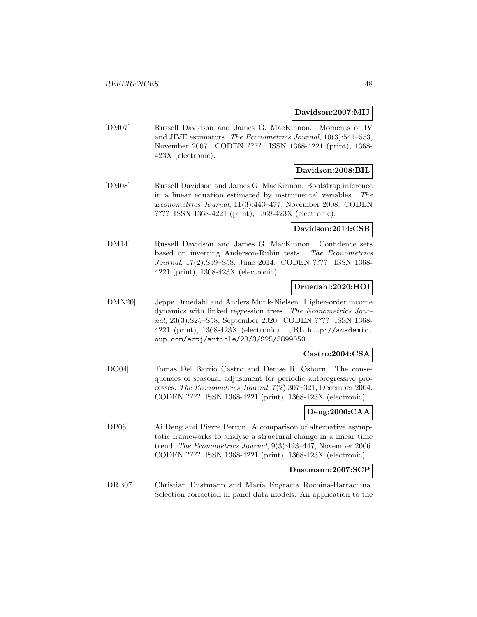### **Davidson:2007:MIJ**

[DM07] Russell Davidson and James G. MacKinnon. Moments of IV and JIVE estimators. The Econometrics Journal, 10(3):541–553, November 2007. CODEN ???? ISSN 1368-4221 (print), 1368- 423X (electronic).

# **Davidson:2008:BIL**

[DM08] Russell Davidson and James G. MacKinnon. Bootstrap inference in a linear equation estimated by instrumental variables. The Econometrics Journal, 11(3):443–477, November 2008. CODEN ???? ISSN 1368-4221 (print), 1368-423X (electronic).

## **Davidson:2014:CSB**

[DM14] Russell Davidson and James G. MacKinnon. Confidence sets based on inverting Anderson-Rubin tests. The Econometrics Journal, 17(2):S39–S58, June 2014. CODEN ???? ISSN 1368- 4221 (print), 1368-423X (electronic).

## **Druedahl:2020:HOI**

[DMN20] Jeppe Druedahl and Anders Munk-Nielsen. Higher-order income dynamics with linked regression trees. The Econometrics Journal, 23(3):S25–S58, September 2020. CODEN ???? ISSN 1368- 4221 (print), 1368-423X (electronic). URL http://academic. oup.com/ectj/article/23/3/S25/5899050.

### **Castro:2004:CSA**

[DO04] Tomas Del Barrio Castro and Denise R. Osborn. The consequences of seasonal adjustment for periodic autoregressive processes. The Econometrics Journal, 7(2):307–321, December 2004. CODEN ???? ISSN 1368-4221 (print), 1368-423X (electronic).

# **Deng:2006:CAA**

[DP06] Ai Deng and Pierre Perron. A comparison of alternative asymptotic frameworks to analyse a structural change in a linear time trend. The Econometrics Journal, 9(3):423–447, November 2006. CODEN ???? ISSN 1368-4221 (print), 1368-423X (electronic).

### **Dustmann:2007:SCP**

[DRB07] Christian Dustmann and Mar´ıa Engracia Rochina-Barrachina. Selection correction in panel data models: An application to the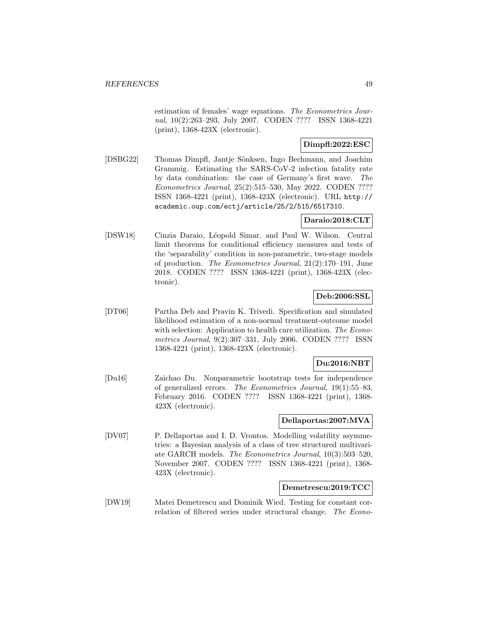estimation of females' wage equations. The Econometrics Journal, 10(2):263–293, July 2007. CODEN ???? ISSN 1368-4221 (print), 1368-423X (electronic).

# **Dimpfl:2022:ESC**

[DSBG22] Thomas Dimpfl, Jantje S¨onksen, Ingo Bechmann, and Joachim Grammig. Estimating the SARS-CoV-2 infection fatality rate by data combination: the case of Germany's first wave. The Econometrics Journal, 25(2):515–530, May 2022. CODEN ???? ISSN 1368-4221 (print), 1368-423X (electronic). URL http:// academic.oup.com/ectj/article/25/2/515/6517310.

## **Daraio:2018:CLT**

[DSW18] Cinzia Daraio, Léopold Simar, and Paul W. Wilson. Central limit theorems for conditional efficiency measures and tests of the 'separability' condition in non-parametric, two-stage models of production. The Econometrics Journal, 21(2):170–191, June 2018. CODEN ???? ISSN 1368-4221 (print), 1368-423X (electronic).

# **Deb:2006:SSL**

[DT06] Partha Deb and Pravin K. Trivedi. Specification and simulated likelihood estimation of a non-normal treatment-outcome model with selection: Application to health care utilization. The Econometrics Journal, 9(2):307–331, July 2006. CODEN ???? ISSN 1368-4221 (print), 1368-423X (electronic).

## **Du:2016:NBT**

[Du16] Zaichao Du. Nonparametric bootstrap tests for independence of generalized errors. The Econometrics Journal, 19(1):55–83, February 2016. CODEN ???? ISSN 1368-4221 (print), 1368- 423X (electronic).

## **Dellaportas:2007:MVA**

[DV07] P. Dellaportas and I. D. Vrontos. Modelling volatility asymmetries: a Bayesian analysis of a class of tree structured multivariate GARCH models. The Econometrics Journal, 10(3):503–520, November 2007. CODEN ???? ISSN 1368-4221 (print), 1368- 423X (electronic).

### **Demetrescu:2019:TCC**

[DW19] Matei Demetrescu and Dominik Wied. Testing for constant correlation of filtered series under structural change. The Econo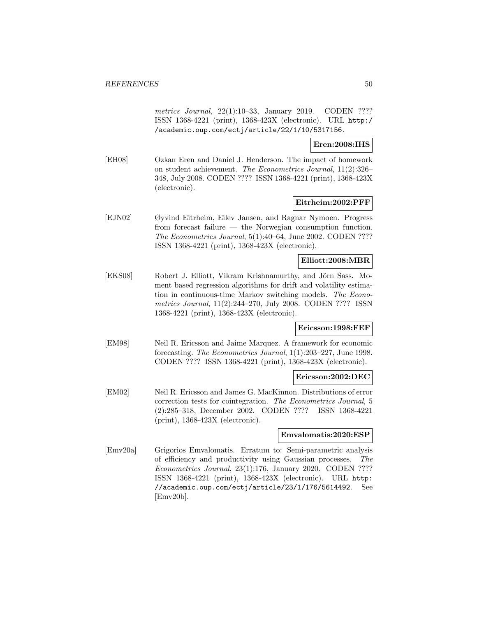metrics Journal, 22(1):10–33, January 2019. CODEN ???? ISSN 1368-4221 (print), 1368-423X (electronic). URL http:/ /academic.oup.com/ectj/article/22/1/10/5317156.

### **Eren:2008:IHS**

[EH08] Ozkan Eren and Daniel J. Henderson. The impact of homework on student achievement. The Econometrics Journal, 11(2):326– 348, July 2008. CODEN ???? ISSN 1368-4221 (print), 1368-423X (electronic).

### **Eitrheim:2002:PFF**

[EJN02] Øyvind Eitrheim, Eilev Jansen, and Ragnar Nymoen. Progress from forecast failure — the Norwegian consumption function. The Econometrics Journal, 5(1):40–64, June 2002. CODEN ???? ISSN 1368-4221 (print), 1368-423X (electronic).

### **Elliott:2008:MBR**

[EKS08] Robert J. Elliott, Vikram Krishnamurthy, and Jörn Sass. Moment based regression algorithms for drift and volatility estimation in continuous-time Markov switching models. The Econometrics Journal, 11(2):244–270, July 2008. CODEN ???? ISSN 1368-4221 (print), 1368-423X (electronic).

### **Ericsson:1998:FEF**

[EM98] Neil R. Ericsson and Jaime Marquez. A framework for economic forecasting. The Econometrics Journal, 1(1):203–227, June 1998. CODEN ???? ISSN 1368-4221 (print), 1368-423X (electronic).

#### **Ericsson:2002:DEC**

[EM02] Neil R. Ericsson and James G. MacKinnon. Distributions of error correction tests for cointegration. The Econometrics Journal, 5 (2):285–318, December 2002. CODEN ???? ISSN 1368-4221 (print), 1368-423X (electronic).

#### **Emvalomatis:2020:ESP**

[Emv20a] Grigorios Emvalomatis. Erratum to: Semi-parametric analysis of efficiency and productivity using Gaussian processes. The Econometrics Journal, 23(1):176, January 2020. CODEN ???? ISSN 1368-4221 (print), 1368-423X (electronic). URL http: //academic.oup.com/ectj/article/23/1/176/5614492. See [Emv20b].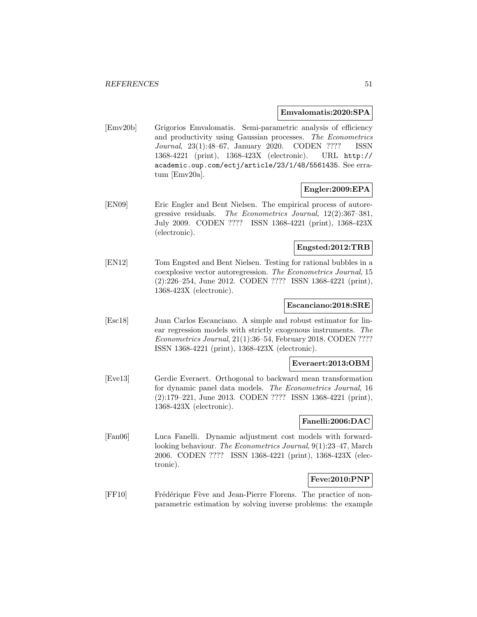#### **Emvalomatis:2020:SPA**

[Emv20b] Grigorios Emvalomatis. Semi-parametric analysis of efficiency and productivity using Gaussian processes. The Econometrics Journal, 23(1):48–67, January 2020. CODEN ???? ISSN 1368-4221 (print), 1368-423X (electronic). URL http:// academic.oup.com/ectj/article/23/1/48/5561435. See erratum [Emv20a].

### **Engler:2009:EPA**

[EN09] Eric Engler and Bent Nielsen. The empirical process of autoregressive residuals. The Econometrics Journal, 12(2):367–381, July 2009. CODEN ???? ISSN 1368-4221 (print), 1368-423X (electronic).

# **Engsted:2012:TRB**

[EN12] Tom Engsted and Bent Nielsen. Testing for rational bubbles in a coexplosive vector autoregression. The Econometrics Journal, 15 (2):226–254, June 2012. CODEN ???? ISSN 1368-4221 (print), 1368-423X (electronic).

### **Escanciano:2018:SRE**

[Esc18] Juan Carlos Escanciano. A simple and robust estimator for linear regression models with strictly exogenous instruments. The Econometrics Journal, 21(1):36–54, February 2018. CODEN ???? ISSN 1368-4221 (print), 1368-423X (electronic).

### **Everaert:2013:OBM**

[Eve13] Gerdie Everaert. Orthogonal to backward mean transformation for dynamic panel data models. The Econometrics Journal, 16 (2):179–221, June 2013. CODEN ???? ISSN 1368-4221 (print), 1368-423X (electronic).

#### **Fanelli:2006:DAC**

[Fan06] Luca Fanelli. Dynamic adjustment cost models with forwardlooking behaviour. The Econometrics Journal, 9(1):23–47, March 2006. CODEN ???? ISSN 1368-4221 (print), 1368-423X (electronic).

# **Feve:2010:PNP**

[FF10] Frédérique Fève and Jean-Pierre Florens. The practice of nonparametric estimation by solving inverse problems: the example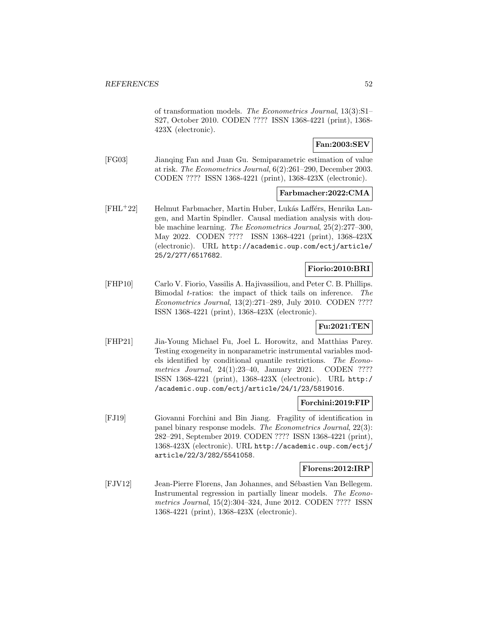of transformation models. The Econometrics Journal, 13(3):S1– S27, October 2010. CODEN ???? ISSN 1368-4221 (print), 1368- 423X (electronic).

# **Fan:2003:SEV**

[FG03] Jianqing Fan and Juan Gu. Semiparametric estimation of value at risk. The Econometrics Journal, 6(2):261–290, December 2003. CODEN ???? ISSN 1368-4221 (print), 1368-423X (electronic).

### **Farbmacher:2022:CMA**

[FHL<sup>+</sup>22] Helmut Farbmacher, Martin Huber, Lukás Lafférs, Henrika Langen, and Martin Spindler. Causal mediation analysis with double machine learning. The Econometrics Journal, 25(2):277–300, May 2022. CODEN ???? ISSN 1368-4221 (print), 1368-423X (electronic). URL http://academic.oup.com/ectj/article/ 25/2/277/6517682.

# **Fiorio:2010:BRI**

[FHP10] Carlo V. Fiorio, Vassilis A. Hajivassiliou, and Peter C. B. Phillips. Bimodal t-ratios: the impact of thick tails on inference. The Econometrics Journal, 13(2):271–289, July 2010. CODEN ???? ISSN 1368-4221 (print), 1368-423X (electronic).

## **Fu:2021:TEN**

[FHP21] Jia-Young Michael Fu, Joel L. Horowitz, and Matthias Parey. Testing exogeneity in nonparametric instrumental variables models identified by conditional quantile restrictions. The Econometrics Journal, 24(1):23-40, January 2021. CODEN ???? ISSN 1368-4221 (print), 1368-423X (electronic). URL http:/ /academic.oup.com/ectj/article/24/1/23/5819016.

### **Forchini:2019:FIP**

[FJ19] Giovanni Forchini and Bin Jiang. Fragility of identification in panel binary response models. The Econometrics Journal, 22(3): 282–291, September 2019. CODEN ???? ISSN 1368-4221 (print), 1368-423X (electronic). URL http://academic.oup.com/ectj/ article/22/3/282/5541058.

#### **Florens:2012:IRP**

[FJV12] Jean-Pierre Florens, Jan Johannes, and Sébastien Van Bellegem. Instrumental regression in partially linear models. The Econometrics Journal, 15(2):304–324, June 2012. CODEN ???? ISSN 1368-4221 (print), 1368-423X (electronic).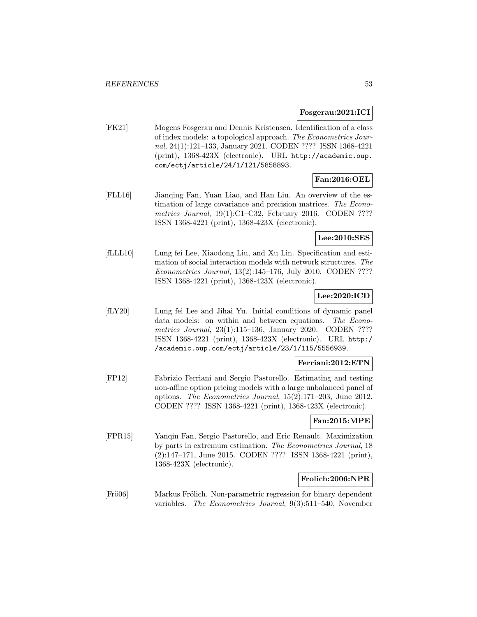#### **Fosgerau:2021:ICI**

[FK21] Mogens Fosgerau and Dennis Kristensen. Identification of a class of index models: a topological approach. The Econometrics Journal, 24(1):121–133, January 2021. CODEN ???? ISSN 1368-4221 (print), 1368-423X (electronic). URL http://academic.oup. com/ectj/article/24/1/121/5858893.

# **Fan:2016:OEL**

[FLL16] Jianqing Fan, Yuan Liao, and Han Liu. An overview of the estimation of large covariance and precision matrices. The Econometrics Journal, 19(1):C1–C32, February 2016. CODEN ???? ISSN 1368-4221 (print), 1368-423X (electronic).

## **Lee:2010:SES**

[fLLL10] Lung fei Lee, Xiaodong Liu, and Xu Lin. Specification and estimation of social interaction models with network structures. The Econometrics Journal, 13(2):145–176, July 2010. CODEN ???? ISSN 1368-4221 (print), 1368-423X (electronic).

# **Lee:2020:ICD**

[fLY20] Lung fei Lee and Jihai Yu. Initial conditions of dynamic panel data models: on within and between equations. The Econometrics Journal, 23(1):115-136, January 2020. CODEN ???? ISSN 1368-4221 (print), 1368-423X (electronic). URL http:/ /academic.oup.com/ectj/article/23/1/115/5556939.

### **Ferriani:2012:ETN**

[FP12] Fabrizio Ferriani and Sergio Pastorello. Estimating and testing non-affine option pricing models with a large unbalanced panel of options. The Econometrics Journal, 15(2):171–203, June 2012. CODEN ???? ISSN 1368-4221 (print), 1368-423X (electronic).

#### **Fan:2015:MPE**

[FPR15] Yanqin Fan, Sergio Pastorello, and Eric Renault. Maximization by parts in extremum estimation. The Econometrics Journal, 18 (2):147–171, June 2015. CODEN ???? ISSN 1368-4221 (print), 1368-423X (electronic).

### **Frolich:2006:NPR**

[Frö06] Markus Frölich. Non-parametric regression for binary dependent variables. The Econometrics Journal, 9(3):511–540, November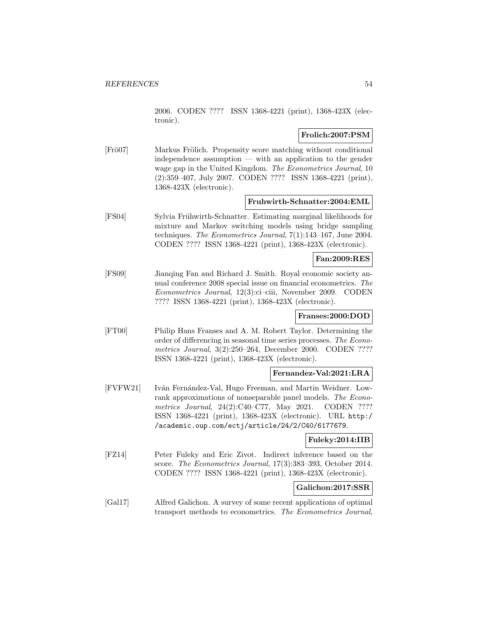2006. CODEN ???? ISSN 1368-4221 (print), 1368-423X (electronic).

# **Frolich:2007:PSM**

[Frö07] Markus Frölich. Propensity score matching without conditional independence assumption — with an application to the gender wage gap in the United Kingdom. The Econometrics Journal, 10 (2):359–407, July 2007. CODEN ???? ISSN 1368-4221 (print), 1368-423X (electronic).

### **Fruhwirth-Schnatter:2004:EML**

[FS04] Sylvia Frühwirth-Schnatter. Estimating marginal likelihoods for mixture and Markov switching models using bridge sampling techniques. The Econometrics Journal, 7(1):143–167, June 2004. CODEN ???? ISSN 1368-4221 (print), 1368-423X (electronic).

## **Fan:2009:RES**

[FS09] Jianqing Fan and Richard J. Smith. Royal economic society annual conference 2008 special issue on financial econometrics. The Econometrics Journal, 12(3):ci–ciii, November 2009. CODEN ???? ISSN 1368-4221 (print), 1368-423X (electronic).

### **Franses:2000:DOD**

[FT00] Philip Hans Franses and A. M. Robert Taylor. Determining the order of differencing in seasonal time series processes. The Econometrics Journal, 3(2):250–264, December 2000. CODEN ???? ISSN 1368-4221 (print), 1368-423X (electronic).

# **Fernandez-Val:2021:LRA**

[FVFW21] Iv´an Fern´andez-Val, Hugo Freeman, and Martin Weidner. Lowrank approximations of nonseparable panel models. The Econometrics Journal, 24(2):C40–C77, May 2021. CODEN ???? ISSN 1368-4221 (print), 1368-423X (electronic). URL http:/ /academic.oup.com/ectj/article/24/2/C40/6177679.

### **Fuleky:2014:IIB**

[FZ14] Peter Fuleky and Eric Zivot. Indirect inference based on the score. The Econometrics Journal, 17(3):383–393, October 2014. CODEN ???? ISSN 1368-4221 (print), 1368-423X (electronic).

# **Galichon:2017:SSR**

[Gal17] Alfred Galichon. A survey of some recent applications of optimal transport methods to econometrics. The Econometrics Journal,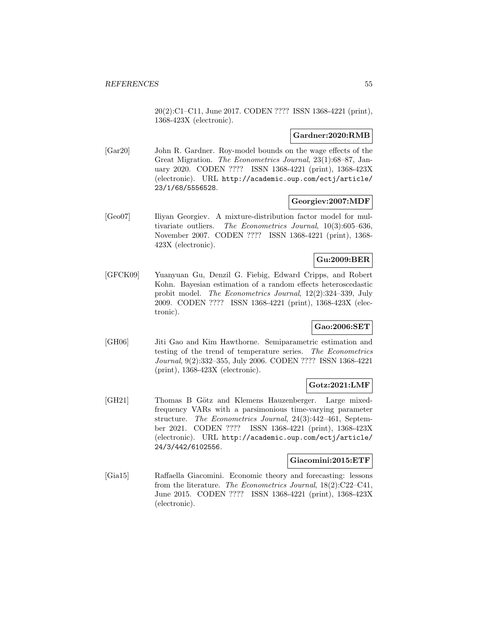20(2):C1–C11, June 2017. CODEN ???? ISSN 1368-4221 (print), 1368-423X (electronic).

# **Gardner:2020:RMB**

[Gar20] John R. Gardner. Roy-model bounds on the wage effects of the Great Migration. The Econometrics Journal, 23(1):68–87, January 2020. CODEN ???? ISSN 1368-4221 (print), 1368-423X (electronic). URL http://academic.oup.com/ectj/article/ 23/1/68/5556528.

### **Georgiev:2007:MDF**

[Geo07] Iliyan Georgiev. A mixture-distribution factor model for multivariate outliers. The Econometrics Journal, 10(3):605–636, November 2007. CODEN ???? ISSN 1368-4221 (print), 1368- 423X (electronic).

# **Gu:2009:BER**

[GFCK09] Yuanyuan Gu, Denzil G. Fiebig, Edward Cripps, and Robert Kohn. Bayesian estimation of a random effects heteroscedastic probit model. The Econometrics Journal, 12(2):324–339, July 2009. CODEN ???? ISSN 1368-4221 (print), 1368-423X (electronic).

# **Gao:2006:SET**

[GH06] Jiti Gao and Kim Hawthorne. Semiparametric estimation and testing of the trend of temperature series. The Econometrics Journal, 9(2):332–355, July 2006. CODEN ???? ISSN 1368-4221 (print), 1368-423X (electronic).

# **Gotz:2021:LMF**

[GH21] Thomas B Götz and Klemens Hauzenberger. Large mixedfrequency VARs with a parsimonious time-varying parameter structure. The Econometrics Journal, 24(3):442–461, September 2021. CODEN ???? ISSN 1368-4221 (print), 1368-423X (electronic). URL http://academic.oup.com/ectj/article/ 24/3/442/6102556.

#### **Giacomini:2015:ETF**

[Gia15] Raffaella Giacomini. Economic theory and forecasting: lessons from the literature. The Econometrics Journal, 18(2):C22–C41, June 2015. CODEN ???? ISSN 1368-4221 (print), 1368-423X (electronic).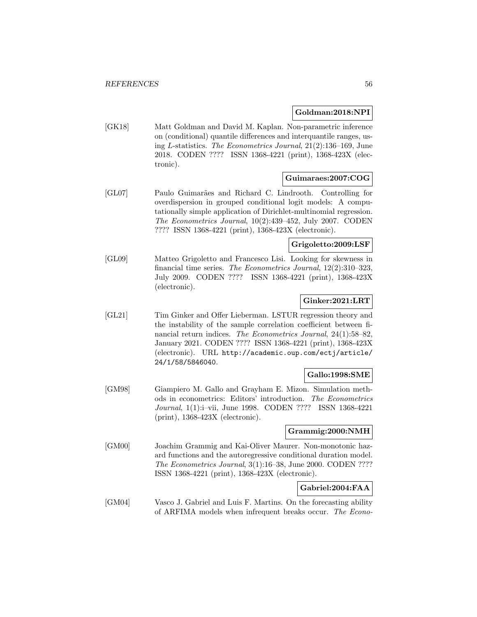## **Goldman:2018:NPI**

[GK18] Matt Goldman and David M. Kaplan. Non-parametric inference on (conditional) quantile differences and interquantile ranges, using L-statistics. The Econometrics Journal, 21(2):136–169, June 2018. CODEN ???? ISSN 1368-4221 (print), 1368-423X (electronic).

### **Guimaraes:2007:COG**

[GL07] Paulo Guimarães and Richard C. Lindrooth. Controlling for overdispersion in grouped conditional logit models: A computationally simple application of Dirichlet-multinomial regression. The Econometrics Journal, 10(2):439–452, July 2007. CODEN ???? ISSN 1368-4221 (print), 1368-423X (electronic).

# **Grigoletto:2009:LSF**

[GL09] Matteo Grigoletto and Francesco Lisi. Looking for skewness in financial time series. The Econometrics Journal, 12(2):310–323, July 2009. CODEN ???? ISSN 1368-4221 (print), 1368-423X (electronic).

# **Ginker:2021:LRT**

[GL21] Tim Ginker and Offer Lieberman. LSTUR regression theory and the instability of the sample correlation coefficient between financial return indices. The Econometrics Journal, 24(1):58–82, January 2021. CODEN ???? ISSN 1368-4221 (print), 1368-423X (electronic). URL http://academic.oup.com/ectj/article/ 24/1/58/5846040.

# **Gallo:1998:SME**

[GM98] Giampiero M. Gallo and Grayham E. Mizon. Simulation methods in econometrics: Editors' introduction. The Econometrics Journal, 1(1):i–vii, June 1998. CODEN ???? ISSN 1368-4221 (print), 1368-423X (electronic).

### **Grammig:2000:NMH**

[GM00] Joachim Grammig and Kai-Oliver Maurer. Non-monotonic hazard functions and the autoregressive conditional duration model. The Econometrics Journal, 3(1):16–38, June 2000. CODEN ???? ISSN 1368-4221 (print), 1368-423X (electronic).

# **Gabriel:2004:FAA**

[GM04] Vasco J. Gabriel and Luis F. Martins. On the forecasting ability of ARFIMA models when infrequent breaks occur. The Econo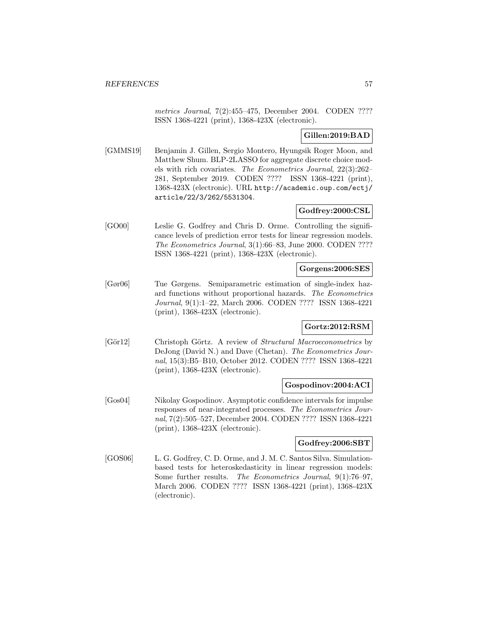metrics Journal, 7(2):455–475, December 2004. CODEN ???? ISSN 1368-4221 (print), 1368-423X (electronic).

# **Gillen:2019:BAD**

[GMMS19] Benjamin J. Gillen, Sergio Montero, Hyungsik Roger Moon, and Matthew Shum. BLP-2LASSO for aggregate discrete choice models with rich covariates. The Econometrics Journal, 22(3):262– 281, September 2019. CODEN ???? ISSN 1368-4221 (print), 1368-423X (electronic). URL http://academic.oup.com/ectj/ article/22/3/262/5531304.

# **Godfrey:2000:CSL**

[GO00] Leslie G. Godfrey and Chris D. Orme. Controlling the significance levels of prediction error tests for linear regression models. The Econometrics Journal, 3(1):66–83, June 2000. CODEN ???? ISSN 1368-4221 (print), 1368-423X (electronic).

# **Gorgens:2006:SES**

[Gør06] Tue Gørgens. Semiparametric estimation of single-index hazard functions without proportional hazards. The Econometrics Journal, 9(1):1–22, March 2006. CODEN ???? ISSN 1368-4221 (print), 1368-423X (electronic).

## **Gortz:2012:RSM**

[Gör12] Christoph Görtz. A review of *Structural Macroeconometrics* by DeJong (David N.) and Dave (Chetan). The Econometrics Journal, 15(3):B5–B10, October 2012. CODEN ???? ISSN 1368-4221 (print), 1368-423X (electronic).

# **Gospodinov:2004:ACI**

[Gos04] Nikolay Gospodinov. Asymptotic confidence intervals for impulse responses of near-integrated processes. The Econometrics Journal, 7(2):505–527, December 2004. CODEN ???? ISSN 1368-4221 (print), 1368-423X (electronic).

### **Godfrey:2006:SBT**

[GOS06] L. G. Godfrey, C. D. Orme, and J. M. C. Santos Silva. Simulationbased tests for heteroskedasticity in linear regression models: Some further results. The Econometrics Journal, 9(1):76–97, March 2006. CODEN ???? ISSN 1368-4221 (print), 1368-423X (electronic).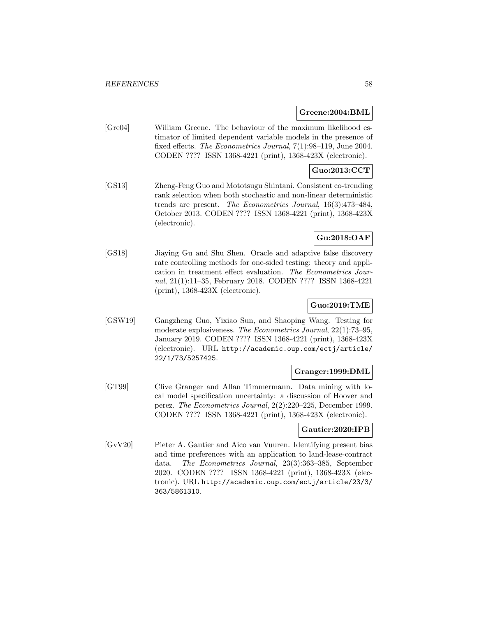### **Greene:2004:BML**

[Gre04] William Greene. The behaviour of the maximum likelihood estimator of limited dependent variable models in the presence of fixed effects. The Econometrics Journal, 7(1):98–119, June 2004. CODEN ???? ISSN 1368-4221 (print), 1368-423X (electronic).

# **Guo:2013:CCT**

[GS13] Zheng-Feng Guo and Mototsugu Shintani. Consistent co-trending rank selection when both stochastic and non-linear deterministic trends are present. The Econometrics Journal, 16(3):473–484, October 2013. CODEN ???? ISSN 1368-4221 (print), 1368-423X (electronic).

# **Gu:2018:OAF**

[GS18] Jiaying Gu and Shu Shen. Oracle and adaptive false discovery rate controlling methods for one-sided testing: theory and application in treatment effect evaluation. The Econometrics Journal, 21(1):11–35, February 2018. CODEN ???? ISSN 1368-4221 (print), 1368-423X (electronic).

# **Guo:2019:TME**

[GSW19] Gangzheng Guo, Yixiao Sun, and Shaoping Wang. Testing for moderate explosiveness. The Econometrics Journal, 22(1):73–95, January 2019. CODEN ???? ISSN 1368-4221 (print), 1368-423X (electronic). URL http://academic.oup.com/ectj/article/ 22/1/73/5257425.

# **Granger:1999:DML**

[GT99] Clive Granger and Allan Timmermann. Data mining with local model specification uncertainty: a discussion of Hoover and perez. The Econometrics Journal, 2(2):220–225, December 1999. CODEN ???? ISSN 1368-4221 (print), 1368-423X (electronic).

### **Gautier:2020:IPB**

[GvV20] Pieter A. Gautier and Aico van Vuuren. Identifying present bias and time preferences with an application to land-lease-contract data. The Econometrics Journal, 23(3):363–385, September 2020. CODEN ???? ISSN 1368-4221 (print), 1368-423X (electronic). URL http://academic.oup.com/ectj/article/23/3/ 363/5861310.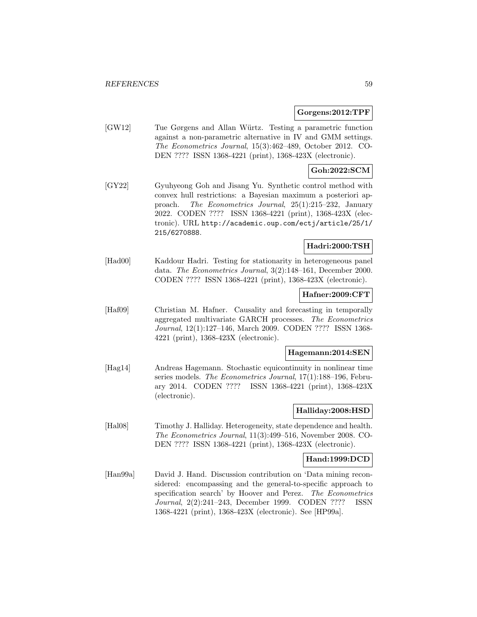### **Gorgens:2012:TPF**

[GW12] Tue Gørgens and Allan Würtz. Testing a parametric function against a non-parametric alternative in IV and GMM settings. The Econometrics Journal, 15(3):462–489, October 2012. CO-DEN ???? ISSN 1368-4221 (print), 1368-423X (electronic).

## **Goh:2022:SCM**

[GY22] Gyuhyeong Goh and Jisang Yu. Synthetic control method with convex hull restrictions: a Bayesian maximum a posteriori approach. The Econometrics Journal, 25(1):215–232, January 2022. CODEN ???? ISSN 1368-4221 (print), 1368-423X (electronic). URL http://academic.oup.com/ectj/article/25/1/ 215/6270888.

### **Hadri:2000:TSH**

[Had00] Kaddour Hadri. Testing for stationarity in heterogeneous panel data. The Econometrics Journal, 3(2):148–161, December 2000. CODEN ???? ISSN 1368-4221 (print), 1368-423X (electronic).

# **Hafner:2009:CFT**

[Haf09] Christian M. Hafner. Causality and forecasting in temporally aggregated multivariate GARCH processes. The Econometrics Journal, 12(1):127–146, March 2009. CODEN ???? ISSN 1368- 4221 (print), 1368-423X (electronic).

#### **Hagemann:2014:SEN**

[Hag14] Andreas Hagemann. Stochastic equicontinuity in nonlinear time series models. The Econometrics Journal, 17(1):188-196, February 2014. CODEN ???? ISSN 1368-4221 (print), 1368-423X (electronic).

# **Halliday:2008:HSD**

[Hal08] Timothy J. Halliday. Heterogeneity, state dependence and health. The Econometrics Journal, 11(3):499–516, November 2008. CO-DEN ???? ISSN 1368-4221 (print), 1368-423X (electronic).

### **Hand:1999:DCD**

[Han99a] David J. Hand. Discussion contribution on 'Data mining reconsidered: encompassing and the general-to-specific approach to specification search' by Hoover and Perez. The Econometrics Journal, 2(2):241–243, December 1999. CODEN ???? ISSN 1368-4221 (print), 1368-423X (electronic). See [HP99a].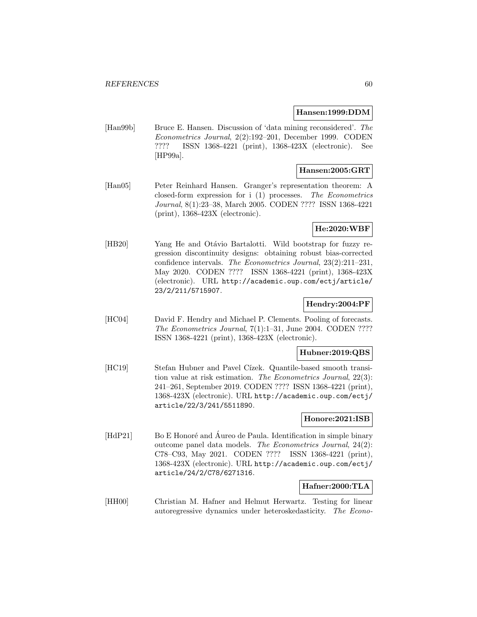#### **Hansen:1999:DDM**

[Han99b] Bruce E. Hansen. Discussion of 'data mining reconsidered'. The Econometrics Journal, 2(2):192–201, December 1999. CODEN ???? ISSN 1368-4221 (print), 1368-423X (electronic). See [HP99a].

# **Hansen:2005:GRT**

[Han05] Peter Reinhard Hansen. Granger's representation theorem: A closed-form expression for i (1) processes. The Econometrics Journal, 8(1):23–38, March 2005. CODEN ???? ISSN 1368-4221 (print), 1368-423X (electronic).

## **He:2020:WBF**

[HB20] Yang He and Otávio Bartalotti. Wild bootstrap for fuzzy regression discontinuity designs: obtaining robust bias-corrected confidence intervals. The Econometrics Journal, 23(2):211–231, May 2020. CODEN ???? ISSN 1368-4221 (print), 1368-423X (electronic). URL http://academic.oup.com/ectj/article/ 23/2/211/5715907.

## **Hendry:2004:PF**

[HC04] David F. Hendry and Michael P. Clements. Pooling of forecasts. The Econometrics Journal, 7(1):1–31, June 2004. CODEN ???? ISSN 1368-4221 (print), 1368-423X (electronic).

#### **Hubner:2019:QBS**

[HC19] Stefan Hubner and Pavel Cízek. Quantile-based smooth transition value at risk estimation. The Econometrics Journal, 22(3): 241–261, September 2019. CODEN ???? ISSN 1368-4221 (print), 1368-423X (electronic). URL http://academic.oup.com/ectj/ article/22/3/241/5511890.

# **Honore:2021:ISB**

[HdP21] Bo E Honoré and Aureo de Paula. Identification in simple binary outcome panel data models. The Econometrics Journal, 24(2): C78–C93, May 2021. CODEN ???? ISSN 1368-4221 (print), 1368-423X (electronic). URL http://academic.oup.com/ectj/ article/24/2/C78/6271316.

### **Hafner:2000:TLA**

[HH00] Christian M. Hafner and Helmut Herwartz. Testing for linear autoregressive dynamics under heteroskedasticity. The Econo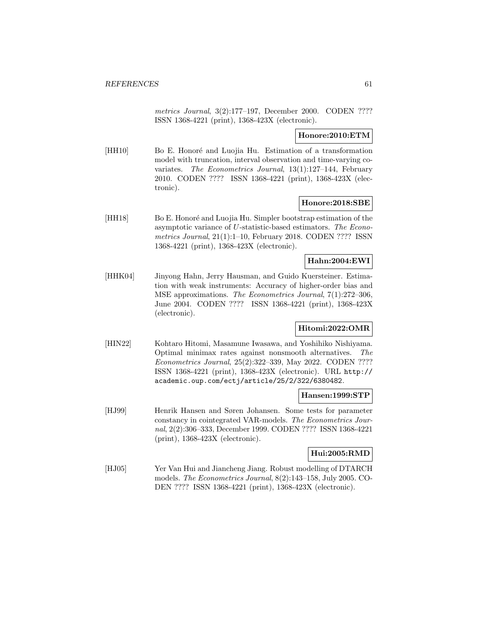metrics Journal, 3(2):177–197, December 2000. CODEN ???? ISSN 1368-4221 (print), 1368-423X (electronic).

## **Honore:2010:ETM**

[HH10] Bo E. Honoré and Luojia Hu. Estimation of a transformation model with truncation, interval observation and time-varying covariates. The Econometrics Journal, 13(1):127–144, February 2010. CODEN ???? ISSN 1368-4221 (print), 1368-423X (electronic).

### **Honore:2018:SBE**

[HH18] Bo E. Honoré and Luojia Hu. Simpler bootstrap estimation of the asymptotic variance of U-statistic-based estimators. The Econometrics Journal, 21(1):1–10, February 2018. CODEN ???? ISSN 1368-4221 (print), 1368-423X (electronic).

## **Hahn:2004:EWI**

[HHK04] Jinyong Hahn, Jerry Hausman, and Guido Kuersteiner. Estimation with weak instruments: Accuracy of higher-order bias and MSE approximations. The Econometrics Journal, 7(1):272–306, June 2004. CODEN ???? ISSN 1368-4221 (print), 1368-423X (electronic).

### **Hitomi:2022:OMR**

[HIN22] Kohtaro Hitomi, Masamune Iwasawa, and Yoshihiko Nishiyama. Optimal minimax rates against nonsmooth alternatives. The Econometrics Journal, 25(2):322–339, May 2022. CODEN ???? ISSN 1368-4221 (print), 1368-423X (electronic). URL http:// academic.oup.com/ectj/article/25/2/322/6380482.

#### **Hansen:1999:STP**

[HJ99] Henrik Hansen and Søren Johansen. Some tests for parameter constancy in cointegrated VAR-models. The Econometrics Journal, 2(2):306–333, December 1999. CODEN ???? ISSN 1368-4221 (print), 1368-423X (electronic).

### **Hui:2005:RMD**

[HJ05] Yer Van Hui and Jiancheng Jiang. Robust modelling of DTARCH models. The Econometrics Journal, 8(2):143–158, July 2005. CO-DEN ???? ISSN 1368-4221 (print), 1368-423X (electronic).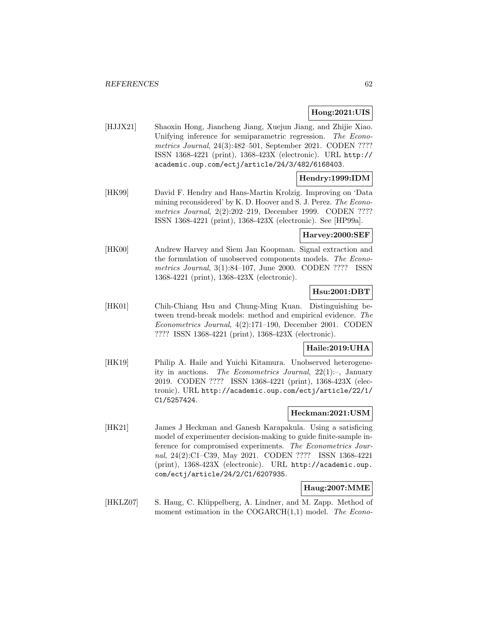# **Hong:2021:UIS**

[HJJX21] Shaoxin Hong, Jiancheng Jiang, Xuejun Jiang, and Zhijie Xiao. Unifying inference for semiparametric regression. The Econometrics Journal, 24(3):482–501, September 2021. CODEN ???? ISSN 1368-4221 (print), 1368-423X (electronic). URL http:// academic.oup.com/ectj/article/24/3/482/6168403.

# **Hendry:1999:IDM**

[HK99] David F. Hendry and Hans-Martin Krolzig. Improving on 'Data mining reconsidered' by K. D. Hoover and S. J. Perez. The Econometrics Journal, 2(2):202–219, December 1999. CODEN ???? ISSN 1368-4221 (print), 1368-423X (electronic). See [HP99a].

# **Harvey:2000:SEF**

[HK00] Andrew Harvey and Siem Jan Koopman. Signal extraction and the formulation of unobserved components models. The Econometrics Journal, 3(1):84–107, June 2000. CODEN ???? ISSN 1368-4221 (print), 1368-423X (electronic).

## **Hsu:2001:DBT**

[HK01] Chih-Chiang Hsu and Chung-Ming Kuan. Distinguishing between trend-break models: method and empirical evidence. The Econometrics Journal, 4(2):171–190, December 2001. CODEN ???? ISSN 1368-4221 (print), 1368-423X (electronic).

## **Haile:2019:UHA**

[HK19] Philip A. Haile and Yuichi Kitamura. Unobserved heterogeneity in auctions. The Econometrics Journal,  $22(1)$ :-, January 2019. CODEN ???? ISSN 1368-4221 (print), 1368-423X (electronic). URL http://academic.oup.com/ectj/article/22/1/ C1/5257424.

### **Heckman:2021:USM**

[HK21] James J Heckman and Ganesh Karapakula. Using a satisficing model of experimenter decision-making to guide finite-sample inference for compromised experiments. The Econometrics Journal, 24(2):C1–C39, May 2021. CODEN ???? ISSN 1368-4221 (print), 1368-423X (electronic). URL http://academic.oup. com/ectj/article/24/2/C1/6207935.

# **Haug:2007:MME**

[HKLZ07] S. Haug, C. Klüppelberg, A. Lindner, and M. Zapp. Method of moment estimation in the  $COGARCH(1,1)$  model. The Econo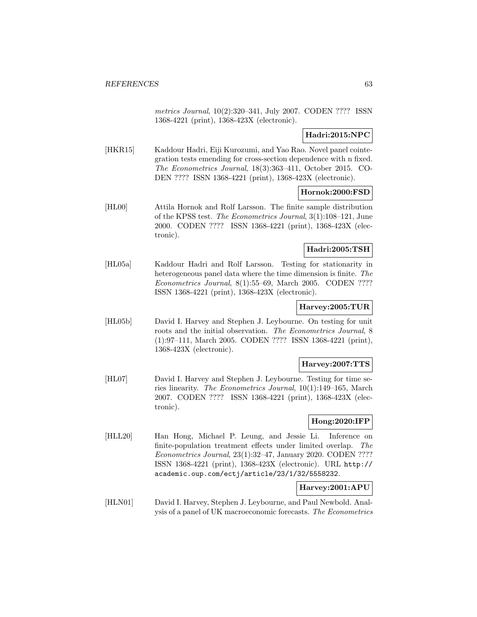metrics Journal, 10(2):320–341, July 2007. CODEN ???? ISSN 1368-4221 (print), 1368-423X (electronic).

# **Hadri:2015:NPC**

[HKR15] Kaddour Hadri, Eiji Kurozumi, and Yao Rao. Novel panel cointegration tests emending for cross-section dependence with n fixed. The Econometrics Journal, 18(3):363–411, October 2015. CO-DEN ???? ISSN 1368-4221 (print), 1368-423X (electronic).

# **Hornok:2000:FSD**

[HL00] Attila Hornok and Rolf Larsson. The finite sample distribution of the KPSS test. The Econometrics Journal, 3(1):108–121, June 2000. CODEN ???? ISSN 1368-4221 (print), 1368-423X (electronic).

# **Hadri:2005:TSH**

[HL05a] Kaddour Hadri and Rolf Larsson. Testing for stationarity in heterogeneous panel data where the time dimension is finite. The Econometrics Journal, 8(1):55–69, March 2005. CODEN ???? ISSN 1368-4221 (print), 1368-423X (electronic).

## **Harvey:2005:TUR**

[HL05b] David I. Harvey and Stephen J. Leybourne. On testing for unit roots and the initial observation. The Econometrics Journal, 8 (1):97–111, March 2005. CODEN ???? ISSN 1368-4221 (print), 1368-423X (electronic).

# **Harvey:2007:TTS**

[HL07] David I. Harvey and Stephen J. Leybourne. Testing for time series linearity. The Econometrics Journal, 10(1):149–165, March 2007. CODEN ???? ISSN 1368-4221 (print), 1368-423X (electronic).

## **Hong:2020:IFP**

[HLL20] Han Hong, Michael P. Leung, and Jessie Li. Inference on finite-population treatment effects under limited overlap. The Econometrics Journal, 23(1):32–47, January 2020. CODEN ???? ISSN 1368-4221 (print), 1368-423X (electronic). URL http:// academic.oup.com/ectj/article/23/1/32/5558232.

# **Harvey:2001:APU**

[HLN01] David I. Harvey, Stephen J. Leybourne, and Paul Newbold. Analysis of a panel of UK macroeconomic forecasts. The Econometrics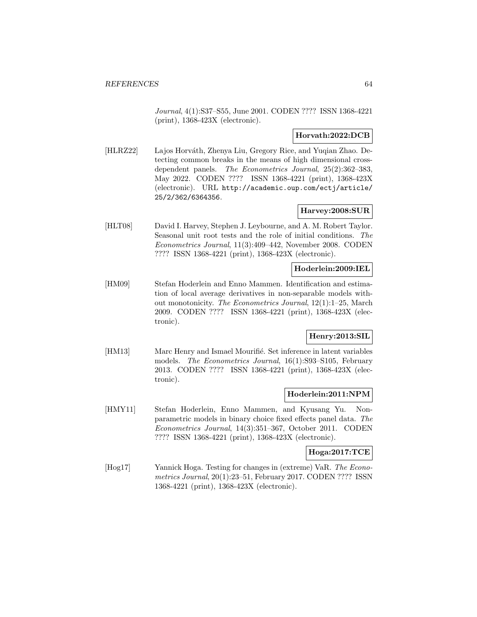Journal, 4(1):S37–S55, June 2001. CODEN ???? ISSN 1368-4221 (print), 1368-423X (electronic).

# **Horvath:2022:DCB**

[HLRZ22] Lajos Horváth, Zhenya Liu, Gregory Rice, and Yuqian Zhao. Detecting common breaks in the means of high dimensional crossdependent panels. The Econometrics Journal, 25(2):362–383, May 2022. CODEN ???? ISSN 1368-4221 (print), 1368-423X (electronic). URL http://academic.oup.com/ectj/article/ 25/2/362/6364356.

# **Harvey:2008:SUR**

[HLT08] David I. Harvey, Stephen J. Leybourne, and A. M. Robert Taylor. Seasonal unit root tests and the role of initial conditions. The Econometrics Journal, 11(3):409–442, November 2008. CODEN ???? ISSN 1368-4221 (print), 1368-423X (electronic).

# **Hoderlein:2009:IEL**

[HM09] Stefan Hoderlein and Enno Mammen. Identification and estimation of local average derivatives in non-separable models without monotonicity. The Econometrics Journal, 12(1):1–25, March 2009. CODEN ???? ISSN 1368-4221 (print), 1368-423X (electronic).

### **Henry:2013:SIL**

[HM13] Marc Henry and Ismael Mourifié. Set inference in latent variables models. The Econometrics Journal, 16(1):S93–S105, February 2013. CODEN ???? ISSN 1368-4221 (print), 1368-423X (electronic).

### **Hoderlein:2011:NPM**

[HMY11] Stefan Hoderlein, Enno Mammen, and Kyusang Yu. Nonparametric models in binary choice fixed effects panel data. The Econometrics Journal, 14(3):351–367, October 2011. CODEN ???? ISSN 1368-4221 (print), 1368-423X (electronic).

#### **Hoga:2017:TCE**

[Hog17] Yannick Hoga. Testing for changes in (extreme) VaR. The Econometrics Journal, 20(1):23–51, February 2017. CODEN ???? ISSN 1368-4221 (print), 1368-423X (electronic).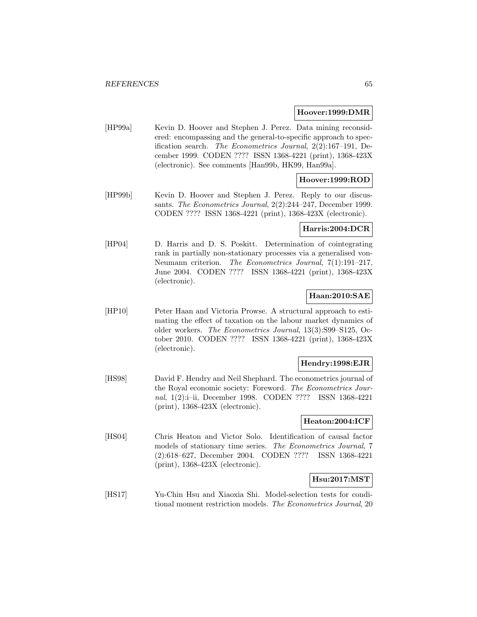#### **Hoover:1999:DMR**

[HP99a] Kevin D. Hoover and Stephen J. Perez. Data mining reconsidered: encompassing and the general-to-specific approach to specification search. The Econometrics Journal, 2(2):167–191, December 1999. CODEN ???? ISSN 1368-4221 (print), 1368-423X (electronic). See comments [Han99b, HK99, Han99a].

# **Hoover:1999:ROD**

[HP99b] Kevin D. Hoover and Stephen J. Perez. Reply to our discussants. The Econometrics Journal, 2(2):244-247, December 1999. CODEN ???? ISSN 1368-4221 (print), 1368-423X (electronic).

## **Harris:2004:DCR**

[HP04] D. Harris and D. S. Poskitt. Determination of cointegrating rank in partially non-stationary processes via a generalised von-Neumann criterion. The Econometrics Journal, 7(1):191–217, June 2004. CODEN ???? ISSN 1368-4221 (print), 1368-423X (electronic).

# **Haan:2010:SAE**

[HP10] Peter Haan and Victoria Prowse. A structural approach to estimating the effect of taxation on the labour market dynamics of older workers. The Econometrics Journal, 13(3):S99–S125, October 2010. CODEN ???? ISSN 1368-4221 (print), 1368-423X (electronic).

# **Hendry:1998:EJR**

[HS98] David F. Hendry and Neil Shephard. The econometrics journal of the Royal economic society: Foreword. The Econometrics Journal, 1(2):i–ii, December 1998. CODEN ???? ISSN 1368-4221 (print), 1368-423X (electronic).

### **Heaton:2004:ICF**

[HS04] Chris Heaton and Victor Solo. Identification of causal factor models of stationary time series. The Econometrics Journal, 7 (2):618–627, December 2004. CODEN ???? ISSN 1368-4221 (print), 1368-423X (electronic).

## **Hsu:2017:MST**

[HS17] Yu-Chin Hsu and Xiaoxia Shi. Model-selection tests for conditional moment restriction models. The Econometrics Journal, 20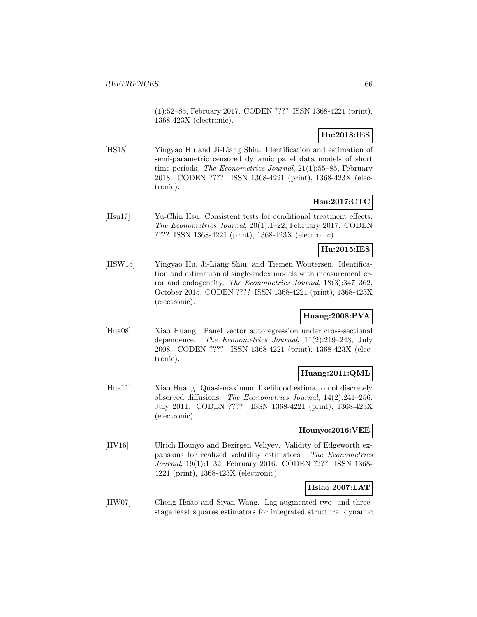(1):52–85, February 2017. CODEN ???? ISSN 1368-4221 (print), 1368-423X (electronic).

# **Hu:2018:IES**

[HS18] Yingyao Hu and Ji-Liang Shiu. Identification and estimation of semi-parametric censored dynamic panel data models of short time periods. The Econometrics Journal, 21(1):55–85, February 2018. CODEN ???? ISSN 1368-4221 (print), 1368-423X (electronic).

# **Hsu:2017:CTC**

[Hsu17] Yu-Chin Hsu. Consistent tests for conditional treatment effects. The Econometrics Journal, 20(1):1–22, February 2017. CODEN ???? ISSN 1368-4221 (print), 1368-423X (electronic).

# **Hu:2015:IES**

[HSW15] Yingyao Hu, Ji-Liang Shiu, and Tiemen Woutersen. Identification and estimation of single-index models with measurement error and endogeneity. The Econometrics Journal, 18(3):347–362, October 2015. CODEN ???? ISSN 1368-4221 (print), 1368-423X (electronic).

# **Huang:2008:PVA**

[Hua08] Xiao Huang. Panel vector autoregression under cross-sectional dependence. The Econometrics Journal, 11(2):219–243, July 2008. CODEN ???? ISSN 1368-4221 (print), 1368-423X (electronic).

# **Huang:2011:QML**

[Hua11] Xiao Huang. Quasi-maximum likelihood estimation of discretely observed diffusions. The Econometrics Journal, 14(2):241–256, July 2011. CODEN ???? ISSN 1368-4221 (print), 1368-423X (electronic).

# **Hounyo:2016:VEE**

[HV16] Ulrich Hounyo and Bezirgen Veliyev. Validity of Edgeworth expansions for realized volatility estimators. The Econometrics Journal, 19(1):1–32, February 2016. CODEN ???? ISSN 1368- 4221 (print), 1368-423X (electronic).

# **Hsiao:2007:LAT**

[HW07] Cheng Hsiao and Siyan Wang. Lag-augmented two- and threestage least squares estimators for integrated structural dynamic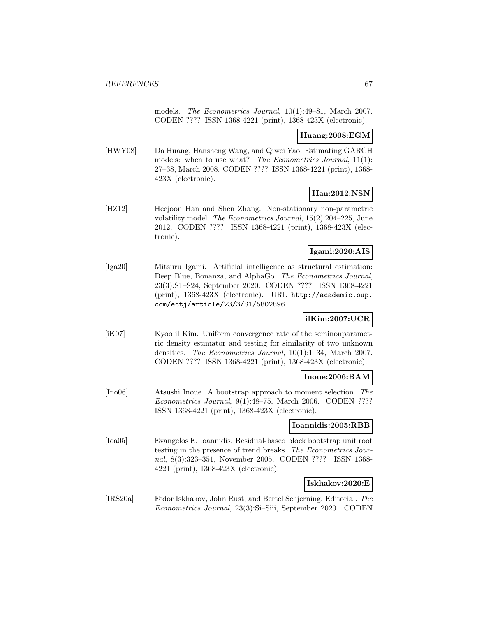models. The Econometrics Journal, 10(1):49–81, March 2007. CODEN ???? ISSN 1368-4221 (print), 1368-423X (electronic).

### **Huang:2008:EGM**

[HWY08] Da Huang, Hansheng Wang, and Qiwei Yao. Estimating GARCH models: when to use what? The Econometrics Journal, 11(1): 27–38, March 2008. CODEN ???? ISSN 1368-4221 (print), 1368- 423X (electronic).

### **Han:2012:NSN**

[HZ12] Heejoon Han and Shen Zhang. Non-stationary non-parametric volatility model. The Econometrics Journal, 15(2):204–225, June 2012. CODEN ???? ISSN 1368-4221 (print), 1368-423X (electronic).

## **Igami:2020:AIS**

[Iga20] Mitsuru Igami. Artificial intelligence as structural estimation: Deep Blue, Bonanza, and AlphaGo. The Econometrics Journal, 23(3):S1–S24, September 2020. CODEN ???? ISSN 1368-4221 (print), 1368-423X (electronic). URL http://academic.oup. com/ectj/article/23/3/S1/5802896.

# **ilKim:2007:UCR**

[iK07] Kyoo il Kim. Uniform convergence rate of the seminonparametric density estimator and testing for similarity of two unknown densities. The Econometrics Journal, 10(1):1–34, March 2007. CODEN ???? ISSN 1368-4221 (print), 1368-423X (electronic).

#### **Inoue:2006:BAM**

[Ino06] Atsushi Inoue. A bootstrap approach to moment selection. The Econometrics Journal, 9(1):48–75, March 2006. CODEN ???? ISSN 1368-4221 (print), 1368-423X (electronic).

### **Ioannidis:2005:RBB**

[Ioa05] Evangelos E. Ioannidis. Residual-based block bootstrap unit root testing in the presence of trend breaks. The Econometrics Journal, 8(3):323–351, November 2005. CODEN ???? ISSN 1368- 4221 (print), 1368-423X (electronic).

### **Iskhakov:2020:E**

[IRS20a] Fedor Iskhakov, John Rust, and Bertel Schjerning. Editorial. The Econometrics Journal, 23(3):Si–Siii, September 2020. CODEN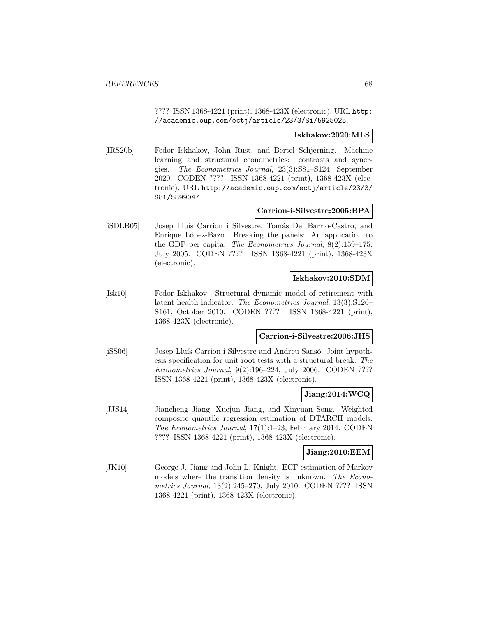???? ISSN 1368-4221 (print), 1368-423X (electronic). URL http: //academic.oup.com/ectj/article/23/3/Si/5925025.

### **Iskhakov:2020:MLS**

[IRS20b] Fedor Iskhakov, John Rust, and Bertel Schjerning. Machine learning and structural econometrics: contrasts and synergies. The Econometrics Journal, 23(3):S81–S124, September 2020. CODEN ???? ISSN 1368-4221 (print), 1368-423X (electronic). URL http://academic.oup.com/ectj/article/23/3/ S81/5899047.

# **Carrion-i-Silvestre:2005:BPA**

[iSDLB05] Josep Lluís Carrion i Silvestre, Tomás Del Barrio-Castro, and Enrique López-Bazo. Breaking the panels: An application to the GDP per capita. The Econometrics Journal, 8(2):159–175, July 2005. CODEN ???? ISSN 1368-4221 (print), 1368-423X (electronic).

# **Iskhakov:2010:SDM**

[Isk10] Fedor Iskhakov. Structural dynamic model of retirement with latent health indicator. The Econometrics Journal, 13(3):S126– S161, October 2010. CODEN ???? ISSN 1368-4221 (print), 1368-423X (electronic).

# **Carrion-i-Silvestre:2006:JHS**

[iSS06] Josep Lluís Carrion i Silvestre and Andreu Sansó. Joint hypothesis specification for unit root tests with a structural break. The Econometrics Journal, 9(2):196–224, July 2006. CODEN ???? ISSN 1368-4221 (print), 1368-423X (electronic).

# **Jiang:2014:WCQ**

[JJS14] Jiancheng Jiang, Xuejun Jiang, and Xinyuan Song. Weighted composite quantile regression estimation of DTARCH models. The Econometrics Journal, 17(1):1–23, February 2014. CODEN ???? ISSN 1368-4221 (print), 1368-423X (electronic).

### **Jiang:2010:EEM**

[JK10] George J. Jiang and John L. Knight. ECF estimation of Markov models where the transition density is unknown. The Econometrics Journal, 13(2):245–270, July 2010. CODEN ???? ISSN 1368-4221 (print), 1368-423X (electronic).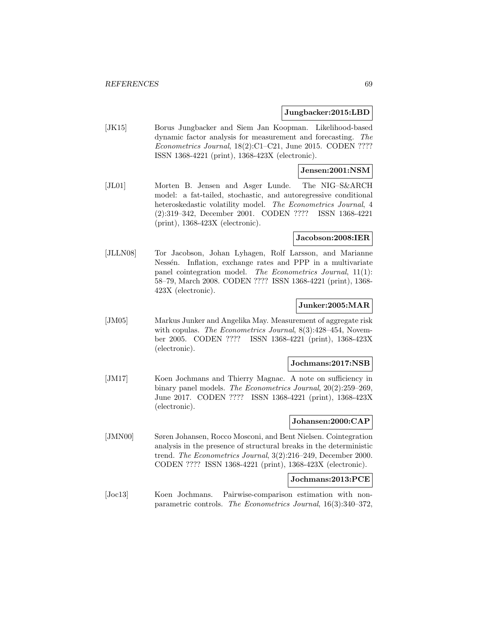#### **Jungbacker:2015:LBD**

[JK15] Borus Jungbacker and Siem Jan Koopman. Likelihood-based dynamic factor analysis for measurement and forecasting. The Econometrics Journal, 18(2):C1–C21, June 2015. CODEN ???? ISSN 1368-4221 (print), 1368-423X (electronic).

### **Jensen:2001:NSM**

[JL01] Morten B. Jensen and Asger Lunde. The NIG–S&ARCH model: a fat-tailed, stochastic, and autoregressive conditional heteroskedastic volatility model. The Econometrics Journal, 4 (2):319–342, December 2001. CODEN ???? ISSN 1368-4221 (print), 1368-423X (electronic).

### **Jacobson:2008:IER**

[JLLN08] Tor Jacobson, Johan Lyhagen, Rolf Larsson, and Marianne Nessén. Inflation, exchange rates and PPP in a multivariate panel cointegration model. The Econometrics Journal, 11(1): 58–79, March 2008. CODEN ???? ISSN 1368-4221 (print), 1368- 423X (electronic).

### **Junker:2005:MAR**

[JM05] Markus Junker and Angelika May. Measurement of aggregate risk with copulas. The Econometrics Journal, 8(3):428-454, November 2005. CODEN ???? ISSN 1368-4221 (print), 1368-423X (electronic).

## **Jochmans:2017:NSB**

[JM17] Koen Jochmans and Thierry Magnac. A note on sufficiency in binary panel models. The Econometrics Journal, 20(2):259–269, June 2017. CODEN ???? ISSN 1368-4221 (print), 1368-423X (electronic).

## **Johansen:2000:CAP**

[JMN00] Søren Johansen, Rocco Mosconi, and Bent Nielsen. Cointegration analysis in the presence of structural breaks in the deterministic trend. The Econometrics Journal, 3(2):216–249, December 2000. CODEN ???? ISSN 1368-4221 (print), 1368-423X (electronic).

# **Jochmans:2013:PCE**

[Joc13] Koen Jochmans. Pairwise-comparison estimation with nonparametric controls. The Econometrics Journal, 16(3):340–372,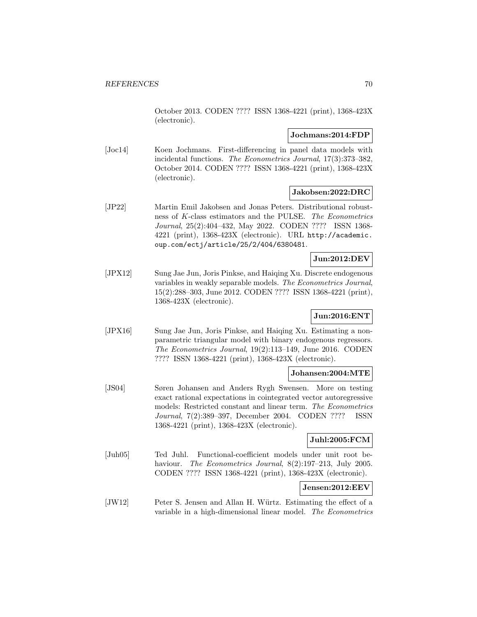October 2013. CODEN ???? ISSN 1368-4221 (print), 1368-423X (electronic).

### **Jochmans:2014:FDP**

[Joc14] Koen Jochmans. First-differencing in panel data models with incidental functions. The Econometrics Journal, 17(3):373–382, October 2014. CODEN ???? ISSN 1368-4221 (print), 1368-423X (electronic).

### **Jakobsen:2022:DRC**

[JP22] Martin Emil Jakobsen and Jonas Peters. Distributional robustness of K-class estimators and the PULSE. The Econometrics Journal, 25(2):404–432, May 2022. CODEN ???? ISSN 1368- 4221 (print), 1368-423X (electronic). URL http://academic. oup.com/ectj/article/25/2/404/6380481.

### **Jun:2012:DEV**

[JPX12] Sung Jae Jun, Joris Pinkse, and Haiqing Xu. Discrete endogenous variables in weakly separable models. The Econometrics Journal, 15(2):288–303, June 2012. CODEN ???? ISSN 1368-4221 (print), 1368-423X (electronic).

# **Jun:2016:ENT**

[JPX16] Sung Jae Jun, Joris Pinkse, and Haiqing Xu. Estimating a nonparametric triangular model with binary endogenous regressors. The Econometrics Journal, 19(2):113–149, June 2016. CODEN ???? ISSN 1368-4221 (print), 1368-423X (electronic).

### **Johansen:2004:MTE**

[JS04] Søren Johansen and Anders Rygh Swensen. More on testing exact rational expectations in cointegrated vector autoregressive models: Restricted constant and linear term. The Econometrics Journal, 7(2):389–397, December 2004. CODEN ???? ISSN 1368-4221 (print), 1368-423X (electronic).

#### **Juhl:2005:FCM**

[Juh05] Ted Juhl. Functional-coefficient models under unit root behaviour. The Econometrics Journal, 8(2):197–213, July 2005. CODEN ???? ISSN 1368-4221 (print), 1368-423X (electronic).

# **Jensen:2012:EEV**

[JW12] Peter S. Jensen and Allan H. Würtz. Estimating the effect of a variable in a high-dimensional linear model. The Econometrics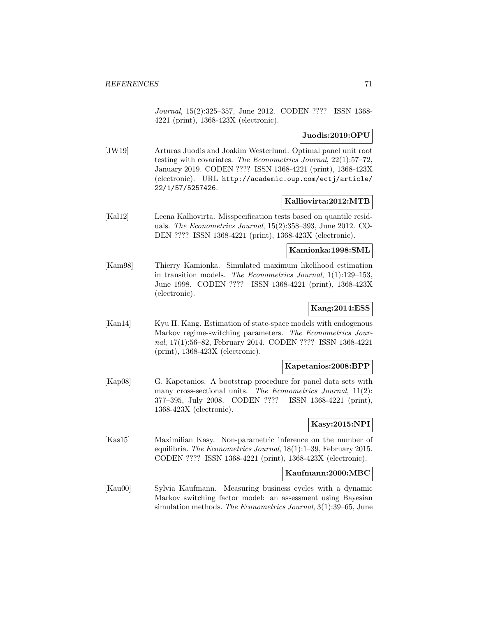Journal, 15(2):325–357, June 2012. CODEN ???? ISSN 1368- 4221 (print), 1368-423X (electronic).

# **Juodis:2019:OPU**

[JW19] Arturas Juodis and Joakim Westerlund. Optimal panel unit root testing with covariates. The Econometrics Journal, 22(1):57–72, January 2019. CODEN ???? ISSN 1368-4221 (print), 1368-423X (electronic). URL http://academic.oup.com/ectj/article/ 22/1/57/5257426.

# **Kalliovirta:2012:MTB**

[Kal12] Leena Kalliovirta. Misspecification tests based on quantile residuals. The Econometrics Journal, 15(2):358–393, June 2012. CO-DEN ???? ISSN 1368-4221 (print), 1368-423X (electronic).

### **Kamionka:1998:SML**

[Kam98] Thierry Kamionka. Simulated maximum likelihood estimation in transition models. The Econometrics Journal, 1(1):129–153, June 1998. CODEN ???? ISSN 1368-4221 (print), 1368-423X (electronic).

# **Kang:2014:ESS**

[Kan14] Kyu H. Kang. Estimation of state-space models with endogenous Markov regime-switching parameters. The Econometrics Journal, 17(1):56–82, February 2014. CODEN ???? ISSN 1368-4221 (print), 1368-423X (electronic).

### **Kapetanios:2008:BPP**

[Kap08] G. Kapetanios. A bootstrap procedure for panel data sets with many cross-sectional units. The Econometrics Journal, 11(2): 377–395, July 2008. CODEN ???? ISSN 1368-4221 (print), 1368-423X (electronic).

## **Kasy:2015:NPI**

[Kas15] Maximilian Kasy. Non-parametric inference on the number of equilibria. The Econometrics Journal, 18(1):1–39, February 2015. CODEN ???? ISSN 1368-4221 (print), 1368-423X (electronic).

### **Kaufmann:2000:MBC**

[Kau00] Sylvia Kaufmann. Measuring business cycles with a dynamic Markov switching factor model: an assessment using Bayesian simulation methods. The Econometrics Journal, 3(1):39–65, June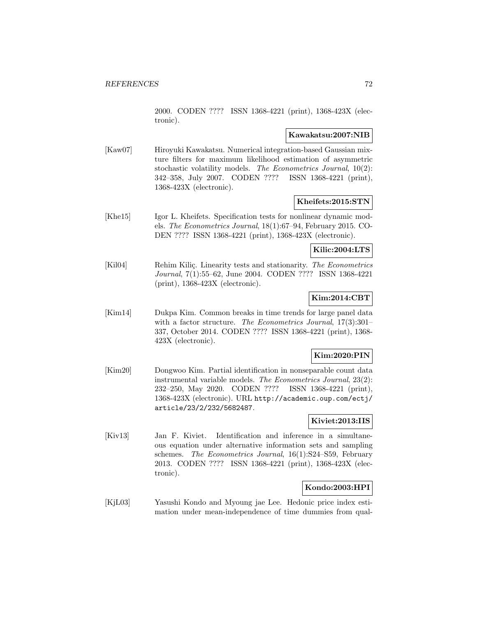2000. CODEN ???? ISSN 1368-4221 (print), 1368-423X (electronic).

# **Kawakatsu:2007:NIB**

[Kaw07] Hiroyuki Kawakatsu. Numerical integration-based Gaussian mixture filters for maximum likelihood estimation of asymmetric stochastic volatility models. The Econometrics Journal, 10(2): 342–358, July 2007. CODEN ???? ISSN 1368-4221 (print), 1368-423X (electronic).

### **Kheifets:2015:STN**

[Khe15] Igor L. Kheifets. Specification tests for nonlinear dynamic models. The Econometrics Journal, 18(1):67–94, February 2015. CO-DEN ???? ISSN 1368-4221 (print), 1368-423X (electronic).

# **Kilic:2004:LTS**

[Kil04] Rehim Kiliç. Linearity tests and stationarity. The Econometrics Journal, 7(1):55–62, June 2004. CODEN ???? ISSN 1368-4221 (print), 1368-423X (electronic).

# **Kim:2014:CBT**

[Kim14] Dukpa Kim. Common breaks in time trends for large panel data with a factor structure. The Econometrics Journal, 17(3):301– 337, October 2014. CODEN ???? ISSN 1368-4221 (print), 1368- 423X (electronic).

## **Kim:2020:PIN**

[Kim20] Dongwoo Kim. Partial identification in nonseparable count data instrumental variable models. The Econometrics Journal, 23(2): 232–250, May 2020. CODEN ???? ISSN 1368-4221 (print), 1368-423X (electronic). URL http://academic.oup.com/ectj/ article/23/2/232/5682487.

## **Kiviet:2013:IIS**

[Kiv13] Jan F. Kiviet. Identification and inference in a simultaneous equation under alternative information sets and sampling schemes. The Econometrics Journal, 16(1):S24-S59, February 2013. CODEN ???? ISSN 1368-4221 (print), 1368-423X (electronic).

# **Kondo:2003:HPI**

[KjL03] Yasushi Kondo and Myoung jae Lee. Hedonic price index estimation under mean-independence of time dummies from qual-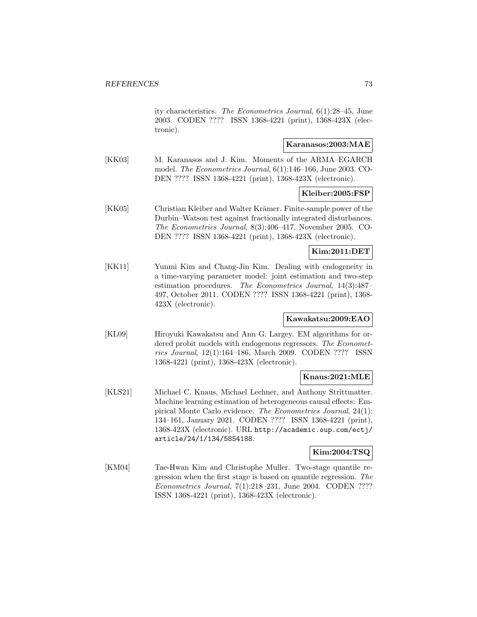ity characteristics. The Econometrics Journal, 6(1):28–45, June 2003. CODEN ???? ISSN 1368-4221 (print), 1368-423X (electronic).

## **Karanasos:2003:MAE**

[KK03] M. Karanasos and J. Kim. Moments of the ARMA–EGARCH model. The Econometrics Journal, 6(1):146–166, June 2003. CO-DEN ???? ISSN 1368-4221 (print), 1368-423X (electronic).

#### **Kleiber:2005:FSP**

[KK05] Christian Kleiber and Walter Krämer. Finite-sample power of the Durbin–Watson test against fractionally integrated disturbances. The Econometrics Journal, 8(3):406–417, November 2005. CO-DEN ???? ISSN 1368-4221 (print), 1368-423X (electronic).

### **Kim:2011:DET**

[KK11] Yunmi Kim and Chang-Jin Kim. Dealing with endogeneity in a time-varying parameter model: joint estimation and two-step estimation procedures. The Econometrics Journal, 14(3):487– 497, October 2011. CODEN ???? ISSN 1368-4221 (print), 1368- 423X (electronic).

### **Kawakatsu:2009:EAO**

[KL09] Hiroyuki Kawakatsu and Ann G. Largey. EM algorithms for ordered probit models with endogenous regressors. The Econometrics Journal, 12(1):164–186, March 2009. CODEN ???? ISSN 1368-4221 (print), 1368-423X (electronic).

### **Knaus:2021:MLE**

[KLS21] Michael C. Knaus, Michael Lechner, and Anthony Strittmatter. Machine learning estimation of heterogeneous causal effects: Empirical Monte Carlo evidence. The Econometrics Journal, 24(1): 134–161, January 2021. CODEN ???? ISSN 1368-4221 (print), 1368-423X (electronic). URL http://academic.oup.com/ectj/ article/24/1/134/5854188.

#### **Kim:2004:TSQ**

[KM04] Tae-Hwan Kim and Christophe Muller. Two-stage quantile regression when the first stage is based on quantile regression. The Econometrics Journal, 7(1):218–231, June 2004. CODEN ???? ISSN 1368-4221 (print), 1368-423X (electronic).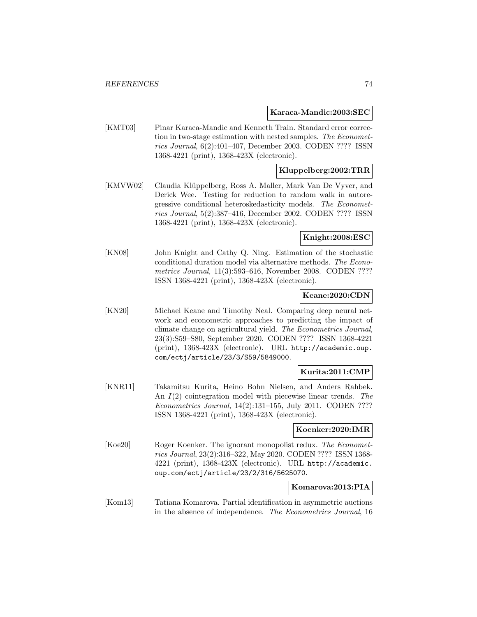#### **Karaca-Mandic:2003:SEC**

[KMT03] Pinar Karaca-Mandic and Kenneth Train. Standard error correction in two-stage estimation with nested samples. The Econometrics Journal, 6(2):401–407, December 2003. CODEN ???? ISSN 1368-4221 (print), 1368-423X (electronic).

### **Kluppelberg:2002:TRR**

[KMVW02] Claudia Klüppelberg, Ross A. Maller, Mark Van De Vyver, and Derick Wee. Testing for reduction to random walk in autoregressive conditional heteroskedasticity models. The Econometrics Journal, 5(2):387–416, December 2002. CODEN ???? ISSN 1368-4221 (print), 1368-423X (electronic).

### **Knight:2008:ESC**

[KN08] John Knight and Cathy Q. Ning. Estimation of the stochastic conditional duration model via alternative methods. The Econometrics Journal, 11(3):593–616, November 2008. CODEN ???? ISSN 1368-4221 (print), 1368-423X (electronic).

### **Keane:2020:CDN**

[KN20] Michael Keane and Timothy Neal. Comparing deep neural network and econometric approaches to predicting the impact of climate change on agricultural yield. The Econometrics Journal, 23(3):S59–S80, September 2020. CODEN ???? ISSN 1368-4221 (print), 1368-423X (electronic). URL http://academic.oup. com/ectj/article/23/3/S59/5849000.

### **Kurita:2011:CMP**

[KNR11] Takamitsu Kurita, Heino Bohn Nielsen, and Anders Rahbek. An  $I(2)$  cointegration model with piecewise linear trends. The Econometrics Journal, 14(2):131–155, July 2011. CODEN ???? ISSN 1368-4221 (print), 1368-423X (electronic).

#### **Koenker:2020:IMR**

[Koe20] Roger Koenker. The ignorant monopolist redux. The Econometrics Journal, 23(2):316–322, May 2020. CODEN ???? ISSN 1368- 4221 (print), 1368-423X (electronic). URL http://academic. oup.com/ectj/article/23/2/316/5625070.

# **Komarova:2013:PIA**

[Kom13] Tatiana Komarova. Partial identification in asymmetric auctions in the absence of independence. The Econometrics Journal, 16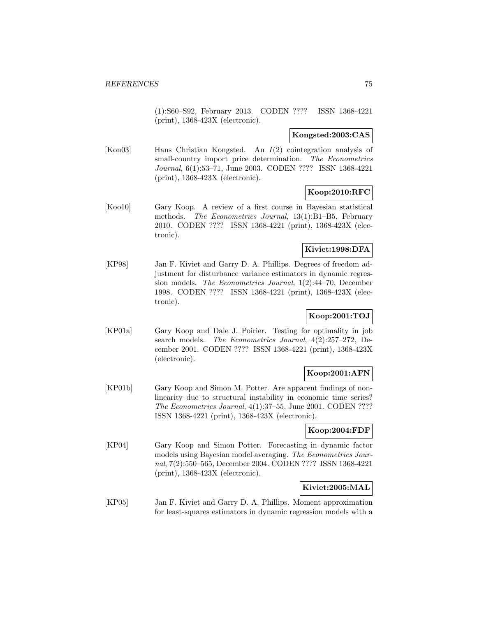(1):S60–S92, February 2013. CODEN ???? ISSN 1368-4221 (print), 1368-423X (electronic).

### **Kongsted:2003:CAS**

[Kon03] Hans Christian Kongsted. An I(2) cointegration analysis of small-country import price determination. The Econometrics Journal, 6(1):53–71, June 2003. CODEN ???? ISSN 1368-4221 (print), 1368-423X (electronic).

# **Koop:2010:RFC**

[Koo10] Gary Koop. A review of a first course in Bayesian statistical methods. The Econometrics Journal, 13(1):B1–B5, February 2010. CODEN ???? ISSN 1368-4221 (print), 1368-423X (electronic).

# **Kiviet:1998:DFA**

[KP98] Jan F. Kiviet and Garry D. A. Phillips. Degrees of freedom adjustment for disturbance variance estimators in dynamic regression models. The Econometrics Journal, 1(2):44–70, December 1998. CODEN ???? ISSN 1368-4221 (print), 1368-423X (electronic).

# **Koop:2001:TOJ**

[KP01a] Gary Koop and Dale J. Poirier. Testing for optimality in job search models. The Econometrics Journal, 4(2):257–272, December 2001. CODEN ???? ISSN 1368-4221 (print), 1368-423X (electronic).

# **Koop:2001:AFN**

[KP01b] Gary Koop and Simon M. Potter. Are apparent findings of nonlinearity due to structural instability in economic time series? The Econometrics Journal, 4(1):37–55, June 2001. CODEN ???? ISSN 1368-4221 (print), 1368-423X (electronic).

# **Koop:2004:FDF**

[KP04] Gary Koop and Simon Potter. Forecasting in dynamic factor models using Bayesian model averaging. The Econometrics Journal, 7(2):550–565, December 2004. CODEN ???? ISSN 1368-4221 (print), 1368-423X (electronic).

# **Kiviet:2005:MAL**

[KP05] Jan F. Kiviet and Garry D. A. Phillips. Moment approximation for least-squares estimators in dynamic regression models with a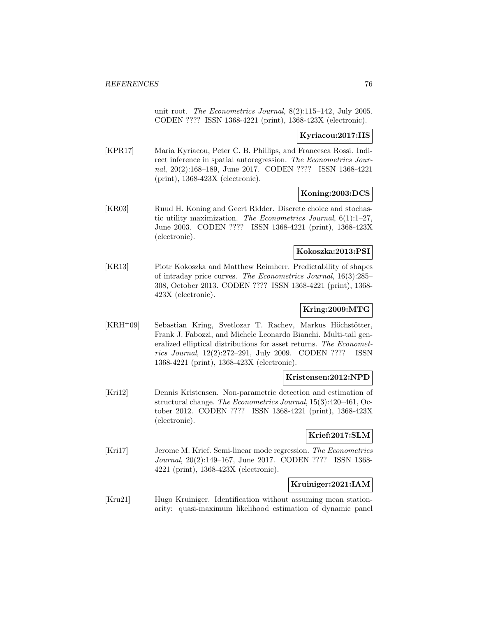unit root. The Econometrics Journal, 8(2):115–142, July 2005. CODEN ???? ISSN 1368-4221 (print), 1368-423X (electronic).

## **Kyriacou:2017:IIS**

[KPR17] Maria Kyriacou, Peter C. B. Phillips, and Francesca Rossi. Indirect inference in spatial autoregression. The Econometrics Journal, 20(2):168–189, June 2017. CODEN ???? ISSN 1368-4221 (print), 1368-423X (electronic).

## **Koning:2003:DCS**

[KR03] Ruud H. Koning and Geert Ridder. Discrete choice and stochastic utility maximization. The Econometrics Journal,  $6(1):1-27$ , June 2003. CODEN ???? ISSN 1368-4221 (print), 1368-423X (electronic).

#### **Kokoszka:2013:PSI**

[KR13] Piotr Kokoszka and Matthew Reimherr. Predictability of shapes of intraday price curves. The Econometrics Journal, 16(3):285– 308, October 2013. CODEN ???? ISSN 1368-4221 (print), 1368- 423X (electronic).

# **Kring:2009:MTG**

[KRH+09] Sebastian Kring, Svetlozar T. Rachev, Markus Höchstötter, Frank J. Fabozzi, and Michele Leonardo Bianchi. Multi-tail generalized elliptical distributions for asset returns. The Econometrics Journal, 12(2):272–291, July 2009. CODEN ???? ISSN 1368-4221 (print), 1368-423X (electronic).

### **Kristensen:2012:NPD**

[Kri12] Dennis Kristensen. Non-parametric detection and estimation of structural change. The Econometrics Journal, 15(3):420–461, October 2012. CODEN ???? ISSN 1368-4221 (print), 1368-423X (electronic).

### **Krief:2017:SLM**

[Kri17] Jerome M. Krief. Semi-linear mode regression. The Econometrics Journal, 20(2):149–167, June 2017. CODEN ???? ISSN 1368- 4221 (print), 1368-423X (electronic).

### **Kruiniger:2021:IAM**

[Kru21] Hugo Kruiniger. Identification without assuming mean stationarity: quasi-maximum likelihood estimation of dynamic panel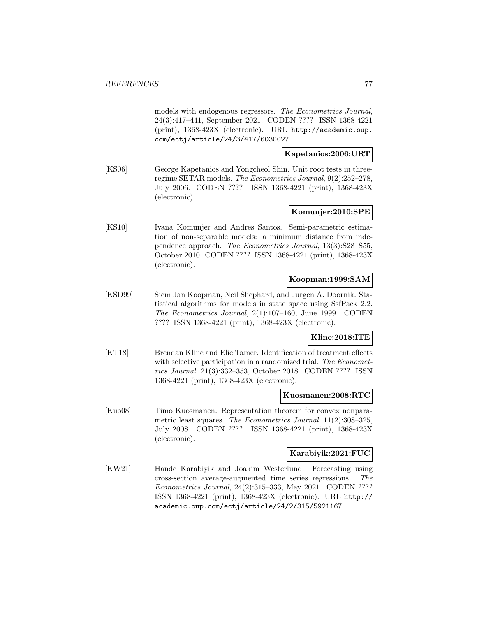models with endogenous regressors. The Econometrics Journal, 24(3):417–441, September 2021. CODEN ???? ISSN 1368-4221 (print), 1368-423X (electronic). URL http://academic.oup. com/ectj/article/24/3/417/6030027.

### **Kapetanios:2006:URT**

[KS06] George Kapetanios and Yongcheol Shin. Unit root tests in threeregime SETAR models. The Econometrics Journal, 9(2):252–278, July 2006. CODEN ???? ISSN 1368-4221 (print), 1368-423X (electronic).

## **Komunjer:2010:SPE**

[KS10] Ivana Komunjer and Andres Santos. Semi-parametric estimation of non-separable models: a minimum distance from independence approach. The Econometrics Journal, 13(3):S28–S55, October 2010. CODEN ???? ISSN 1368-4221 (print), 1368-423X (electronic).

### **Koopman:1999:SAM**

[KSD99] Siem Jan Koopman, Neil Shephard, and Jurgen A. Doornik. Statistical algorithms for models in state space using SsfPack 2.2. The Econometrics Journal, 2(1):107–160, June 1999. CODEN ???? ISSN 1368-4221 (print), 1368-423X (electronic).

### **Kline:2018:ITE**

[KT18] Brendan Kline and Elie Tamer. Identification of treatment effects with selective participation in a randomized trial. The Econometrics Journal, 21(3):332–353, October 2018. CODEN ???? ISSN 1368-4221 (print), 1368-423X (electronic).

#### **Kuosmanen:2008:RTC**

[Kuo08] Timo Kuosmanen. Representation theorem for convex nonparametric least squares. The Econometrics Journal, 11(2):308–325, July 2008. CODEN ???? ISSN 1368-4221 (print), 1368-423X (electronic).

### **Karabiyik:2021:FUC**

[KW21] Hande Karabiyik and Joakim Westerlund. Forecasting using cross-section average-augmented time series regressions. The Econometrics Journal, 24(2):315–333, May 2021. CODEN ???? ISSN 1368-4221 (print), 1368-423X (electronic). URL http:// academic.oup.com/ectj/article/24/2/315/5921167.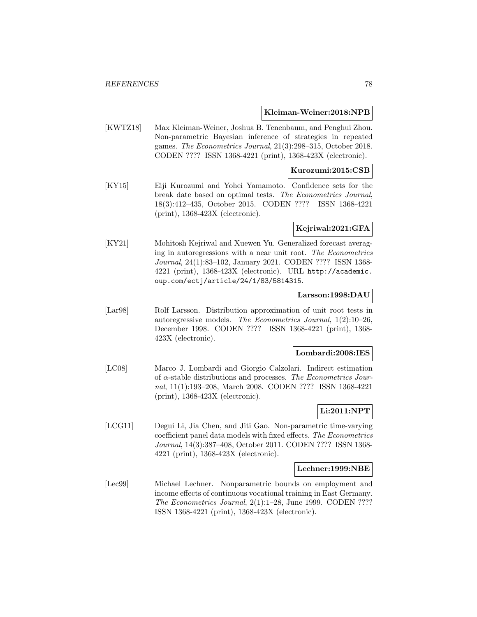#### **Kleiman-Weiner:2018:NPB**

[KWTZ18] Max Kleiman-Weiner, Joshua B. Tenenbaum, and Penghui Zhou. Non-parametric Bayesian inference of strategies in repeated games. The Econometrics Journal, 21(3):298–315, October 2018. CODEN ???? ISSN 1368-4221 (print), 1368-423X (electronic).

### **Kurozumi:2015:CSB**

[KY15] Eiji Kurozumi and Yohei Yamamoto. Confidence sets for the break date based on optimal tests. The Econometrics Journal, 18(3):412–435, October 2015. CODEN ???? ISSN 1368-4221 (print), 1368-423X (electronic).

### **Kejriwal:2021:GFA**

[KY21] Mohitosh Kejriwal and Xuewen Yu. Generalized forecast averaging in autoregressions with a near unit root. The Econometrics Journal, 24(1):83–102, January 2021. CODEN ???? ISSN 1368- 4221 (print), 1368-423X (electronic). URL http://academic. oup.com/ectj/article/24/1/83/5814315.

#### **Larsson:1998:DAU**

[Lar98] Rolf Larsson. Distribution approximation of unit root tests in autoregressive models. The Econometrics Journal, 1(2):10–26, December 1998. CODEN ???? ISSN 1368-4221 (print), 1368- 423X (electronic).

#### **Lombardi:2008:IES**

[LC08] Marco J. Lombardi and Giorgio Calzolari. Indirect estimation of  $\alpha$ -stable distributions and processes. The Econometrics Journal, 11(1):193–208, March 2008. CODEN ???? ISSN 1368-4221 (print), 1368-423X (electronic).

# **Li:2011:NPT**

[LCG11] Degui Li, Jia Chen, and Jiti Gao. Non-parametric time-varying coefficient panel data models with fixed effects. The Econometrics Journal, 14(3):387–408, October 2011. CODEN ???? ISSN 1368- 4221 (print), 1368-423X (electronic).

#### **Lechner:1999:NBE**

[Lec99] Michael Lechner. Nonparametric bounds on employment and income effects of continuous vocational training in East Germany. The Econometrics Journal, 2(1):1–28, June 1999. CODEN ???? ISSN 1368-4221 (print), 1368-423X (electronic).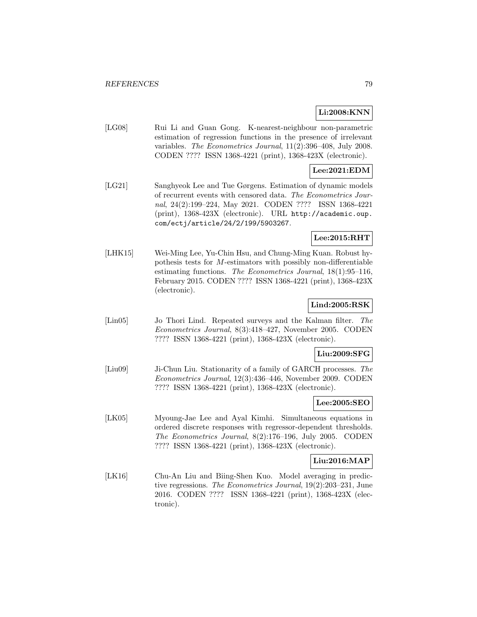## **Li:2008:KNN**

[LG08] Rui Li and Guan Gong. K-nearest-neighbour non-parametric estimation of regression functions in the presence of irrelevant variables. The Econometrics Journal, 11(2):396–408, July 2008. CODEN ???? ISSN 1368-4221 (print), 1368-423X (electronic).

## **Lee:2021:EDM**

[LG21] Sanghyeok Lee and Tue Gørgens. Estimation of dynamic models of recurrent events with censored data. The Econometrics Journal, 24(2):199–224, May 2021. CODEN ???? ISSN 1368-4221 (print), 1368-423X (electronic). URL http://academic.oup. com/ectj/article/24/2/199/5903267.

## **Lee:2015:RHT**

[LHK15] Wei-Ming Lee, Yu-Chin Hsu, and Chung-Ming Kuan. Robust hypothesis tests for M-estimators with possibly non-differentiable estimating functions. The Econometrics Journal, 18(1):95–116, February 2015. CODEN ???? ISSN 1368-4221 (print), 1368-423X (electronic).

# **Lind:2005:RSK**

[Lin05] Jo Thori Lind. Repeated surveys and the Kalman filter. The Econometrics Journal, 8(3):418–427, November 2005. CODEN ???? ISSN 1368-4221 (print), 1368-423X (electronic).

### **Liu:2009:SFG**

[Liu09] Ji-Chun Liu. Stationarity of a family of GARCH processes. The Econometrics Journal, 12(3):436–446, November 2009. CODEN ???? ISSN 1368-4221 (print), 1368-423X (electronic).

## **Lee:2005:SEO**

[LK05] Myoung-Jae Lee and Ayal Kimhi. Simultaneous equations in ordered discrete responses with regressor-dependent thresholds. The Econometrics Journal, 8(2):176–196, July 2005. CODEN ???? ISSN 1368-4221 (print), 1368-423X (electronic).

### **Liu:2016:MAP**

[LK16] Chu-An Liu and Biing-Shen Kuo. Model averaging in predictive regressions. The Econometrics Journal, 19(2):203–231, June 2016. CODEN ???? ISSN 1368-4221 (print), 1368-423X (electronic).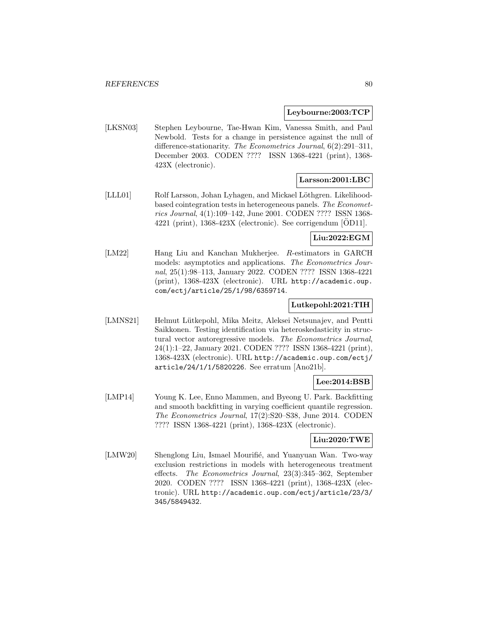#### **Leybourne:2003:TCP**

[LKSN03] Stephen Leybourne, Tae-Hwan Kim, Vanessa Smith, and Paul Newbold. Tests for a change in persistence against the null of difference-stationarity. The Econometrics Journal, 6(2):291–311, December 2003. CODEN ???? ISSN 1368-4221 (print), 1368- 423X (electronic).

## **Larsson:2001:LBC**

[LLL01] Rolf Larsson, Johan Lyhagen, and Mickael Löthgren. Likelihoodbased cointegration tests in heterogeneous panels. The Econometrics Journal, 4(1):109–142, June 2001. CODEN ???? ISSN 1368-  $4221$  (print),  $1368-423X$  (electronic). See corrigendum [OD11].

## **Liu:2022:EGM**

[LM22] Hang Liu and Kanchan Mukherjee. R-estimators in GARCH models: asymptotics and applications. The Econometrics Journal, 25(1):98–113, January 2022. CODEN ???? ISSN 1368-4221 (print), 1368-423X (electronic). URL http://academic.oup. com/ectj/article/25/1/98/6359714.

### **Lutkepohl:2021:TIH**

[LMNS21] Helmut Lütkepohl, Mika Meitz, Aleksei Netsunajev, and Pentti Saikkonen. Testing identification via heteroskedasticity in structural vector autoregressive models. The Econometrics Journal, 24(1):1–22, January 2021. CODEN ???? ISSN 1368-4221 (print), 1368-423X (electronic). URL http://academic.oup.com/ectj/ article/24/1/1/5820226. See erratum [Ano21b].

## **Lee:2014:BSB**

[LMP14] Young K. Lee, Enno Mammen, and Byeong U. Park. Backfitting and smooth backfitting in varying coefficient quantile regression. The Econometrics Journal, 17(2):S20–S38, June 2014. CODEN ???? ISSN 1368-4221 (print), 1368-423X (electronic).

### **Liu:2020:TWE**

[LMW20] Shenglong Liu, Ismael Mourifié, and Yuanyuan Wan. Two-way exclusion restrictions in models with heterogeneous treatment effects. The Econometrics Journal, 23(3):345–362, September 2020. CODEN ???? ISSN 1368-4221 (print), 1368-423X (electronic). URL http://academic.oup.com/ectj/article/23/3/ 345/5849432.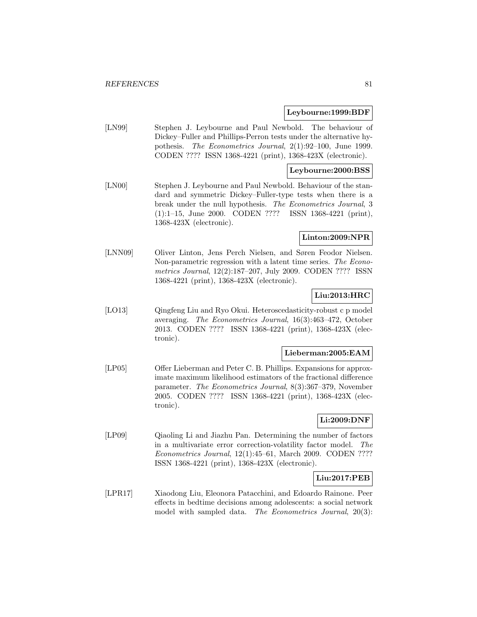#### **Leybourne:1999:BDF**

[LN99] Stephen J. Leybourne and Paul Newbold. The behaviour of Dickey–Fuller and Phillips-Perron tests under the alternative hypothesis. The Econometrics Journal, 2(1):92–100, June 1999. CODEN ???? ISSN 1368-4221 (print), 1368-423X (electronic).

### **Leybourne:2000:BSS**

[LN00] Stephen J. Leybourne and Paul Newbold. Behaviour of the standard and symmetric Dickey–Fuller-type tests when there is a break under the null hypothesis. The Econometrics Journal, 3 (1):1–15, June 2000. CODEN ???? ISSN 1368-4221 (print), 1368-423X (electronic).

## **Linton:2009:NPR**

[LNN09] Oliver Linton, Jens Perch Nielsen, and Søren Feodor Nielsen. Non-parametric regression with a latent time series. The Econometrics Journal, 12(2):187–207, July 2009. CODEN ???? ISSN 1368-4221 (print), 1368-423X (electronic).

# **Liu:2013:HRC**

[LO13] Qingfeng Liu and Ryo Okui. Heteroscedasticity-robust c p model averaging. The Econometrics Journal, 16(3):463–472, October 2013. CODEN ???? ISSN 1368-4221 (print), 1368-423X (electronic).

#### **Lieberman:2005:EAM**

[LP05] Offer Lieberman and Peter C. B. Phillips. Expansions for approximate maximum likelihood estimators of the fractional difference parameter. The Econometrics Journal, 8(3):367–379, November 2005. CODEN ???? ISSN 1368-4221 (print), 1368-423X (electronic).

# **Li:2009:DNF**

[LP09] Qiaoling Li and Jiazhu Pan. Determining the number of factors in a multivariate error correction-volatility factor model. The Econometrics Journal, 12(1):45–61, March 2009. CODEN ???? ISSN 1368-4221 (print), 1368-423X (electronic).

### **Liu:2017:PEB**

[LPR17] Xiaodong Liu, Eleonora Patacchini, and Edoardo Rainone. Peer effects in bedtime decisions among adolescents: a social network model with sampled data. The Econometrics Journal, 20(3):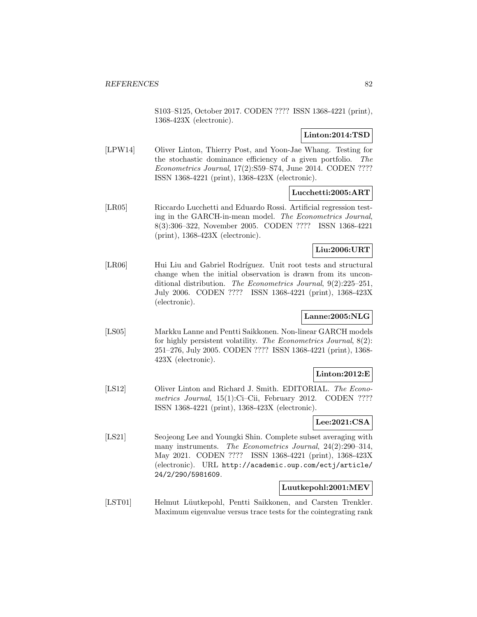S103–S125, October 2017. CODEN ???? ISSN 1368-4221 (print), 1368-423X (electronic).

## **Linton:2014:TSD**

[LPW14] Oliver Linton, Thierry Post, and Yoon-Jae Whang. Testing for the stochastic dominance efficiency of a given portfolio. The Econometrics Journal, 17(2):S59–S74, June 2014. CODEN ???? ISSN 1368-4221 (print), 1368-423X (electronic).

## **Lucchetti:2005:ART**

[LR05] Riccardo Lucchetti and Eduardo Rossi. Artificial regression testing in the GARCH-in-mean model. The Econometrics Journal, 8(3):306–322, November 2005. CODEN ???? ISSN 1368-4221 (print), 1368-423X (electronic).

# **Liu:2006:URT**

[LR06] Hui Liu and Gabriel Rodríguez. Unit root tests and structural change when the initial observation is drawn from its unconditional distribution. The Econometrics Journal, 9(2):225–251, July 2006. CODEN ???? ISSN 1368-4221 (print), 1368-423X (electronic).

# **Lanne:2005:NLG**

[LS05] Markku Lanne and Pentti Saikkonen. Non-linear GARCH models for highly persistent volatility. The Econometrics Journal, 8(2): 251–276, July 2005. CODEN ???? ISSN 1368-4221 (print), 1368- 423X (electronic).

# **Linton:2012:E**

[LS12] Oliver Linton and Richard J. Smith. EDITORIAL. The Econometrics Journal, 15(1):Ci-Cii, February 2012. CODEN ???? ISSN 1368-4221 (print), 1368-423X (electronic).

# **Lee:2021:CSA**

[LS21] Seojeong Lee and Youngki Shin. Complete subset averaging with many instruments. The Econometrics Journal, 24(2):290–314, May 2021. CODEN ???? ISSN 1368-4221 (print), 1368-423X (electronic). URL http://academic.oup.com/ectj/article/ 24/2/290/5981609.

# **Luutkepohl:2001:MEV**

[LST01] Helmut Lüutkepohl, Pentti Saikkonen, and Carsten Trenkler. Maximum eigenvalue versus trace tests for the cointegrating rank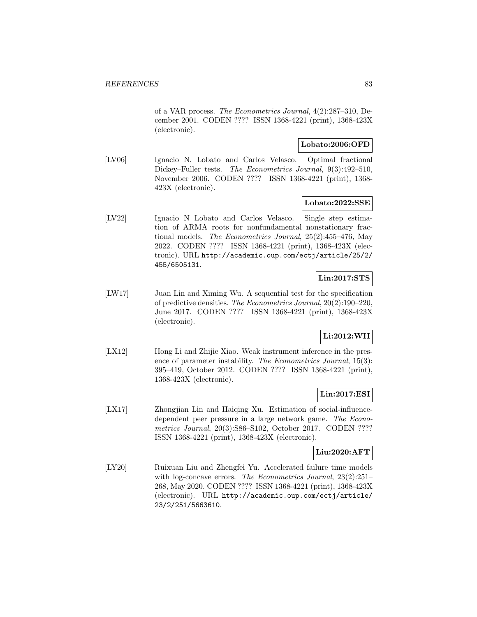of a VAR process. The Econometrics Journal, 4(2):287–310, December 2001. CODEN ???? ISSN 1368-4221 (print), 1368-423X (electronic).

### **Lobato:2006:OFD**

[LV06] Ignacio N. Lobato and Carlos Velasco. Optimal fractional Dickey–Fuller tests. The Econometrics Journal, 9(3):492–510, November 2006. CODEN ???? ISSN 1368-4221 (print), 1368- 423X (electronic).

#### **Lobato:2022:SSE**

[LV22] Ignacio N Lobato and Carlos Velasco. Single step estimation of ARMA roots for nonfundamental nonstationary fractional models. The Econometrics Journal, 25(2):455–476, May 2022. CODEN ???? ISSN 1368-4221 (print), 1368-423X (electronic). URL http://academic.oup.com/ectj/article/25/2/ 455/6505131.

# **Lin:2017:STS**

[LW17] Juan Lin and Ximing Wu. A sequential test for the specification of predictive densities. The Econometrics Journal, 20(2):190–220, June 2017. CODEN ???? ISSN 1368-4221 (print), 1368-423X (electronic).

### **Li:2012:WII**

[LX12] Hong Li and Zhijie Xiao. Weak instrument inference in the presence of parameter instability. The Econometrics Journal, 15(3): 395–419, October 2012. CODEN ???? ISSN 1368-4221 (print), 1368-423X (electronic).

### **Lin:2017:ESI**

[LX17] Zhongjian Lin and Haiqing Xu. Estimation of social-influencedependent peer pressure in a large network game. The Econometrics Journal, 20(3):S86–S102, October 2017. CODEN ???? ISSN 1368-4221 (print), 1368-423X (electronic).

#### **Liu:2020:AFT**

[LY20] Ruixuan Liu and Zhengfei Yu. Accelerated failure time models with log-concave errors. The Econometrics Journal, 23(2):251– 268, May 2020. CODEN ???? ISSN 1368-4221 (print), 1368-423X (electronic). URL http://academic.oup.com/ectj/article/ 23/2/251/5663610.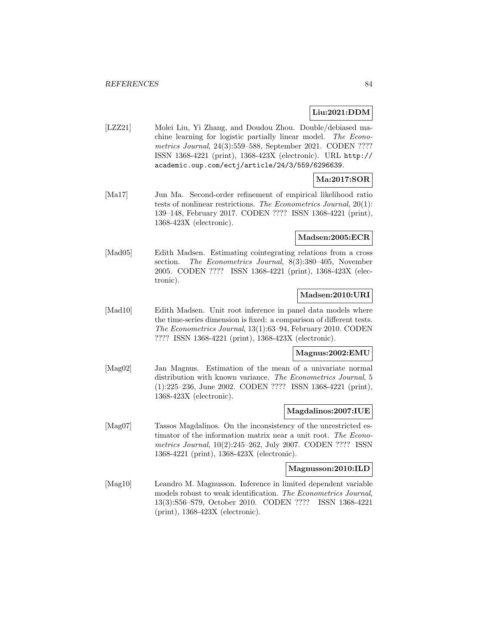# **Liu:2021:DDM**

[LZZ21] Molei Liu, Yi Zhang, and Doudou Zhou. Double/debiased machine learning for logistic partially linear model. The Econometrics Journal, 24(3):559–588, September 2021. CODEN ???? ISSN 1368-4221 (print), 1368-423X (electronic). URL http:// academic.oup.com/ectj/article/24/3/559/6296639.

# **Ma:2017:SOR**

[Ma17] Jun Ma. Second-order refinement of empirical likelihood ratio tests of nonlinear restrictions. The Econometrics Journal, 20(1): 139–148, February 2017. CODEN ???? ISSN 1368-4221 (print), 1368-423X (electronic).

## **Madsen:2005:ECR**

[Mad05] Edith Madsen. Estimating cointegrating relations from a cross section. The Econometrics Journal, 8(3):380–405, November 2005. CODEN ???? ISSN 1368-4221 (print), 1368-423X (electronic).

## **Madsen:2010:URI**

[Mad10] Edith Madsen. Unit root inference in panel data models where the time-series dimension is fixed: a comparison of different tests. The Econometrics Journal, 13(1):63–94, February 2010. CODEN ???? ISSN 1368-4221 (print), 1368-423X (electronic).

#### **Magnus:2002:EMU**

[Mag02] Jan Magnus. Estimation of the mean of a univariate normal distribution with known variance. The Econometrics Journal, 5 (1):225–236, June 2002. CODEN ???? ISSN 1368-4221 (print), 1368-423X (electronic).

## **Magdalinos:2007:IUE**

[Mag07] Tassos Magdalinos. On the inconsistency of the unrestricted estimator of the information matrix near a unit root. The Econometrics Journal, 10(2):245–262, July 2007. CODEN ???? ISSN 1368-4221 (print), 1368-423X (electronic).

### **Magnusson:2010:ILD**

[Mag10] Leandro M. Magnusson. Inference in limited dependent variable models robust to weak identification. The Econometrics Journal, 13(3):S56–S79, October 2010. CODEN ???? ISSN 1368-4221 (print), 1368-423X (electronic).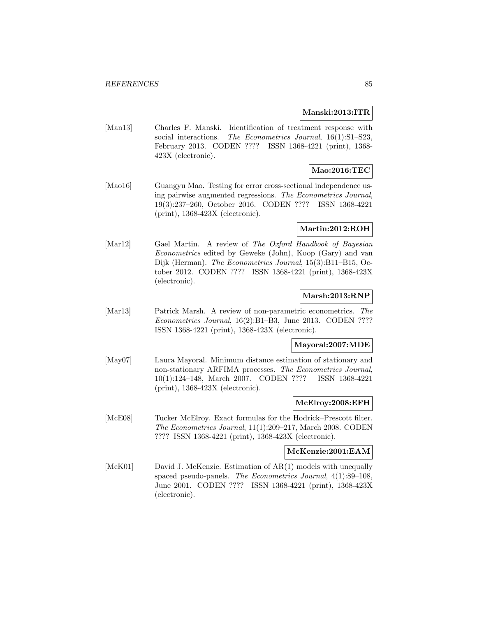#### **Manski:2013:ITR**

[Man13] Charles F. Manski. Identification of treatment response with social interactions. The Econometrics Journal, 16(1):S1-S23, February 2013. CODEN ???? ISSN 1368-4221 (print), 1368- 423X (electronic).

# **Mao:2016:TEC**

[Mao16] Guangyu Mao. Testing for error cross-sectional independence using pairwise augmented regressions. The Econometrics Journal, 19(3):237–260, October 2016. CODEN ???? ISSN 1368-4221 (print), 1368-423X (electronic).

#### **Martin:2012:ROH**

[Mar12] Gael Martin. A review of The Oxford Handbook of Bayesian Econometrics edited by Geweke (John), Koop (Gary) and van Dijk (Herman). The Econometrics Journal, 15(3):B11–B15, October 2012. CODEN ???? ISSN 1368-4221 (print), 1368-423X (electronic).

# **Marsh:2013:RNP**

[Mar13] Patrick Marsh. A review of non-parametric econometrics. The Econometrics Journal, 16(2):B1–B3, June 2013. CODEN ???? ISSN 1368-4221 (print), 1368-423X (electronic).

### **Mayoral:2007:MDE**

[May07] Laura Mayoral. Minimum distance estimation of stationary and non-stationary ARFIMA processes. The Econometrics Journal, 10(1):124–148, March 2007. CODEN ???? ISSN 1368-4221 (print), 1368-423X (electronic).

## **McElroy:2008:EFH**

[McE08] Tucker McElroy. Exact formulas for the Hodrick–Prescott filter. The Econometrics Journal, 11(1):209–217, March 2008. CODEN ???? ISSN 1368-4221 (print), 1368-423X (electronic).

#### **McKenzie:2001:EAM**

[McK01] David J. McKenzie. Estimation of AR(1) models with unequally spaced pseudo-panels. The Econometrics Journal, 4(1):89–108, June 2001. CODEN ???? ISSN 1368-4221 (print), 1368-423X (electronic).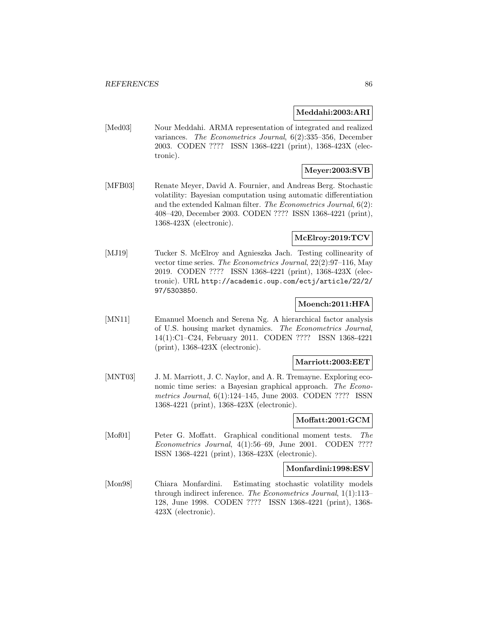### **Meddahi:2003:ARI**

[Med03] Nour Meddahi. ARMA representation of integrated and realized variances. The Econometrics Journal, 6(2):335–356, December 2003. CODEN ???? ISSN 1368-4221 (print), 1368-423X (electronic).

# **Meyer:2003:SVB**

[MFB03] Renate Meyer, David A. Fournier, and Andreas Berg. Stochastic volatility: Bayesian computation using automatic differentiation and the extended Kalman filter. The Econometrics Journal, 6(2): 408–420, December 2003. CODEN ???? ISSN 1368-4221 (print), 1368-423X (electronic).

# **McElroy:2019:TCV**

[MJ19] Tucker S. McElroy and Agnieszka Jach. Testing collinearity of vector time series. The Econometrics Journal, 22(2):97–116, May 2019. CODEN ???? ISSN 1368-4221 (print), 1368-423X (electronic). URL http://academic.oup.com/ectj/article/22/2/ 97/5303850.

# **Moench:2011:HFA**

[MN11] Emanuel Moench and Serena Ng. A hierarchical factor analysis of U.S. housing market dynamics. The Econometrics Journal, 14(1):C1–C24, February 2011. CODEN ???? ISSN 1368-4221 (print), 1368-423X (electronic).

## **Marriott:2003:EET**

[MNT03] J. M. Marriott, J. C. Naylor, and A. R. Tremayne. Exploring economic time series: a Bayesian graphical approach. The Econometrics Journal, 6(1):124–145, June 2003. CODEN ???? ISSN 1368-4221 (print), 1368-423X (electronic).

### **Moffatt:2001:GCM**

[Mof01] Peter G. Moffatt. Graphical conditional moment tests. The Econometrics Journal, 4(1):56–69, June 2001. CODEN ???? ISSN 1368-4221 (print), 1368-423X (electronic).

#### **Monfardini:1998:ESV**

[Mon98] Chiara Monfardini. Estimating stochastic volatility models through indirect inference. The Econometrics Journal, 1(1):113– 128, June 1998. CODEN ???? ISSN 1368-4221 (print), 1368- 423X (electronic).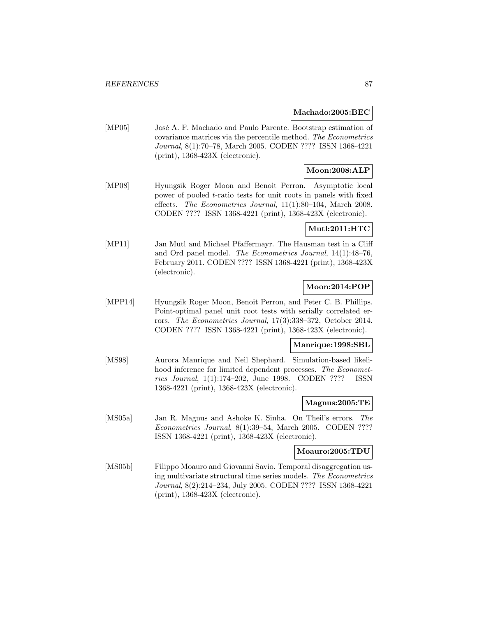#### **Machado:2005:BEC**

[MP05] José A. F. Machado and Paulo Parente. Bootstrap estimation of covariance matrices via the percentile method. The Econometrics Journal, 8(1):70–78, March 2005. CODEN ???? ISSN 1368-4221 (print), 1368-423X (electronic).

# **Moon:2008:ALP**

[MP08] Hyungsik Roger Moon and Benoit Perron. Asymptotic local power of pooled t-ratio tests for unit roots in panels with fixed effects. The Econometrics Journal, 11(1):80–104, March 2008. CODEN ???? ISSN 1368-4221 (print), 1368-423X (electronic).

## **Mutl:2011:HTC**

[MP11] Jan Mutl and Michael Pfaffermayr. The Hausman test in a Cliff and Ord panel model. The Econometrics Journal, 14(1):48–76, February 2011. CODEN ???? ISSN 1368-4221 (print), 1368-423X (electronic).

# **Moon:2014:POP**

[MPP14] Hyungsik Roger Moon, Benoit Perron, and Peter C. B. Phillips. Point-optimal panel unit root tests with serially correlated errors. The Econometrics Journal, 17(3):338–372, October 2014. CODEN ???? ISSN 1368-4221 (print), 1368-423X (electronic).

### **Manrique:1998:SBL**

[MS98] Aurora Manrique and Neil Shephard. Simulation-based likelihood inference for limited dependent processes. The Econometrics Journal, 1(1):174–202, June 1998. CODEN ???? ISSN 1368-4221 (print), 1368-423X (electronic).

### **Magnus:2005:TE**

[MS05a] Jan R. Magnus and Ashoke K. Sinha. On Theil's errors. The Econometrics Journal, 8(1):39–54, March 2005. CODEN ???? ISSN 1368-4221 (print), 1368-423X (electronic).

#### **Moauro:2005:TDU**

[MS05b] Filippo Moauro and Giovanni Savio. Temporal disaggregation using multivariate structural time series models. The Econometrics Journal, 8(2):214–234, July 2005. CODEN ???? ISSN 1368-4221 (print), 1368-423X (electronic).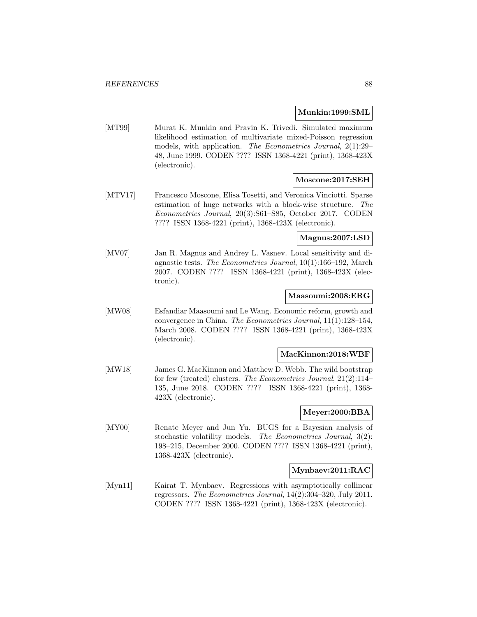#### **Munkin:1999:SML**

[MT99] Murat K. Munkin and Pravin K. Trivedi. Simulated maximum likelihood estimation of multivariate mixed-Poisson regression models, with application. The Econometrics Journal, 2(1):29– 48, June 1999. CODEN ???? ISSN 1368-4221 (print), 1368-423X (electronic).

## **Moscone:2017:SEH**

[MTV17] Francesco Moscone, Elisa Tosetti, and Veronica Vinciotti. Sparse estimation of huge networks with a block-wise structure. The Econometrics Journal, 20(3):S61–S85, October 2017. CODEN ???? ISSN 1368-4221 (print), 1368-423X (electronic).

### **Magnus:2007:LSD**

[MV07] Jan R. Magnus and Andrey L. Vasnev. Local sensitivity and diagnostic tests. The Econometrics Journal, 10(1):166–192, March 2007. CODEN ???? ISSN 1368-4221 (print), 1368-423X (electronic).

## **Maasoumi:2008:ERG**

[MW08] Esfandiar Maasoumi and Le Wang. Economic reform, growth and convergence in China. The Econometrics Journal, 11(1):128–154, March 2008. CODEN ???? ISSN 1368-4221 (print), 1368-423X (electronic).

#### **MacKinnon:2018:WBF**

[MW18] James G. MacKinnon and Matthew D. Webb. The wild bootstrap for few (treated) clusters. The Econometrics Journal, 21(2):114– 135, June 2018. CODEN ???? ISSN 1368-4221 (print), 1368- 423X (electronic).

## **Meyer:2000:BBA**

[MY00] Renate Meyer and Jun Yu. BUGS for a Bayesian analysis of stochastic volatility models. The Econometrics Journal, 3(2): 198–215, December 2000. CODEN ???? ISSN 1368-4221 (print), 1368-423X (electronic).

### **Mynbaev:2011:RAC**

[Myn11] Kairat T. Mynbaev. Regressions with asymptotically collinear regressors. The Econometrics Journal, 14(2):304–320, July 2011. CODEN ???? ISSN 1368-4221 (print), 1368-423X (electronic).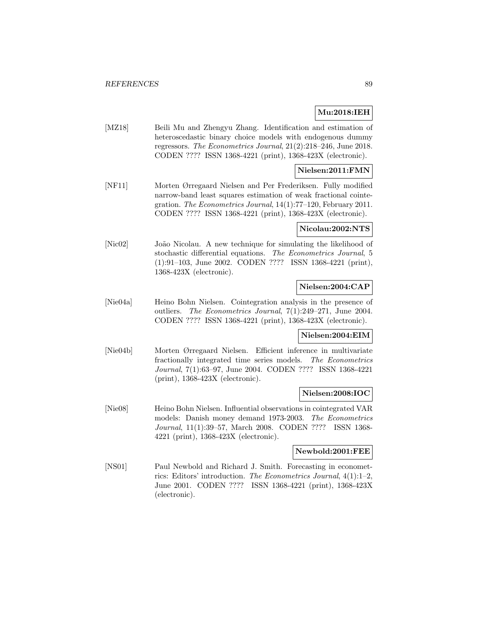## **Mu:2018:IEH**

[MZ18] Beili Mu and Zhengyu Zhang. Identification and estimation of heteroscedastic binary choice models with endogenous dummy regressors. The Econometrics Journal, 21(2):218–246, June 2018. CODEN ???? ISSN 1368-4221 (print), 1368-423X (electronic).

### **Nielsen:2011:FMN**

[NF11] Morten Ørregaard Nielsen and Per Frederiksen. Fully modified narrow-band least squares estimation of weak fractional cointegration. The Econometrics Journal, 14(1):77–120, February 2011. CODEN ???? ISSN 1368-4221 (print), 1368-423X (electronic).

### **Nicolau:2002:NTS**

[Nic02] João Nicolau. A new technique for simulating the likelihood of stochastic differential equations. The Econometrics Journal, 5 (1):91–103, June 2002. CODEN ???? ISSN 1368-4221 (print), 1368-423X (electronic).

## **Nielsen:2004:CAP**

[Nie04a] Heino Bohn Nielsen. Cointegration analysis in the presence of outliers. The Econometrics Journal, 7(1):249–271, June 2004. CODEN ???? ISSN 1368-4221 (print), 1368-423X (electronic).

## **Nielsen:2004:EIM**

[Nie04b] Morten Ørregaard Nielsen. Efficient inference in multivariate fractionally integrated time series models. The Econometrics Journal, 7(1):63–97, June 2004. CODEN ???? ISSN 1368-4221 (print), 1368-423X (electronic).

#### **Nielsen:2008:IOC**

[Nie08] Heino Bohn Nielsen. Influential observations in cointegrated VAR models: Danish money demand 1973-2003. The Econometrics Journal, 11(1):39–57, March 2008. CODEN ???? ISSN 1368- 4221 (print), 1368-423X (electronic).

#### **Newbold:2001:FEE**

[NS01] Paul Newbold and Richard J. Smith. Forecasting in econometrics: Editors' introduction. The Econometrics Journal, 4(1):1–2, June 2001. CODEN ???? ISSN 1368-4221 (print), 1368-423X (electronic).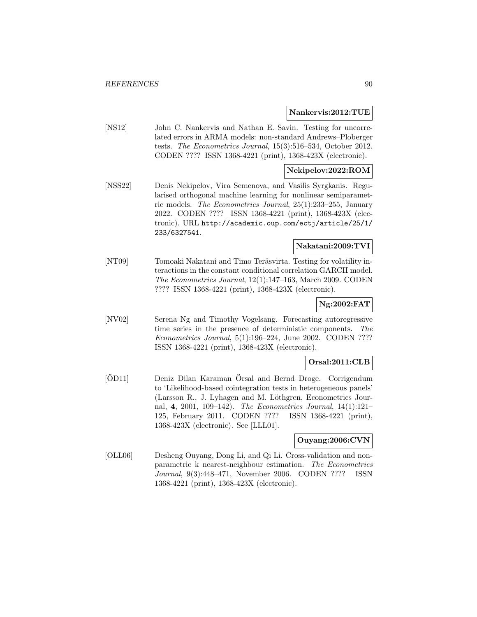#### **Nankervis:2012:TUE**

[NS12] John C. Nankervis and Nathan E. Savin. Testing for uncorrelated errors in ARMA models: non-standard Andrews–Ploberger tests. The Econometrics Journal, 15(3):516–534, October 2012. CODEN ???? ISSN 1368-4221 (print), 1368-423X (electronic).

### **Nekipelov:2022:ROM**

[NSS22] Denis Nekipelov, Vira Semenova, and Vasilis Syrgkanis. Regularised orthogonal machine learning for nonlinear semiparametric models. The Econometrics Journal, 25(1):233–255, January 2022. CODEN ???? ISSN 1368-4221 (print), 1368-423X (electronic). URL http://academic.oup.com/ectj/article/25/1/ 233/6327541.

### **Nakatani:2009:TVI**

[NT09] Tomoaki Nakatani and Timo Teräsvirta. Testing for volatility interactions in the constant conditional correlation GARCH model. The Econometrics Journal, 12(1):147–163, March 2009. CODEN ???? ISSN 1368-4221 (print), 1368-423X (electronic).

## **Ng:2002:FAT**

[NV02] Serena Ng and Timothy Vogelsang. Forecasting autoregressive time series in the presence of deterministic components. The Econometrics Journal, 5(1):196–224, June 2002. CODEN ???? ISSN 1368-4221 (print), 1368-423X (electronic).

# **Orsal:2011:CLB**

[OD11] Deniz Dilan Karaman Örsal and Bernd Droge. Corrigendum to 'Likelihood-based cointegration tests in heterogeneous panels' (Larsson R., J. Lyhagen and M. Löthgren, Econometrics Journal, **4**, 2001, 109–142). The Econometrics Journal, 14(1):121– 125, February 2011. CODEN ???? ISSN 1368-4221 (print), 1368-423X (electronic). See [LLL01].

### **Ouyang:2006:CVN**

[OLL06] Desheng Ouyang, Dong Li, and Qi Li. Cross-validation and nonparametric k nearest-neighbour estimation. The Econometrics Journal, 9(3):448–471, November 2006. CODEN ???? ISSN 1368-4221 (print), 1368-423X (electronic).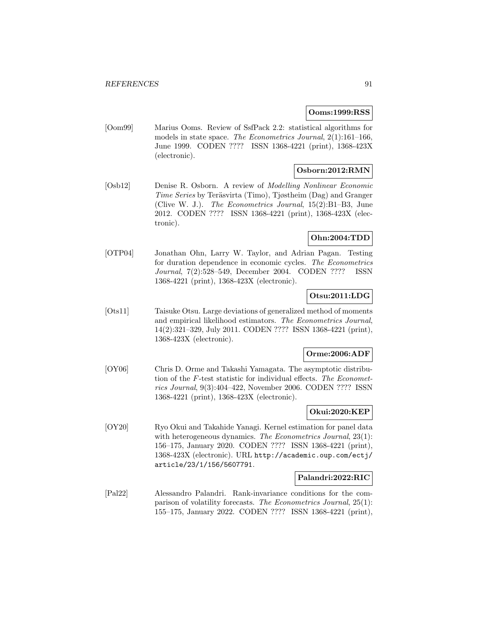### **Ooms:1999:RSS**

[Oom99] Marius Ooms. Review of SsfPack 2.2: statistical algorithms for models in state space. The Econometrics Journal, 2(1):161–166, June 1999. CODEN ???? ISSN 1368-4221 (print), 1368-423X (electronic).

# **Osborn:2012:RMN**

[Osb12] Denise R. Osborn. A review of Modelling Nonlinear Economic Time Series by Teräsvirta (Timo), Tjøstheim (Dag) and Granger (Clive W. J.). The Econometrics Journal, 15(2):B1–B3, June 2012. CODEN ???? ISSN 1368-4221 (print), 1368-423X (electronic).

## **Ohn:2004:TDD**

[OTP04] Jonathan Ohn, Larry W. Taylor, and Adrian Pagan. Testing for duration dependence in economic cycles. The Econometrics Journal, 7(2):528–549, December 2004. CODEN ???? ISSN 1368-4221 (print), 1368-423X (electronic).

# **Otsu:2011:LDG**

[Ots11] Taisuke Otsu. Large deviations of generalized method of moments and empirical likelihood estimators. The Econometrics Journal, 14(2):321–329, July 2011. CODEN ???? ISSN 1368-4221 (print), 1368-423X (electronic).

### **Orme:2006:ADF**

[OY06] Chris D. Orme and Takashi Yamagata. The asymptotic distribution of the F-test statistic for individual effects. The Econometrics Journal, 9(3):404–422, November 2006. CODEN ???? ISSN 1368-4221 (print), 1368-423X (electronic).

# **Okui:2020:KEP**

[OY20] Ryo Okui and Takahide Yanagi. Kernel estimation for panel data with heterogeneous dynamics. The Econometrics Journal, 23(1): 156–175, January 2020. CODEN ???? ISSN 1368-4221 (print), 1368-423X (electronic). URL http://academic.oup.com/ectj/ article/23/1/156/5607791.

### **Palandri:2022:RIC**

[Pal22] Alessandro Palandri. Rank-invariance conditions for the comparison of volatility forecasts. The Econometrics Journal, 25(1): 155–175, January 2022. CODEN ???? ISSN 1368-4221 (print),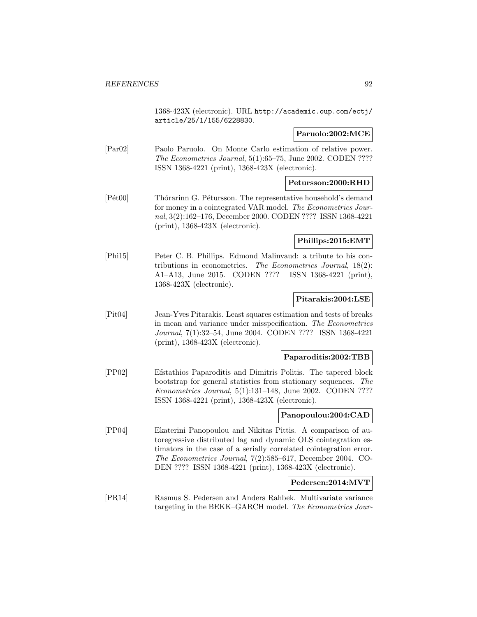1368-423X (electronic). URL http://academic.oup.com/ectj/ article/25/1/155/6228830.

## **Paruolo:2002:MCE**

[Par02] Paolo Paruolo. On Monte Carlo estimation of relative power. The Econometrics Journal, 5(1):65–75, June 2002. CODEN ???? ISSN 1368-4221 (print), 1368-423X (electronic).

## **Petursson:2000:RHD**

[Pét00] Thórarinn G. Pétursson. The representative household's demand for money in a cointegrated VAR model. The Econometrics Journal, 3(2):162–176, December 2000. CODEN ???? ISSN 1368-4221 (print), 1368-423X (electronic).

## **Phillips:2015:EMT**

[Phi15] Peter C. B. Phillips. Edmond Malinvaud: a tribute to his contributions in econometrics. The Econometrics Journal, 18(2): A1–A13, June 2015. CODEN ???? ISSN 1368-4221 (print), 1368-423X (electronic).

## **Pitarakis:2004:LSE**

[Pit04] Jean-Yves Pitarakis. Least squares estimation and tests of breaks in mean and variance under misspecification. The Econometrics Journal, 7(1):32–54, June 2004. CODEN ???? ISSN 1368-4221 (print), 1368-423X (electronic).

### **Paparoditis:2002:TBB**

[PP02] Efstathios Paparoditis and Dimitris Politis. The tapered block bootstrap for general statistics from stationary sequences. The Econometrics Journal, 5(1):131–148, June 2002. CODEN ???? ISSN 1368-4221 (print), 1368-423X (electronic).

### **Panopoulou:2004:CAD**

[PP04] Ekaterini Panopoulou and Nikitas Pittis. A comparison of autoregressive distributed lag and dynamic OLS cointegration estimators in the case of a serially correlated cointegration error. The Econometrics Journal, 7(2):585–617, December 2004. CO-DEN ???? ISSN 1368-4221 (print), 1368-423X (electronic).

### **Pedersen:2014:MVT**

[PR14] Rasmus S. Pedersen and Anders Rahbek. Multivariate variance targeting in the BEKK–GARCH model. The Econometrics Jour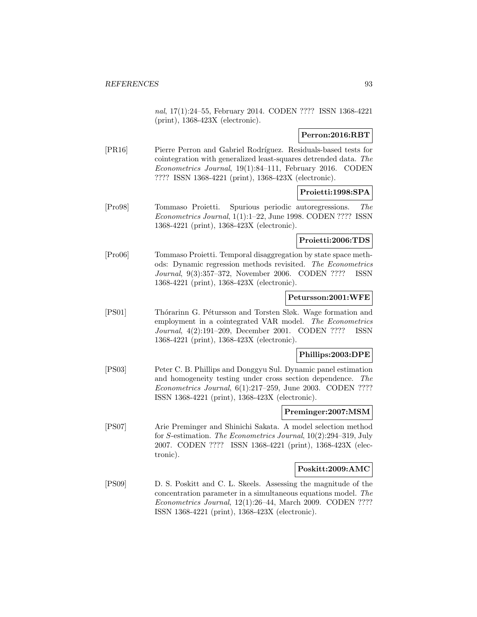nal, 17(1):24–55, February 2014. CODEN ???? ISSN 1368-4221 (print), 1368-423X (electronic).

# **Perron:2016:RBT**

[PR16] Pierre Perron and Gabriel Rodríguez. Residuals-based tests for cointegration with generalized least-squares detrended data. The Econometrics Journal, 19(1):84–111, February 2016. CODEN ???? ISSN 1368-4221 (print), 1368-423X (electronic).

# **Proietti:1998:SPA**

[Pro98] Tommaso Proietti. Spurious periodic autoregressions. The Econometrics Journal, 1(1):1–22, June 1998. CODEN ???? ISSN 1368-4221 (print), 1368-423X (electronic).

# **Proietti:2006:TDS**

[Pro06] Tommaso Proietti. Temporal disaggregation by state space methods: Dynamic regression methods revisited. The Econometrics Journal, 9(3):357–372, November 2006. CODEN ???? ISSN 1368-4221 (print), 1368-423X (electronic).

### **Petursson:2001:WFE**

[PS01] Thórarinn G. Pétursson and Torsten Sløk. Wage formation and employment in a cointegrated VAR model. The Econometrics Journal, 4(2):191–209, December 2001. CODEN ???? ISSN 1368-4221 (print), 1368-423X (electronic).

### **Phillips:2003:DPE**

[PS03] Peter C. B. Phillips and Donggyu Sul. Dynamic panel estimation and homogeneity testing under cross section dependence. The Econometrics Journal, 6(1):217–259, June 2003. CODEN ???? ISSN 1368-4221 (print), 1368-423X (electronic).

# **Preminger:2007:MSM**

[PS07] Arie Preminger and Shinichi Sakata. A model selection method for S-estimation. The Econometrics Journal, 10(2):294–319, July 2007. CODEN ???? ISSN 1368-4221 (print), 1368-423X (electronic).

### **Poskitt:2009:AMC**

[PS09] D. S. Poskitt and C. L. Skeels. Assessing the magnitude of the concentration parameter in a simultaneous equations model. The Econometrics Journal, 12(1):26–44, March 2009. CODEN ???? ISSN 1368-4221 (print), 1368-423X (electronic).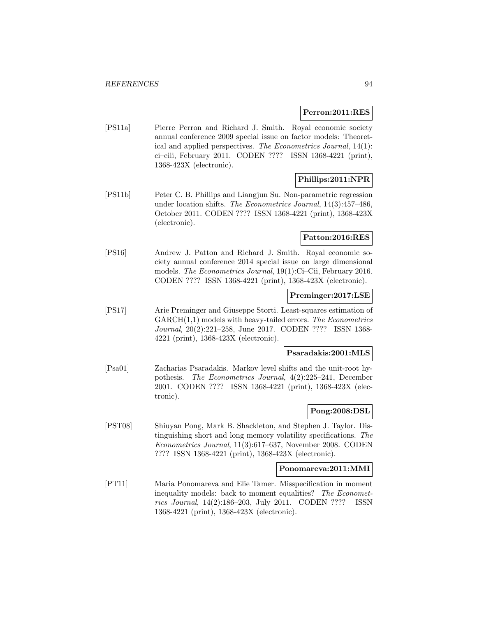#### **Perron:2011:RES**

[PS11a] Pierre Perron and Richard J. Smith. Royal economic society annual conference 2009 special issue on factor models: Theoretical and applied perspectives. The Econometrics Journal, 14(1): ci–ciii, February 2011. CODEN ???? ISSN 1368-4221 (print), 1368-423X (electronic).

### **Phillips:2011:NPR**

[PS11b] Peter C. B. Phillips and Liangjun Su. Non-parametric regression under location shifts. The Econometrics Journal, 14(3):457–486, October 2011. CODEN ???? ISSN 1368-4221 (print), 1368-423X (electronic).

### **Patton:2016:RES**

[PS16] Andrew J. Patton and Richard J. Smith. Royal economic society annual conference 2014 special issue on large dimensional models. The Econometrics Journal, 19(1):Ci–Cii, February 2016. CODEN ???? ISSN 1368-4221 (print), 1368-423X (electronic).

### **Preminger:2017:LSE**

[PS17] Arie Preminger and Giuseppe Storti. Least-squares estimation of  $GARCH(1,1)$  models with heavy-tailed errors. The Econometrics Journal, 20(2):221–258, June 2017. CODEN ???? ISSN 1368- 4221 (print), 1368-423X (electronic).

#### **Psaradakis:2001:MLS**

[Psa01] Zacharias Psaradakis. Markov level shifts and the unit-root hypothesis. The Econometrics Journal, 4(2):225–241, December 2001. CODEN ???? ISSN 1368-4221 (print), 1368-423X (electronic).

# **Pong:2008:DSL**

[PST08] Shiuyan Pong, Mark B. Shackleton, and Stephen J. Taylor. Distinguishing short and long memory volatility specifications. The Econometrics Journal, 11(3):617–637, November 2008. CODEN ???? ISSN 1368-4221 (print), 1368-423X (electronic).

### **Ponomareva:2011:MMI**

[PT11] Maria Ponomareva and Elie Tamer. Misspecification in moment inequality models: back to moment equalities? The Econometrics Journal, 14(2):186–203, July 2011. CODEN ???? ISSN 1368-4221 (print), 1368-423X (electronic).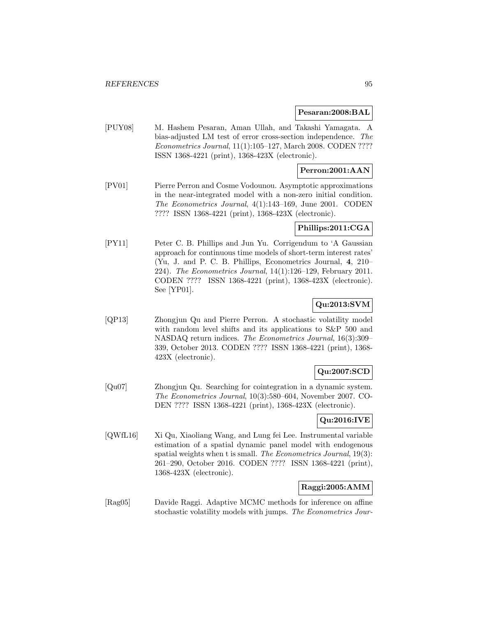#### **Pesaran:2008:BAL**

[PUY08] M. Hashem Pesaran, Aman Ullah, and Takashi Yamagata. A bias-adjusted LM test of error cross-section independence. The Econometrics Journal, 11(1):105–127, March 2008. CODEN ???? ISSN 1368-4221 (print), 1368-423X (electronic).

### **Perron:2001:AAN**

[PV01] Pierre Perron and Cosme Vodounou. Asymptotic approximations in the near-integrated model with a non-zero initial condition. The Econometrics Journal, 4(1):143–169, June 2001. CODEN ???? ISSN 1368-4221 (print), 1368-423X (electronic).

#### **Phillips:2011:CGA**

[PY11] Peter C. B. Phillips and Jun Yu. Corrigendum to 'A Gaussian approach for continuous time models of short-term interest rates' (Yu, J. and P. C. B. Phillips, Econometrics Journal, **4**, 210– 224). The Econometrics Journal, 14(1):126–129, February 2011. CODEN ???? ISSN 1368-4221 (print), 1368-423X (electronic). See [YP01].

# **Qu:2013:SVM**

[QP13] Zhongjun Qu and Pierre Perron. A stochastic volatility model with random level shifts and its applications to S&P 500 and NASDAQ return indices. The Econometrics Journal, 16(3):309– 339, October 2013. CODEN ???? ISSN 1368-4221 (print), 1368- 423X (electronic).

## **Qu:2007:SCD**

[Qu07] Zhongjun Qu. Searching for cointegration in a dynamic system. The Econometrics Journal, 10(3):580–604, November 2007. CO-DEN ???? ISSN 1368-4221 (print), 1368-423X (electronic).

## **Qu:2016:IVE**

[QWfL16] Xi Qu, Xiaoliang Wang, and Lung fei Lee. Instrumental variable estimation of a spatial dynamic panel model with endogenous spatial weights when t is small. The Econometrics Journal, 19(3): 261–290, October 2016. CODEN ???? ISSN 1368-4221 (print), 1368-423X (electronic).

### **Raggi:2005:AMM**

[Rag05] Davide Raggi. Adaptive MCMC methods for inference on affine stochastic volatility models with jumps. The Econometrics Jour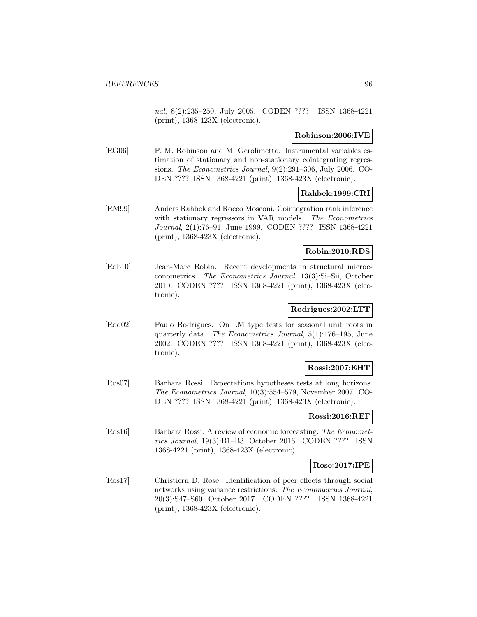nal, 8(2):235–250, July 2005. CODEN ???? ISSN 1368-4221 (print), 1368-423X (electronic).

## **Robinson:2006:IVE**

[RG06] P. M. Robinson and M. Gerolimetto. Instrumental variables estimation of stationary and non-stationary cointegrating regressions. The Econometrics Journal, 9(2):291–306, July 2006. CO-DEN ???? ISSN 1368-4221 (print), 1368-423X (electronic).

### **Rahbek:1999:CRI**

[RM99] Anders Rahbek and Rocco Mosconi. Cointegration rank inference with stationary regressors in VAR models. The Econometrics Journal, 2(1):76–91, June 1999. CODEN ???? ISSN 1368-4221 (print), 1368-423X (electronic).

## **Robin:2010:RDS**

[Rob10] Jean-Marc Robin. Recent developments in structural microeconometrics. The Econometrics Journal, 13(3):Si–Sii, October 2010. CODEN ???? ISSN 1368-4221 (print), 1368-423X (electronic).

# **Rodrigues:2002:LTT**

[Rod02] Paulo Rodrigues. On LM type tests for seasonal unit roots in quarterly data. The Econometrics Journal, 5(1):176–195, June 2002. CODEN ???? ISSN 1368-4221 (print), 1368-423X (electronic).

### **Rossi:2007:EHT**

[Ros07] Barbara Rossi. Expectations hypotheses tests at long horizons. The Econometrics Journal, 10(3):554–579, November 2007. CO-DEN ???? ISSN 1368-4221 (print), 1368-423X (electronic).

#### **Rossi:2016:REF**

[Ros16] Barbara Rossi. A review of economic forecasting. The Econometrics Journal, 19(3):B1–B3, October 2016. CODEN ???? ISSN 1368-4221 (print), 1368-423X (electronic).

### **Rose:2017:IPE**

[Ros17] Christiern D. Rose. Identification of peer effects through social networks using variance restrictions. The Econometrics Journal, 20(3):S47–S60, October 2017. CODEN ???? ISSN 1368-4221 (print), 1368-423X (electronic).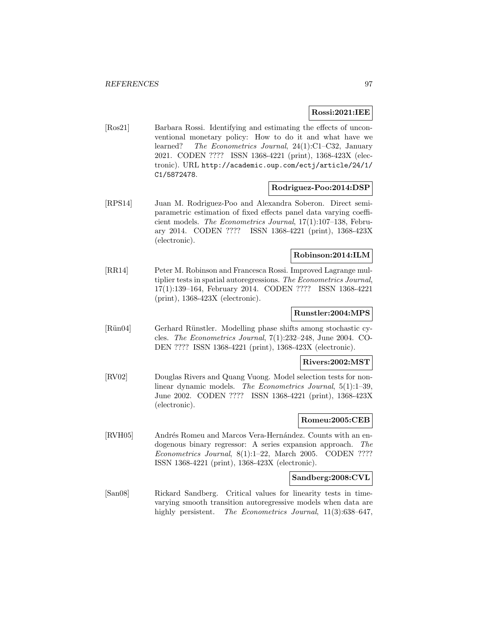### **Rossi:2021:IEE**

[Ros21] Barbara Rossi. Identifying and estimating the effects of unconventional monetary policy: How to do it and what have we learned? The Econometrics Journal, 24(1):C1–C32, January 2021. CODEN ???? ISSN 1368-4221 (print), 1368-423X (electronic). URL http://academic.oup.com/ectj/article/24/1/ C1/5872478.

#### **Rodriguez-Poo:2014:DSP**

[RPS14] Juan M. Rodriguez-Poo and Alexandra Soberon. Direct semiparametric estimation of fixed effects panel data varying coefficient models. The Econometrics Journal, 17(1):107–138, February 2014. CODEN ???? ISSN 1368-4221 (print), 1368-423X (electronic).

# **Robinson:2014:ILM**

[RR14] Peter M. Robinson and Francesca Rossi. Improved Lagrange multiplier tests in spatial autoregressions. The Econometrics Journal, 17(1):139–164, February 2014. CODEN ???? ISSN 1368-4221 (print), 1368-423X (electronic).

# **Runstler:2004:MPS**

[Rün04] Gerhard Rünstler. Modelling phase shifts among stochastic cycles. The Econometrics Journal, 7(1):232–248, June 2004. CO-DEN ???? ISSN 1368-4221 (print), 1368-423X (electronic).

#### **Rivers:2002:MST**

[RV02] Douglas Rivers and Quang Vuong. Model selection tests for nonlinear dynamic models. The Econometrics Journal, 5(1):1–39, June 2002. CODEN ???? ISSN 1368-4221 (print), 1368-423X (electronic).

## **Romeu:2005:CEB**

[RVH05] Andrés Romeu and Marcos Vera-Hernández. Counts with an endogenous binary regressor: A series expansion approach. The Econometrics Journal, 8(1):1–22, March 2005. CODEN ???? ISSN 1368-4221 (print), 1368-423X (electronic).

### **Sandberg:2008:CVL**

[San08] Rickard Sandberg. Critical values for linearity tests in timevarying smooth transition autoregressive models when data are highly persistent. The Econometrics Journal, 11(3):638–647,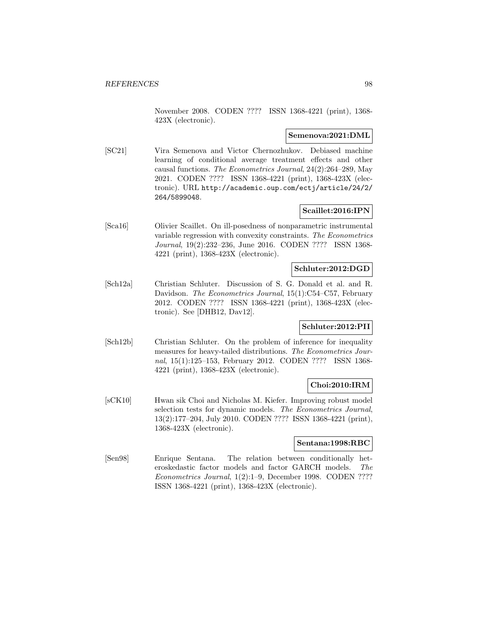November 2008. CODEN ???? ISSN 1368-4221 (print), 1368- 423X (electronic).

### **Semenova:2021:DML**

[SC21] Vira Semenova and Victor Chernozhukov. Debiased machine learning of conditional average treatment effects and other causal functions. The Econometrics Journal, 24(2):264–289, May 2021. CODEN ???? ISSN 1368-4221 (print), 1368-423X (electronic). URL http://academic.oup.com/ectj/article/24/2/ 264/5899048.

# **Scaillet:2016:IPN**

[Sca16] Olivier Scaillet. On ill-posedness of nonparametric instrumental variable regression with convexity constraints. The Econometrics Journal, 19(2):232–236, June 2016. CODEN ???? ISSN 1368- 4221 (print), 1368-423X (electronic).

# **Schluter:2012:DGD**

[Sch12a] Christian Schluter. Discussion of S. G. Donald et al. and R. Davidson. *The Econometrics Journal*, 15(1):C54–C57, February 2012. CODEN ???? ISSN 1368-4221 (print), 1368-423X (electronic). See [DHB12, Dav12].

# **Schluter:2012:PII**

[Sch12b] Christian Schluter. On the problem of inference for inequality measures for heavy-tailed distributions. The Econometrics Journal, 15(1):125–153, February 2012. CODEN ???? ISSN 1368- 4221 (print), 1368-423X (electronic).

## **Choi:2010:IRM**

[sCK10] Hwan sik Choi and Nicholas M. Kiefer. Improving robust model selection tests for dynamic models. The Econometrics Journal, 13(2):177–204, July 2010. CODEN ???? ISSN 1368-4221 (print), 1368-423X (electronic).

### **Sentana:1998:RBC**

[Sen98] Enrique Sentana. The relation between conditionally heteroskedastic factor models and factor GARCH models. The Econometrics Journal, 1(2):1–9, December 1998. CODEN ???? ISSN 1368-4221 (print), 1368-423X (electronic).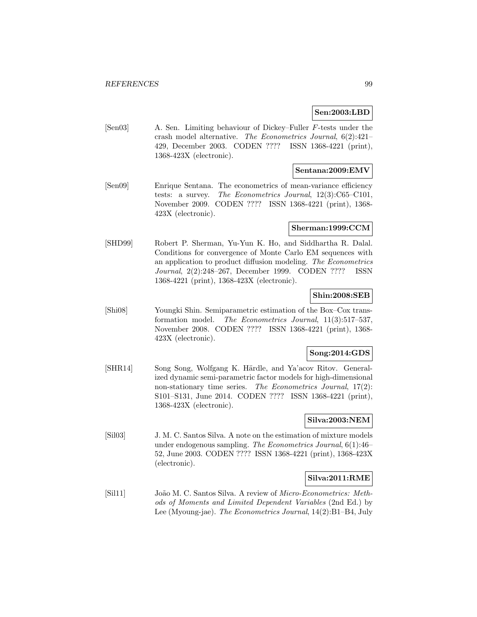### **Sen:2003:LBD**

[Sen03] A. Sen. Limiting behaviour of Dickey–Fuller F-tests under the crash model alternative. The Econometrics Journal, 6(2):421– 429, December 2003. CODEN ???? ISSN 1368-4221 (print), 1368-423X (electronic).

# **Sentana:2009:EMV**

[Sen09] Enrique Sentana. The econometrics of mean-variance efficiency tests: a survey. The Econometrics Journal, 12(3):C65–C101, November 2009. CODEN ???? ISSN 1368-4221 (print), 1368- 423X (electronic).

#### **Sherman:1999:CCM**

[SHD99] Robert P. Sherman, Yu-Yun K. Ho, and Siddhartha R. Dalal. Conditions for convergence of Monte Carlo EM sequences with an application to product diffusion modeling. The Econometrics Journal, 2(2):248–267, December 1999. CODEN ???? ISSN 1368-4221 (print), 1368-423X (electronic).

### **Shin:2008:SEB**

[Shi08] Youngki Shin. Semiparametric estimation of the Box–Cox transformation model. The Econometrics Journal, 11(3):517–537, November 2008. CODEN ???? ISSN 1368-4221 (print), 1368- 423X (electronic).

### **Song:2014:GDS**

[SHR14] Song Song, Wolfgang K. Härdle, and Ya'acov Ritov. Generalized dynamic semi-parametric factor models for high-dimensional non-stationary time series. The Econometrics Journal, 17(2): S101–S131, June 2014. CODEN ???? ISSN 1368-4221 (print), 1368-423X (electronic).

# **Silva:2003:NEM**

[Sil03] J. M. C. Santos Silva. A note on the estimation of mixture models under endogenous sampling. The Econometrics Journal, 6(1):46– 52, June 2003. CODEN ???? ISSN 1368-4221 (print), 1368-423X (electronic).

### **Silva:2011:RME**

[Sil11] João M. C. Santos Silva. A review of *Micro-Econometrics: Meth*ods of Moments and Limited Dependent Variables (2nd Ed.) by Lee (Myoung-jae). The Econometrics Journal, 14(2):B1–B4, July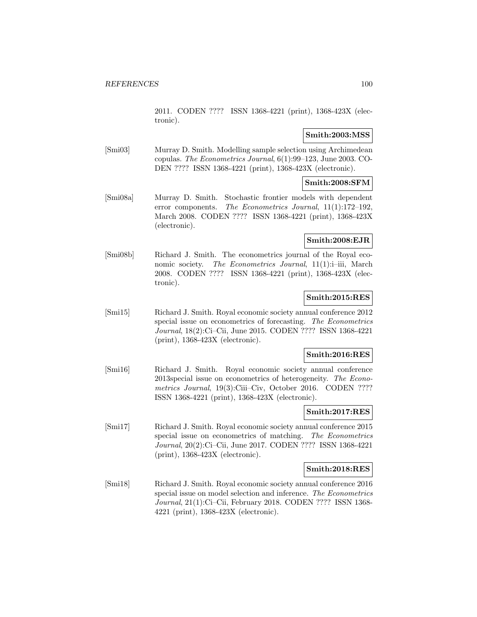2011. CODEN ???? ISSN 1368-4221 (print), 1368-423X (electronic).

## **Smith:2003:MSS**

[Smi03] Murray D. Smith. Modelling sample selection using Archimedean copulas. The Econometrics Journal, 6(1):99–123, June 2003. CO-DEN ???? ISSN 1368-4221 (print), 1368-423X (electronic).

## **Smith:2008:SFM**

[Smi08a] Murray D. Smith. Stochastic frontier models with dependent error components. The Econometrics Journal, 11(1):172–192, March 2008. CODEN ???? ISSN 1368-4221 (print), 1368-423X (electronic).

# **Smith:2008:EJR**

[Smi08b] Richard J. Smith. The econometrics journal of the Royal economic society. The Econometrics Journal, 11(1):i-iii, March 2008. CODEN ???? ISSN 1368-4221 (print), 1368-423X (electronic).

# **Smith:2015:RES**

[Smi15] Richard J. Smith. Royal economic society annual conference 2012 special issue on econometrics of forecasting. The Econometrics Journal, 18(2):Ci–Cii, June 2015. CODEN ???? ISSN 1368-4221 (print), 1368-423X (electronic).

# **Smith:2016:RES**

[Smi16] Richard J. Smith. Royal economic society annual conference 2013special issue on econometrics of heterogeneity. The Econometrics Journal, 19(3):Ciii–Civ, October 2016. CODEN ???? ISSN 1368-4221 (print), 1368-423X (electronic).

# **Smith:2017:RES**

[Smi17] Richard J. Smith. Royal economic society annual conference 2015 special issue on econometrics of matching. The Econometrics Journal, 20(2):Ci–Cii, June 2017. CODEN ???? ISSN 1368-4221 (print), 1368-423X (electronic).

# **Smith:2018:RES**

[Smi18] Richard J. Smith. Royal economic society annual conference 2016 special issue on model selection and inference. The Econometrics Journal, 21(1):Ci–Cii, February 2018. CODEN ???? ISSN 1368- 4221 (print), 1368-423X (electronic).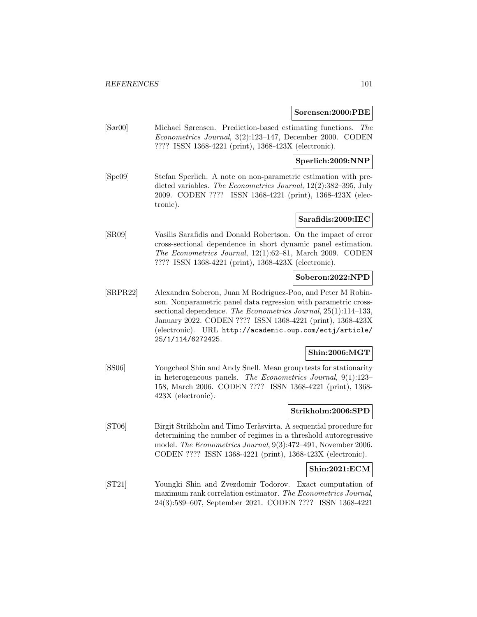#### **Sorensen:2000:PBE**

[Sør00] Michael Sørensen. Prediction-based estimating functions. The Econometrics Journal, 3(2):123–147, December 2000. CODEN ???? ISSN 1368-4221 (print), 1368-423X (electronic).

### **Sperlich:2009:NNP**

[Spe09] Stefan Sperlich. A note on non-parametric estimation with predicted variables. The Econometrics Journal, 12(2):382–395, July 2009. CODEN ???? ISSN 1368-4221 (print), 1368-423X (electronic).

#### **Sarafidis:2009:IEC**

[SR09] Vasilis Sarafidis and Donald Robertson. On the impact of error cross-sectional dependence in short dynamic panel estimation. The Econometrics Journal, 12(1):62–81, March 2009. CODEN ???? ISSN 1368-4221 (print), 1368-423X (electronic).

### **Soberon:2022:NPD**

[SRPR22] Alexandra Soberon, Juan M Rodriguez-Poo, and Peter M Robinson. Nonparametric panel data regression with parametric crosssectional dependence. The Econometrics Journal, 25(1):114-133, January 2022. CODEN ???? ISSN 1368-4221 (print), 1368-423X (electronic). URL http://academic.oup.com/ectj/article/ 25/1/114/6272425.

### **Shin:2006:MGT**

[SS06] Yongcheol Shin and Andy Snell. Mean group tests for stationarity in heterogeneous panels. The Econometrics Journal, 9(1):123– 158, March 2006. CODEN ???? ISSN 1368-4221 (print), 1368- 423X (electronic).

### **Strikholm:2006:SPD**

[ST06] Birgit Strikholm and Timo Teräsvirta. A sequential procedure for determining the number of regimes in a threshold autoregressive model. The Econometrics Journal, 9(3):472–491, November 2006. CODEN ???? ISSN 1368-4221 (print), 1368-423X (electronic).

# **Shin:2021:ECM**

[ST21] Youngki Shin and Zvezdomir Todorov. Exact computation of maximum rank correlation estimator. The Econometrics Journal, 24(3):589–607, September 2021. CODEN ???? ISSN 1368-4221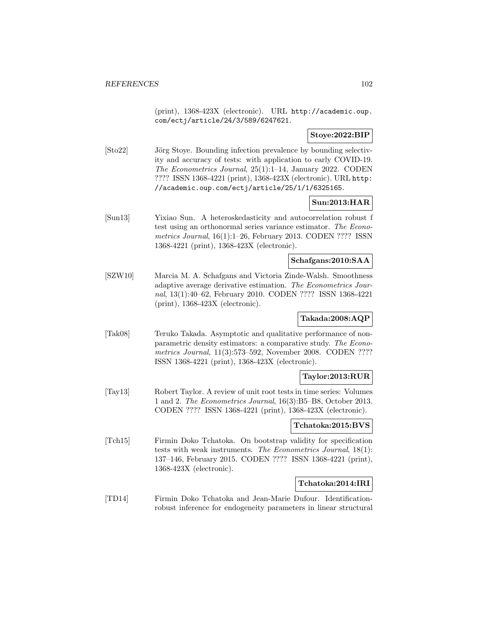(print), 1368-423X (electronic). URL http://academic.oup. com/ectj/article/24/3/589/6247621.

### **Stoye:2022:BIP**

[Sto22] Jörg Stoye. Bounding infection prevalence by bounding selectivity and accuracy of tests: with application to early COVID-19. The Econometrics Journal, 25(1):1–14, January 2022. CODEN ???? ISSN 1368-4221 (print), 1368-423X (electronic). URL http: //academic.oup.com/ectj/article/25/1/1/6325165.

# **Sun:2013:HAR**

[Sun13] Yixiao Sun. A heteroskedasticity and autocorrelation robust f test using an orthonormal series variance estimator. The Econometrics Journal, 16(1):1–26, February 2013. CODEN ???? ISSN 1368-4221 (print), 1368-423X (electronic).

### **Schafgans:2010:SAA**

[SZW10] Marcia M. A. Schafgans and Victoria Zinde-Walsh. Smoothness adaptive average derivative estimation. The Econometrics Journal, 13(1):40–62, February 2010. CODEN ???? ISSN 1368-4221 (print), 1368-423X (electronic).

### **Takada:2008:AQP**

[Tak08] Teruko Takada. Asymptotic and qualitative performance of nonparametric density estimators: a comparative study. The Econometrics Journal, 11(3):573–592, November 2008. CODEN ???? ISSN 1368-4221 (print), 1368-423X (electronic).

### **Taylor:2013:RUR**

[Tay13] Robert Taylor. A review of unit root tests in time series: Volumes 1 and 2. The Econometrics Journal, 16(3):B5–B8, October 2013. CODEN ???? ISSN 1368-4221 (print), 1368-423X (electronic).

### **Tchatoka:2015:BVS**

[Tch15] Firmin Doko Tchatoka. On bootstrap validity for specification tests with weak instruments. The Econometrics Journal, 18(1): 137–146, February 2015. CODEN ???? ISSN 1368-4221 (print), 1368-423X (electronic).

### **Tchatoka:2014:IRI**

[TD14] Firmin Doko Tchatoka and Jean-Marie Dufour. Identificationrobust inference for endogeneity parameters in linear structural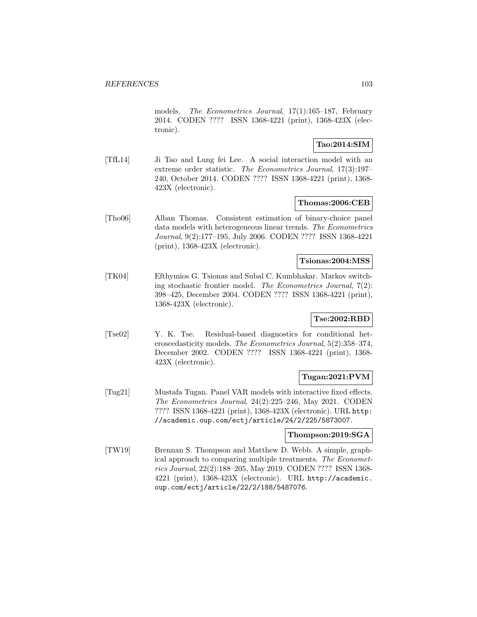models. The Econometrics Journal, 17(1):165–187, February 2014. CODEN ???? ISSN 1368-4221 (print), 1368-423X (electronic).

## **Tao:2014:SIM**

[TfL14] Ji Tao and Lung fei Lee. A social interaction model with an extreme order statistic. The Econometrics Journal, 17(3):197– 240, October 2014. CODEN ???? ISSN 1368-4221 (print), 1368- 423X (electronic).

#### **Thomas:2006:CEB**

[Tho06] Alban Thomas. Consistent estimation of binary-choice panel data models with heterogeneous linear trends. The Econometrics Journal, 9(2):177–195, July 2006. CODEN ???? ISSN 1368-4221 (print), 1368-423X (electronic).

#### **Tsionas:2004:MSS**

[TK04] Efthymios G. Tsionas and Subal C. Kumbhakar. Markov switching stochastic frontier model. The Econometrics Journal, 7(2): 398–425, December 2004. CODEN ???? ISSN 1368-4221 (print), 1368-423X (electronic).

### **Tse:2002:RBD**

[Tse02] Y. K. Tse. Residual-based diagnostics for conditional heteroscedasticity models. The Econometrics Journal, 5(2):358–374, December 2002. CODEN ???? ISSN 1368-4221 (print), 1368- 423X (electronic).

### **Tugan:2021:PVM**

[Tug21] Mustafa Tugan. Panel VAR models with interactive fixed effects. The Econometrics Journal, 24(2):225–246, May 2021. CODEN ???? ISSN 1368-4221 (print), 1368-423X (electronic). URL http: //academic.oup.com/ectj/article/24/2/225/5873007.

### **Thompson:2019:SGA**

[TW19] Brennan S. Thompson and Matthew D. Webb. A simple, graphical approach to comparing multiple treatments. The Econometrics Journal, 22(2):188–205, May 2019. CODEN ???? ISSN 1368- 4221 (print), 1368-423X (electronic). URL http://academic. oup.com/ectj/article/22/2/188/5487076.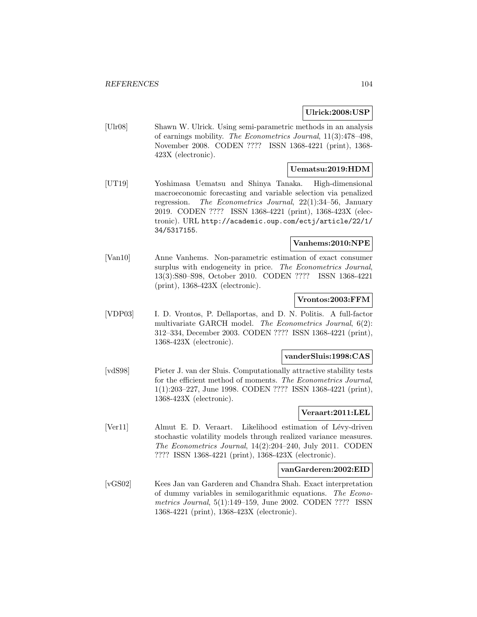## **Ulrick:2008:USP**

[Ulr08] Shawn W. Ulrick. Using semi-parametric methods in an analysis of earnings mobility. The Econometrics Journal, 11(3):478–498, November 2008. CODEN ???? ISSN 1368-4221 (print), 1368- 423X (electronic).

## **Uematsu:2019:HDM**

[UT19] Yoshimasa Uematsu and Shinya Tanaka. High-dimensional macroeconomic forecasting and variable selection via penalized regression. The Econometrics Journal, 22(1):34–56, January 2019. CODEN ???? ISSN 1368-4221 (print), 1368-423X (electronic). URL http://academic.oup.com/ectj/article/22/1/ 34/5317155.

## **Vanhems:2010:NPE**

[Van10] Anne Vanhems. Non-parametric estimation of exact consumer surplus with endogeneity in price. The Econometrics Journal, 13(3):S80–S98, October 2010. CODEN ???? ISSN 1368-4221 (print), 1368-423X (electronic).

### **Vrontos:2003:FFM**

[VDP03] I. D. Vrontos, P. Dellaportas, and D. N. Politis. A full-factor multivariate GARCH model. The Econometrics Journal, 6(2): 312–334, December 2003. CODEN ???? ISSN 1368-4221 (print), 1368-423X (electronic).

#### **vanderSluis:1998:CAS**

[vdS98] Pieter J. van der Sluis. Computationally attractive stability tests for the efficient method of moments. The Econometrics Journal, 1(1):203–227, June 1998. CODEN ???? ISSN 1368-4221 (print), 1368-423X (electronic).

### **Veraart:2011:LEL**

[Ver11] Almut E. D. Veraart. Likelihood estimation of Lévy-driven stochastic volatility models through realized variance measures. The Econometrics Journal, 14(2):204–240, July 2011. CODEN ???? ISSN 1368-4221 (print), 1368-423X (electronic).

#### **vanGarderen:2002:EID**

[vGS02] Kees Jan van Garderen and Chandra Shah. Exact interpretation of dummy variables in semilogarithmic equations. The Econometrics Journal, 5(1):149–159, June 2002. CODEN ???? ISSN 1368-4221 (print), 1368-423X (electronic).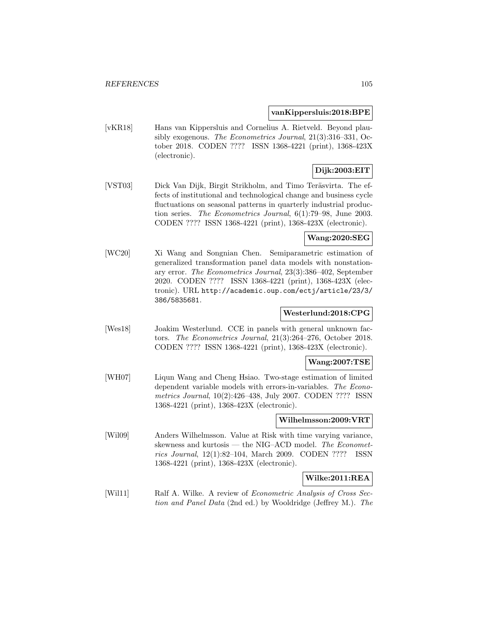#### **vanKippersluis:2018:BPE**

[vKR18] Hans van Kippersluis and Cornelius A. Rietveld. Beyond plausibly exogenous. The Econometrics Journal, 21(3):316–331, October 2018. CODEN ???? ISSN 1368-4221 (print), 1368-423X (electronic).

# **Dijk:2003:EIT**

[VST03] Dick Van Dijk, Birgit Strikholm, and Timo Teräsvirta. The effects of institutional and technological change and business cycle fluctuations on seasonal patterns in quarterly industrial production series. The Econometrics Journal, 6(1):79–98, June 2003. CODEN ???? ISSN 1368-4221 (print), 1368-423X (electronic).

## **Wang:2020:SEG**

[WC20] Xi Wang and Songnian Chen. Semiparametric estimation of generalized transformation panel data models with nonstationary error. The Econometrics Journal, 23(3):386–402, September 2020. CODEN ???? ISSN 1368-4221 (print), 1368-423X (electronic). URL http://academic.oup.com/ectj/article/23/3/ 386/5835681.

### **Westerlund:2018:CPG**

[Wes18] Joakim Westerlund. CCE in panels with general unknown factors. The Econometrics Journal, 21(3):264–276, October 2018. CODEN ???? ISSN 1368-4221 (print), 1368-423X (electronic).

#### **Wang:2007:TSE**

[WH07] Liqun Wang and Cheng Hsiao. Two-stage estimation of limited dependent variable models with errors-in-variables. The Econometrics Journal, 10(2):426–438, July 2007. CODEN ???? ISSN 1368-4221 (print), 1368-423X (electronic).

### **Wilhelmsson:2009:VRT**

[Wil09] Anders Wilhelmsson. Value at Risk with time varying variance, skewness and kurtosis — the NIG–ACD model. The Econometrics Journal, 12(1):82–104, March 2009. CODEN ???? ISSN 1368-4221 (print), 1368-423X (electronic).

### **Wilke:2011:REA**

[Wil11] Ralf A. Wilke. A review of *Econometric Analysis of Cross Sec*tion and Panel Data (2nd ed.) by Wooldridge (Jeffrey M.). The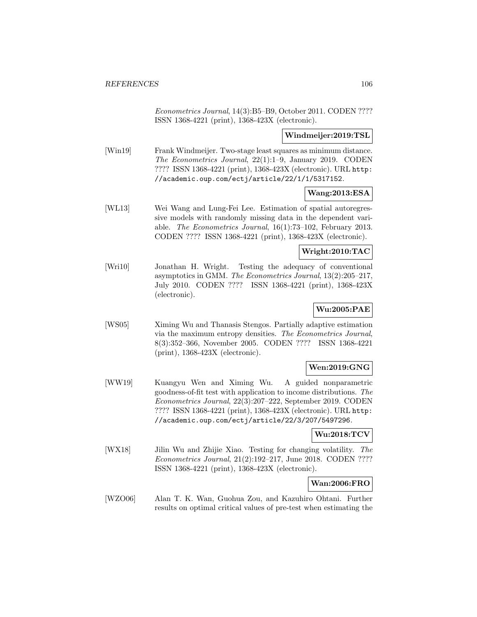Econometrics Journal, 14(3):B5–B9, October 2011. CODEN ???? ISSN 1368-4221 (print), 1368-423X (electronic).

## **Windmeijer:2019:TSL**

[Win19] Frank Windmeijer. Two-stage least squares as minimum distance. The Econometrics Journal, 22(1):1–9, January 2019. CODEN ???? ISSN 1368-4221 (print), 1368-423X (electronic). URL http: //academic.oup.com/ectj/article/22/1/1/5317152.

## **Wang:2013:ESA**

[WL13] Wei Wang and Lung-Fei Lee. Estimation of spatial autoregressive models with randomly missing data in the dependent variable. The Econometrics Journal, 16(1):73–102, February 2013. CODEN ???? ISSN 1368-4221 (print), 1368-423X (electronic).

## **Wright:2010:TAC**

[Wri10] Jonathan H. Wright. Testing the adequacy of conventional asymptotics in GMM. The Econometrics Journal, 13(2):205–217, July 2010. CODEN ???? ISSN 1368-4221 (print), 1368-423X (electronic).

# **Wu:2005:PAE**

[WS05] Ximing Wu and Thanasis Stengos. Partially adaptive estimation via the maximum entropy densities. The Econometrics Journal, 8(3):352–366, November 2005. CODEN ???? ISSN 1368-4221 (print), 1368-423X (electronic).

# **Wen:2019:GNG**

[WW19] Kuangyu Wen and Ximing Wu. A guided nonparametric goodness-of-fit test with application to income distributions. The Econometrics Journal, 22(3):207–222, September 2019. CODEN ???? ISSN 1368-4221 (print), 1368-423X (electronic). URL http: //academic.oup.com/ectj/article/22/3/207/5497296.

### **Wu:2018:TCV**

[WX18] Jilin Wu and Zhijie Xiao. Testing for changing volatility. The Econometrics Journal, 21(2):192–217, June 2018. CODEN ???? ISSN 1368-4221 (print), 1368-423X (electronic).

# **Wan:2006:FRO**

[WZO06] Alan T. K. Wan, Guohua Zou, and Kazuhiro Ohtani. Further results on optimal critical values of pre-test when estimating the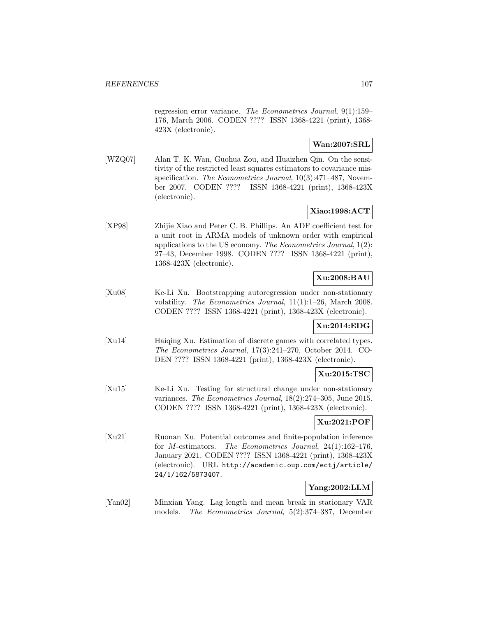regression error variance. The Econometrics Journal, 9(1):159– 176, March 2006. CODEN ???? ISSN 1368-4221 (print), 1368- 423X (electronic).

## **Wan:2007:SRL**

[WZQ07] Alan T. K. Wan, Guohua Zou, and Huaizhen Qin. On the sensitivity of the restricted least squares estimators to covariance misspecification. The Econometrics Journal,  $10(3):471-487$ , November 2007. CODEN ???? ISSN 1368-4221 (print), 1368-423X (electronic).

## **Xiao:1998:ACT**

[XP98] Zhijie Xiao and Peter C. B. Phillips. An ADF coefficient test for a unit root in ARMA models of unknown order with empirical applications to the US economy. The Econometrics Journal, 1(2): 27–43, December 1998. CODEN ???? ISSN 1368-4221 (print), 1368-423X (electronic).

# **Xu:2008:BAU**

[Xu08] Ke-Li Xu. Bootstrapping autoregression under non-stationary volatility. The Econometrics Journal, 11(1):1–26, March 2008. CODEN ???? ISSN 1368-4221 (print), 1368-423X (electronic).

# **Xu:2014:EDG**

[Xu14] Haiqing Xu. Estimation of discrete games with correlated types. The Econometrics Journal, 17(3):241–270, October 2014. CO-DEN ???? ISSN 1368-4221 (print), 1368-423X (electronic).

### **Xu:2015:TSC**

[Xu15] Ke-Li Xu. Testing for structural change under non-stationary variances. The Econometrics Journal, 18(2):274–305, June 2015. CODEN ???? ISSN 1368-4221 (print), 1368-423X (electronic).

# **Xu:2021:POF**

[Xu21] Ruonan Xu. Potential outcomes and finite-population inference for M-estimators. The Econometrics Journal, 24(1):162–176, January 2021. CODEN ???? ISSN 1368-4221 (print), 1368-423X (electronic). URL http://academic.oup.com/ectj/article/ 24/1/162/5873407.

# **Yang:2002:LLM**

[Yan02] Minxian Yang. Lag length and mean break in stationary VAR models. The Econometrics Journal, 5(2):374–387, December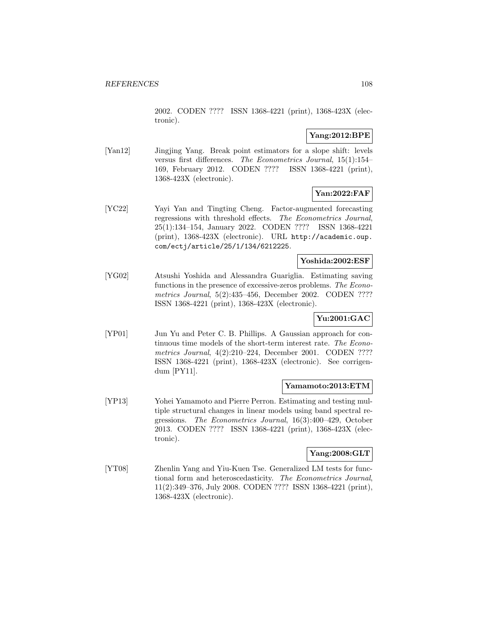2002. CODEN ???? ISSN 1368-4221 (print), 1368-423X (electronic).

# **Yang:2012:BPE**

[Yan12] Jingjing Yang. Break point estimators for a slope shift: levels versus first differences. The Econometrics Journal, 15(1):154– 169, February 2012. CODEN ???? ISSN 1368-4221 (print), 1368-423X (electronic).

# **Yan:2022:FAF**

[YC22] Yayi Yan and Tingting Cheng. Factor-augmented forecasting regressions with threshold effects. The Econometrics Journal, 25(1):134–154, January 2022. CODEN ???? ISSN 1368-4221 (print), 1368-423X (electronic). URL http://academic.oup. com/ectj/article/25/1/134/6212225.

### **Yoshida:2002:ESF**

[YG02] Atsushi Yoshida and Alessandra Guariglia. Estimating saving functions in the presence of excessive-zeros problems. The Econometrics Journal, 5(2):435–456, December 2002. CODEN ???? ISSN 1368-4221 (print), 1368-423X (electronic).

# **Yu:2001:GAC**

[YP01] Jun Yu and Peter C. B. Phillips. A Gaussian approach for continuous time models of the short-term interest rate. The Econometrics Journal, 4(2):210–224, December 2001. CODEN ???? ISSN 1368-4221 (print), 1368-423X (electronic). See corrigendum [PY11].

# **Yamamoto:2013:ETM**

[YP13] Yohei Yamamoto and Pierre Perron. Estimating and testing multiple structural changes in linear models using band spectral regressions. The Econometrics Journal, 16(3):400–429, October 2013. CODEN ???? ISSN 1368-4221 (print), 1368-423X (electronic).

## **Yang:2008:GLT**

[YT08] Zhenlin Yang and Yiu-Kuen Tse. Generalized LM tests for functional form and heteroscedasticity. The Econometrics Journal, 11(2):349–376, July 2008. CODEN ???? ISSN 1368-4221 (print), 1368-423X (electronic).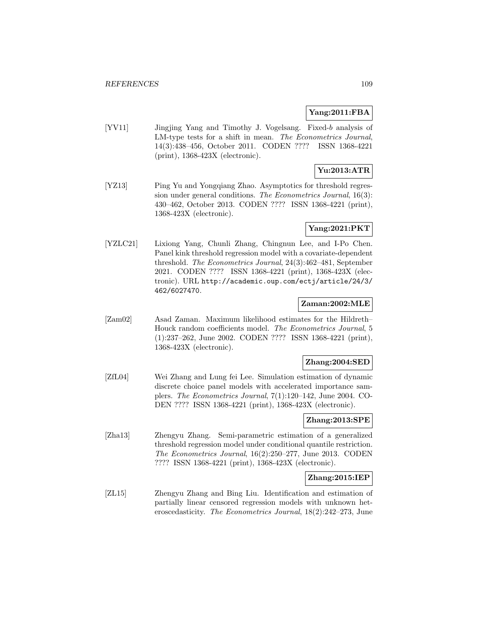#### **Yang:2011:FBA**

[YV11] Jingjing Yang and Timothy J. Vogelsang. Fixed-b analysis of LM-type tests for a shift in mean. The Econometrics Journal, 14(3):438–456, October 2011. CODEN ???? ISSN 1368-4221 (print), 1368-423X (electronic).

# **Yu:2013:ATR**

[YZ13] Ping Yu and Yongqiang Zhao. Asymptotics for threshold regression under general conditions. The Econometrics Journal, 16(3): 430–462, October 2013. CODEN ???? ISSN 1368-4221 (print), 1368-423X (electronic).

#### **Yang:2021:PKT**

[YZLC21] Lixiong Yang, Chunli Zhang, Chingnun Lee, and I-Po Chen. Panel kink threshold regression model with a covariate-dependent threshold. The Econometrics Journal, 24(3):462–481, September 2021. CODEN ???? ISSN 1368-4221 (print), 1368-423X (electronic). URL http://academic.oup.com/ectj/article/24/3/ 462/6027470.

# **Zaman:2002:MLE**

[Zam02] Asad Zaman. Maximum likelihood estimates for the Hildreth– Houck random coefficients model. The Econometrics Journal, 5 (1):237–262, June 2002. CODEN ???? ISSN 1368-4221 (print), 1368-423X (electronic).

#### **Zhang:2004:SED**

[ZfL04] Wei Zhang and Lung fei Lee. Simulation estimation of dynamic discrete choice panel models with accelerated importance samplers. The Econometrics Journal, 7(1):120–142, June 2004. CO-DEN ???? ISSN 1368-4221 (print), 1368-423X (electronic).

### **Zhang:2013:SPE**

[Zha13] Zhengyu Zhang. Semi-parametric estimation of a generalized threshold regression model under conditional quantile restriction. The Econometrics Journal, 16(2):250–277, June 2013. CODEN ???? ISSN 1368-4221 (print), 1368-423X (electronic).

#### **Zhang:2015:IEP**

[ZL15] Zhengyu Zhang and Bing Liu. Identification and estimation of partially linear censored regression models with unknown heteroscedasticity. The Econometrics Journal, 18(2):242–273, June